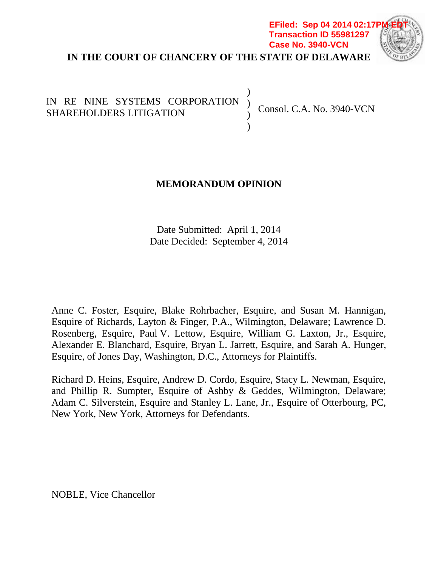## **IN THE COURT OF CHANCERY OF THE STATE OF DELAWARE EFiled: Sep 04 2014 02:17F Transaction ID 55981297 Case No. 3940-VCN**



) ) ) )

# IN RE NINE SYSTEMS CORPORATION SHAREHOLDERS LITIGATION

Consol. C.A. No. 3940-VCN

# **MEMORANDUM OPINION**

Date Submitted: April 1, 2014 Date Decided: September 4, 2014

Anne C. Foster, Esquire, Blake Rohrbacher, Esquire, and Susan M. Hannigan, Esquire of Richards, Layton & Finger, P.A., Wilmington, Delaware; Lawrence D. Rosenberg, Esquire, Paul V. Lettow, Esquire, William G. Laxton, Jr., Esquire, Alexander E. Blanchard, Esquire, Bryan L. Jarrett, Esquire, and Sarah A. Hunger, Esquire, of Jones Day, Washington, D.C., Attorneys for Plaintiffs.

Richard D. Heins, Esquire, Andrew D. Cordo, Esquire, Stacy L. Newman, Esquire, and Phillip R. Sumpter, Esquire of Ashby & Geddes, Wilmington, Delaware; Adam C. Silverstein, Esquire and Stanley L. Lane, Jr., Esquire of Otterbourg, PC, New York, New York, Attorneys for Defendants.

NOBLE, Vice Chancellor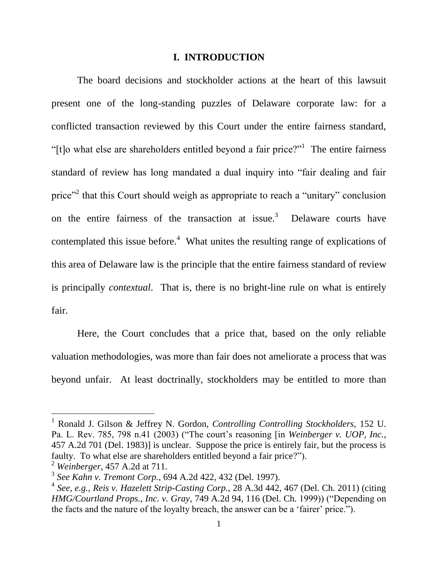#### **I. INTRODUCTION**

The board decisions and stockholder actions at the heart of this lawsuit present one of the long-standing puzzles of Delaware corporate law: for a conflicted transaction reviewed by this Court under the entire fairness standard, "[t]o what else are shareholders entitled beyond a fair price?"<sup>1</sup> The entire fairness standard of review has long mandated a dual inquiry into "fair dealing and fair price"<sup>2</sup> that this Court should weigh as appropriate to reach a "unitary" conclusion on the entire fairness of the transaction at issue.<sup>3</sup> Delaware courts have contemplated this issue before. $4$  What unites the resulting range of explications of this area of Delaware law is the principle that the entire fairness standard of review is principally *contextual*. That is, there is no bright-line rule on what is entirely fair.

Here, the Court concludes that a price that, based on the only reliable valuation methodologies, was more than fair does not ameliorate a process that was beyond unfair. At least doctrinally, stockholders may be entitled to more than

<sup>1</sup> Ronald J. Gilson & Jeffrey N. Gordon, *Controlling Controlling Stockholders*, 152 U. Pa. L. Rev. 785, 798 n.41 (2003) ("The court's reasoning [in *Weinberger v. UOP, Inc.*, 457 A.2d 701 (Del. 1983)] is unclear. Suppose the price is entirely fair, but the process is faulty. To what else are shareholders entitled beyond a fair price?").

<sup>2</sup> *Weinberger*, 457 A.2d at 711.

<sup>3</sup> *See Kahn v. Tremont Corp.*, 694 A.2d 422, 432 (Del. 1997).

<sup>4</sup> *See, e.g.*, *Reis v. Hazelett Strip-Casting Corp.*, 28 A.3d 442, 467 (Del. Ch. 2011) (citing *HMG/Courtland Props., Inc. v. Gray*, 749 A.2d 94, 116 (Del. Ch. 1999)) ("Depending on the facts and the nature of the loyalty breach, the answer can be a 'fairer' price.").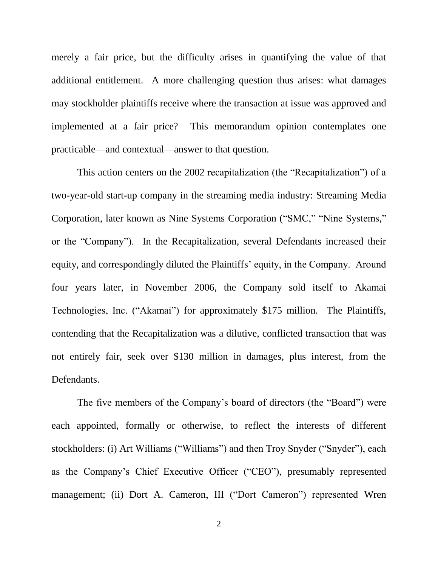merely a fair price, but the difficulty arises in quantifying the value of that additional entitlement. A more challenging question thus arises: what damages may stockholder plaintiffs receive where the transaction at issue was approved and implemented at a fair price? This memorandum opinion contemplates one practicable—and contextual—answer to that question.

This action centers on the 2002 recapitalization (the "Recapitalization") of a two-year-old start-up company in the streaming media industry: Streaming Media Corporation, later known as Nine Systems Corporation ("SMC," "Nine Systems," or the "Company"). In the Recapitalization, several Defendants increased their equity, and correspondingly diluted the Plaintiffs' equity, in the Company. Around four years later, in November 2006, the Company sold itself to Akamai Technologies, Inc. ("Akamai") for approximately \$175 million. The Plaintiffs, contending that the Recapitalization was a dilutive, conflicted transaction that was not entirely fair, seek over \$130 million in damages, plus interest, from the Defendants.

The five members of the Company's board of directors (the "Board") were each appointed, formally or otherwise, to reflect the interests of different stockholders: (i) Art Williams ("Williams") and then Troy Snyder ("Snyder"), each as the Company's Chief Executive Officer ("CEO"), presumably represented management; (ii) Dort A. Cameron, III ("Dort Cameron") represented Wren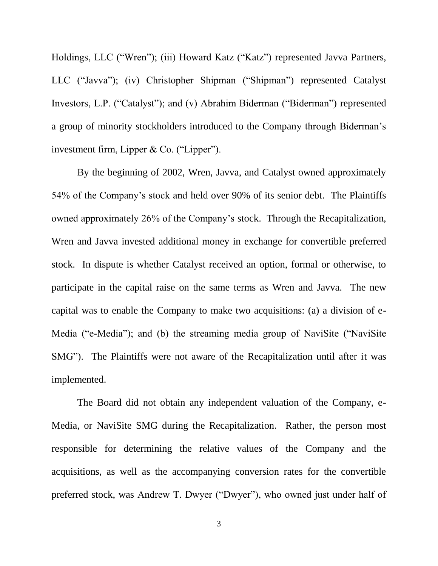Holdings, LLC ("Wren"); (iii) Howard Katz ("Katz") represented Javva Partners, LLC ("Javva"); (iv) Christopher Shipman ("Shipman") represented Catalyst Investors, L.P. ("Catalyst"); and (v) Abrahim Biderman ("Biderman") represented a group of minority stockholders introduced to the Company through Biderman's investment firm, Lipper & Co. ("Lipper").

By the beginning of 2002, Wren, Javva, and Catalyst owned approximately 54% of the Company's stock and held over 90% of its senior debt. The Plaintiffs owned approximately 26% of the Company's stock. Through the Recapitalization, Wren and Javva invested additional money in exchange for convertible preferred stock. In dispute is whether Catalyst received an option, formal or otherwise, to participate in the capital raise on the same terms as Wren and Javva. The new capital was to enable the Company to make two acquisitions: (a) a division of e-Media ("e-Media"); and (b) the streaming media group of NaviSite ("NaviSite SMG"). The Plaintiffs were not aware of the Recapitalization until after it was implemented.

The Board did not obtain any independent valuation of the Company, e-Media, or NaviSite SMG during the Recapitalization. Rather, the person most responsible for determining the relative values of the Company and the acquisitions, as well as the accompanying conversion rates for the convertible preferred stock, was Andrew T. Dwyer ("Dwyer"), who owned just under half of

3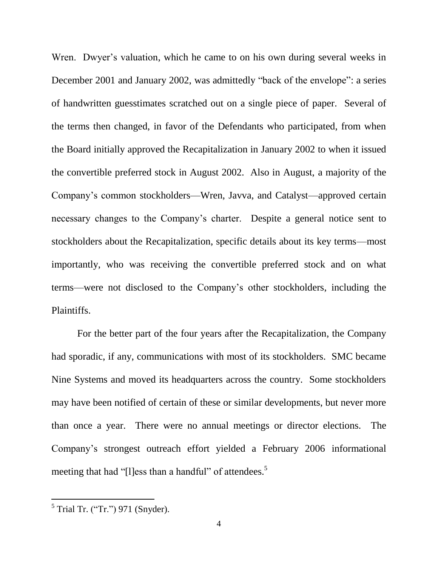Wren. Dwyer's valuation, which he came to on his own during several weeks in December 2001 and January 2002, was admittedly "back of the envelope": a series of handwritten guesstimates scratched out on a single piece of paper. Several of the terms then changed, in favor of the Defendants who participated, from when the Board initially approved the Recapitalization in January 2002 to when it issued the convertible preferred stock in August 2002. Also in August, a majority of the Company's common stockholders—Wren, Javva, and Catalyst—approved certain necessary changes to the Company's charter. Despite a general notice sent to stockholders about the Recapitalization, specific details about its key terms—most importantly, who was receiving the convertible preferred stock and on what terms—were not disclosed to the Company's other stockholders, including the Plaintiffs.

For the better part of the four years after the Recapitalization, the Company had sporadic, if any, communications with most of its stockholders. SMC became Nine Systems and moved its headquarters across the country. Some stockholders may have been notified of certain of these or similar developments, but never more than once a year. There were no annual meetings or director elections. The Company's strongest outreach effort yielded a February 2006 informational meeting that had "[l]ess than a handful" of attendees.<sup>5</sup>

 $<sup>5</sup>$  Trial Tr. ("Tr.") 971 (Snyder).</sup>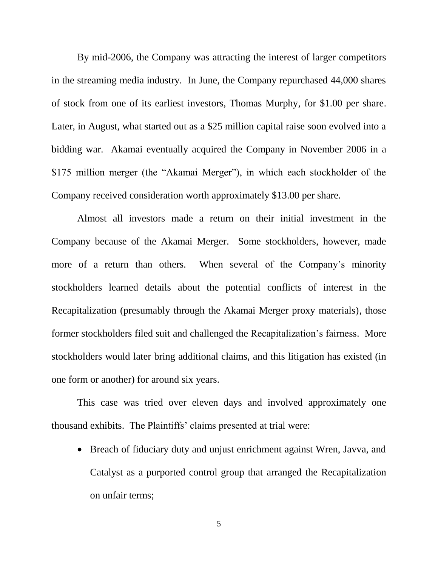By mid-2006, the Company was attracting the interest of larger competitors in the streaming media industry. In June, the Company repurchased 44,000 shares of stock from one of its earliest investors, Thomas Murphy, for \$1.00 per share. Later, in August, what started out as a \$25 million capital raise soon evolved into a bidding war. Akamai eventually acquired the Company in November 2006 in a \$175 million merger (the "Akamai Merger"), in which each stockholder of the Company received consideration worth approximately \$13.00 per share.

Almost all investors made a return on their initial investment in the Company because of the Akamai Merger. Some stockholders, however, made more of a return than others. When several of the Company's minority stockholders learned details about the potential conflicts of interest in the Recapitalization (presumably through the Akamai Merger proxy materials), those former stockholders filed suit and challenged the Recapitalization's fairness. More stockholders would later bring additional claims, and this litigation has existed (in one form or another) for around six years.

This case was tried over eleven days and involved approximately one thousand exhibits. The Plaintiffs' claims presented at trial were:

• Breach of fiduciary duty and unjust enrichment against Wren, Javva, and Catalyst as a purported control group that arranged the Recapitalization on unfair terms;

5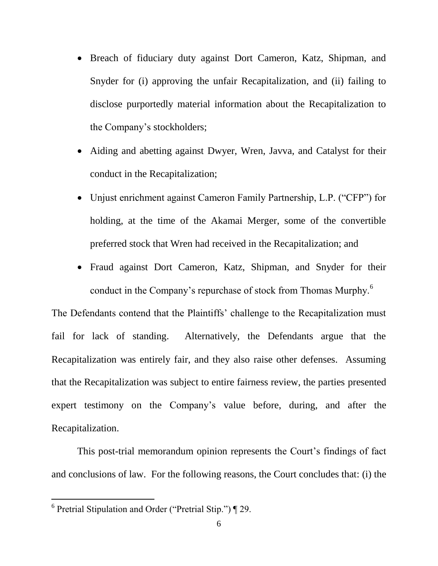- Breach of fiduciary duty against Dort Cameron, Katz, Shipman, and Snyder for (i) approving the unfair Recapitalization, and (ii) failing to disclose purportedly material information about the Recapitalization to the Company's stockholders;
- Aiding and abetting against Dwyer, Wren, Javva, and Catalyst for their conduct in the Recapitalization;
- Unjust enrichment against Cameron Family Partnership, L.P. ("CFP") for holding, at the time of the Akamai Merger, some of the convertible preferred stock that Wren had received in the Recapitalization; and
- Fraud against Dort Cameron, Katz, Shipman, and Snyder for their conduct in the Company's repurchase of stock from Thomas Murphy.<sup>6</sup>

The Defendants contend that the Plaintiffs' challenge to the Recapitalization must fail for lack of standing. Alternatively, the Defendants argue that the Recapitalization was entirely fair, and they also raise other defenses. Assuming that the Recapitalization was subject to entire fairness review, the parties presented expert testimony on the Company's value before, during, and after the Recapitalization.

This post-trial memorandum opinion represents the Court's findings of fact and conclusions of law. For the following reasons, the Court concludes that: (i) the

<sup>&</sup>lt;sup>6</sup> Pretrial Stipulation and Order ("Pretrial Stip.") ¶ 29.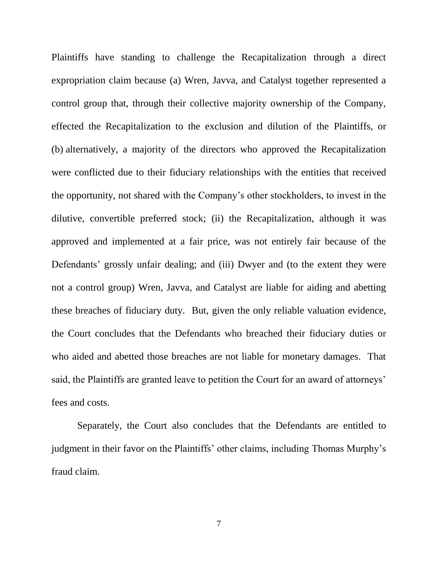Plaintiffs have standing to challenge the Recapitalization through a direct expropriation claim because (a) Wren, Javva, and Catalyst together represented a control group that, through their collective majority ownership of the Company, effected the Recapitalization to the exclusion and dilution of the Plaintiffs, or (b) alternatively, a majority of the directors who approved the Recapitalization were conflicted due to their fiduciary relationships with the entities that received the opportunity, not shared with the Company's other stockholders, to invest in the dilutive, convertible preferred stock; (ii) the Recapitalization, although it was approved and implemented at a fair price, was not entirely fair because of the Defendants' grossly unfair dealing; and (iii) Dwyer and (to the extent they were not a control group) Wren, Javva, and Catalyst are liable for aiding and abetting these breaches of fiduciary duty. But, given the only reliable valuation evidence, the Court concludes that the Defendants who breached their fiduciary duties or who aided and abetted those breaches are not liable for monetary damages. That said, the Plaintiffs are granted leave to petition the Court for an award of attorneys' fees and costs.

Separately, the Court also concludes that the Defendants are entitled to judgment in their favor on the Plaintiffs' other claims, including Thomas Murphy's fraud claim.

7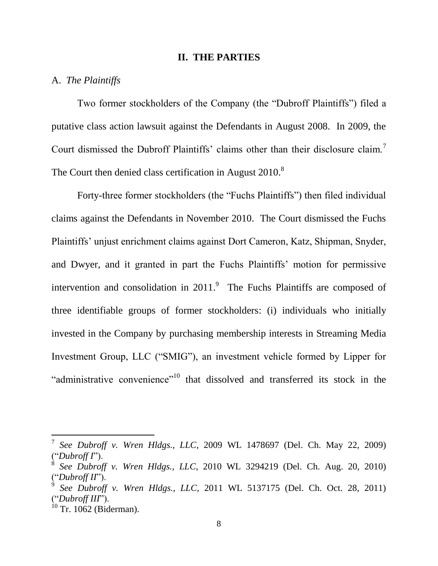#### **II. THE PARTIES**

## A. *The Plaintiffs*

Two former stockholders of the Company (the "Dubroff Plaintiffs") filed a putative class action lawsuit against the Defendants in August 2008. In 2009, the Court dismissed the Dubroff Plaintiffs' claims other than their disclosure claim.<sup>7</sup> The Court then denied class certification in August 2010.<sup>8</sup>

Forty-three former stockholders (the "Fuchs Plaintiffs") then filed individual claims against the Defendants in November 2010. The Court dismissed the Fuchs Plaintiffs' unjust enrichment claims against Dort Cameron, Katz, Shipman, Snyder, and Dwyer, and it granted in part the Fuchs Plaintiffs' motion for permissive intervention and consolidation in  $2011$ . The Fuchs Plaintiffs are composed of three identifiable groups of former stockholders: (i) individuals who initially invested in the Company by purchasing membership interests in Streaming Media Investment Group, LLC ("SMIG"), an investment vehicle formed by Lipper for "administrative convenience"<sup>10</sup> that dissolved and transferred its stock in the

<sup>7</sup> *See Dubroff v. Wren Hldgs., LLC*, 2009 WL 1478697 (Del. Ch. May 22, 2009) ("*Dubroff I*").

<sup>8</sup> *See Dubroff v. Wren Hldgs., LLC*, 2010 WL 3294219 (Del. Ch. Aug. 20, 2010) ("*Dubroff II*").

 $\mathbf{\dot{9}}$ *See Dubroff v. Wren Hldgs., LLC*, 2011 WL 5137175 (Del. Ch. Oct. 28, 2011) ("*Dubroff III*").

 $10$  Tr. 1062 (Biderman).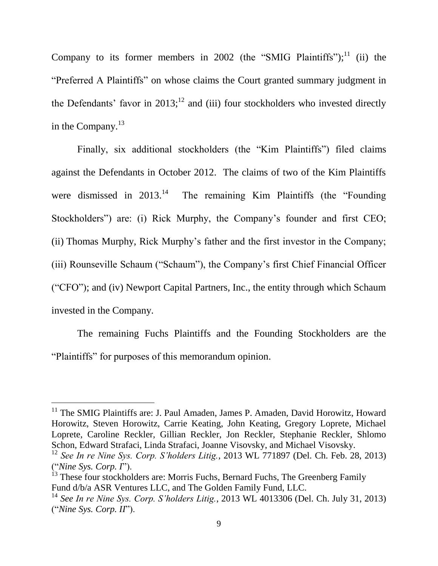Company to its former members in 2002 (the "SMIG Plaintiffs"); $^{11}$  (ii) the "Preferred A Plaintiffs" on whose claims the Court granted summary judgment in the Defendants' favor in  $2013$ ;<sup>12</sup> and (iii) four stockholders who invested directly in the Company. $^{13}$ 

Finally, six additional stockholders (the "Kim Plaintiffs") filed claims against the Defendants in October 2012. The claims of two of the Kim Plaintiffs were dismissed in  $2013.<sup>14</sup>$  The remaining Kim Plaintiffs (the "Founding Stockholders") are: (i) Rick Murphy, the Company's founder and first CEO; (ii) Thomas Murphy, Rick Murphy's father and the first investor in the Company; (iii) Rounseville Schaum ("Schaum"), the Company's first Chief Financial Officer ("CFO"); and (iv) Newport Capital Partners, Inc., the entity through which Schaum invested in the Company.

The remaining Fuchs Plaintiffs and the Founding Stockholders are the "Plaintiffs" for purposes of this memorandum opinion.

<sup>&</sup>lt;sup>11</sup> The SMIG Plaintiffs are: J. Paul Amaden, James P. Amaden, David Horowitz, Howard Horowitz, Steven Horowitz, Carrie Keating, John Keating, Gregory Loprete, Michael Loprete, Caroline Reckler, Gillian Reckler, Jon Reckler, Stephanie Reckler, Shlomo Schon, Edward Strafaci, Linda Strafaci, Joanne Visovsky, and Michael Visovsky.

<sup>12</sup> *See In re Nine Sys. Corp. S'holders Litig.*, 2013 WL 771897 (Del. Ch. Feb. 28, 2013) ("*Nine Sys. Corp. I*").

<sup>&</sup>lt;sup>13</sup> These four stockholders are: Morris Fuchs, Bernard Fuchs, The Greenberg Family Fund d/b/a ASR Ventures LLC, and The Golden Family Fund, LLC.

<sup>14</sup> *See In re Nine Sys. Corp. S'holders Litig.*, 2013 WL 4013306 (Del. Ch. July 31, 2013) ("*Nine Sys. Corp. II*").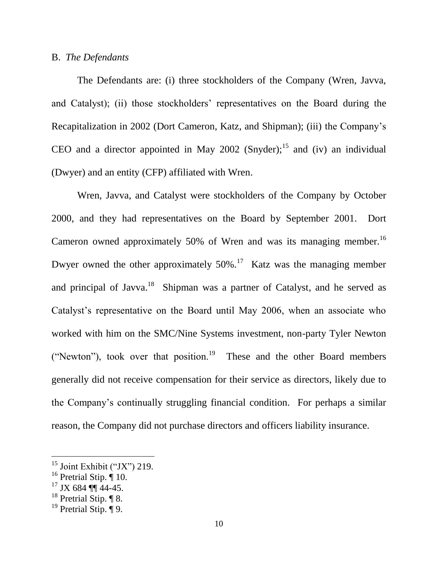## B. *The Defendants*

The Defendants are: (i) three stockholders of the Company (Wren, Javva, and Catalyst); (ii) those stockholders' representatives on the Board during the Recapitalization in 2002 (Dort Cameron, Katz, and Shipman); (iii) the Company's CEO and a director appointed in May 2002 (Snyder);<sup>15</sup> and (iv) an individual (Dwyer) and an entity (CFP) affiliated with Wren.

Wren, Javva, and Catalyst were stockholders of the Company by October 2000, and they had representatives on the Board by September 2001. Dort Cameron owned approximately 50% of Wren and was its managing member.<sup>16</sup> Dwyer owned the other approximately  $50\%$ .<sup>17</sup> Katz was the managing member and principal of Javva.<sup>18</sup> Shipman was a partner of Catalyst, and he served as Catalyst's representative on the Board until May 2006, when an associate who worked with him on the SMC/Nine Systems investment, non-party Tyler Newton ("Newton"), took over that position.<sup>19</sup> These and the other Board members generally did not receive compensation for their service as directors, likely due to the Company's continually struggling financial condition. For perhaps a similar reason, the Company did not purchase directors and officers liability insurance.

 $15$  Joint Exhibit ("JX") 219.

 $16$  Pretrial Stip.  $\hat{$  10.

 $17$  JX 684 ¶¶ 44-45.

 $18$  Pretrial Stip.  $\P$  8.

<sup>&</sup>lt;sup>19</sup> Pretrial Stip.  $\overline{\P}$  9.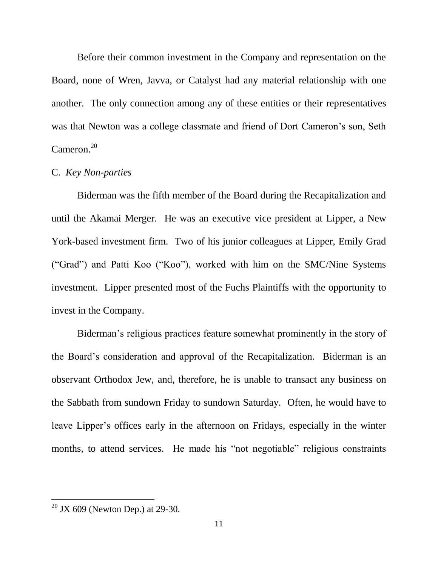Before their common investment in the Company and representation on the Board, none of Wren, Javva, or Catalyst had any material relationship with one another. The only connection among any of these entities or their representatives was that Newton was a college classmate and friend of Dort Cameron's son, Seth Cameron. $20$ 

## C. *Key Non-parties*

Biderman was the fifth member of the Board during the Recapitalization and until the Akamai Merger. He was an executive vice president at Lipper, a New York-based investment firm. Two of his junior colleagues at Lipper, Emily Grad ("Grad") and Patti Koo ("Koo"), worked with him on the SMC/Nine Systems investment. Lipper presented most of the Fuchs Plaintiffs with the opportunity to invest in the Company.

Biderman's religious practices feature somewhat prominently in the story of the Board's consideration and approval of the Recapitalization. Biderman is an observant Orthodox Jew, and, therefore, he is unable to transact any business on the Sabbath from sundown Friday to sundown Saturday. Often, he would have to leave Lipper's offices early in the afternoon on Fridays, especially in the winter months, to attend services. He made his "not negotiable" religious constraints

 $20$  JX 609 (Newton Dep.) at 29-30.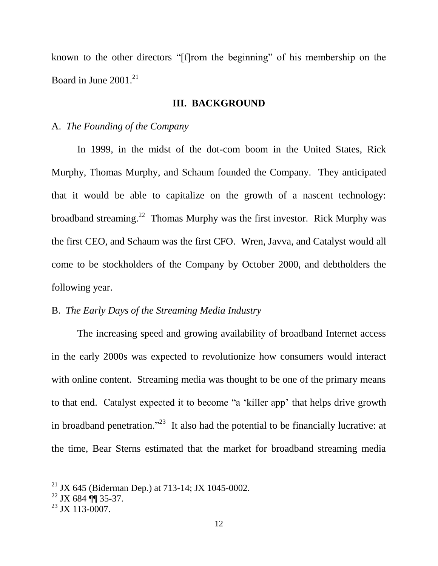known to the other directors "[f]rom the beginning" of his membership on the Board in June 2001.<sup>21</sup>

## **III. BACKGROUND**

## A. *The Founding of the Company*

In 1999, in the midst of the dot-com boom in the United States, Rick Murphy, Thomas Murphy, and Schaum founded the Company. They anticipated that it would be able to capitalize on the growth of a nascent technology: broadband streaming.<sup>22</sup> Thomas Murphy was the first investor. Rick Murphy was the first CEO, and Schaum was the first CFO. Wren, Javva, and Catalyst would all come to be stockholders of the Company by October 2000, and debtholders the following year.

## B. *The Early Days of the Streaming Media Industry*

The increasing speed and growing availability of broadband Internet access in the early 2000s was expected to revolutionize how consumers would interact with online content. Streaming media was thought to be one of the primary means to that end. Catalyst expected it to become "a 'killer app' that helps drive growth in broadband penetration."<sup>23</sup> It also had the potential to be financially lucrative: at the time, Bear Sterns estimated that the market for broadband streaming media

<sup>&</sup>lt;sup>21</sup> JX 645 (Biderman Dep.) at 713-14; JX 1045-0002.

 $22$  JX 684 [[ 35-37.

 $^{23}$  JX 113-0007.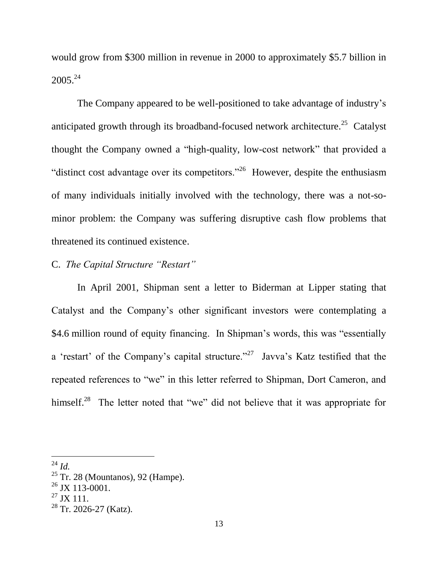would grow from \$300 million in revenue in 2000 to approximately \$5.7 billion in 2005.<sup>24</sup>

The Company appeared to be well-positioned to take advantage of industry's anticipated growth through its broadband-focused network architecture.<sup>25</sup> Catalyst thought the Company owned a "high-quality, low-cost network" that provided a "distinct cost advantage over its competitors."<sup>26</sup> However, despite the enthusiasm of many individuals initially involved with the technology, there was a not-sominor problem: the Company was suffering disruptive cash flow problems that threatened its continued existence.

# C. *The Capital Structure "Restart"*

In April 2001, Shipman sent a letter to Biderman at Lipper stating that Catalyst and the Company's other significant investors were contemplating a \$4.6 million round of equity financing. In Shipman's words, this was "essentially a 'restart' of the Company's capital structure."<sup>27</sup> Javva's Katz testified that the repeated references to "we" in this letter referred to Shipman, Dort Cameron, and himself.<sup>28</sup> The letter noted that "we" did not believe that it was appropriate for

<sup>24</sup> *Id.*

 $25$  Tr. 28 (Mountanos), 92 (Hampe).

 $^{26}$  JX 113-0001.

 $^{27}$  JX 111.

 $28$  Tr. 2026-27 (Katz).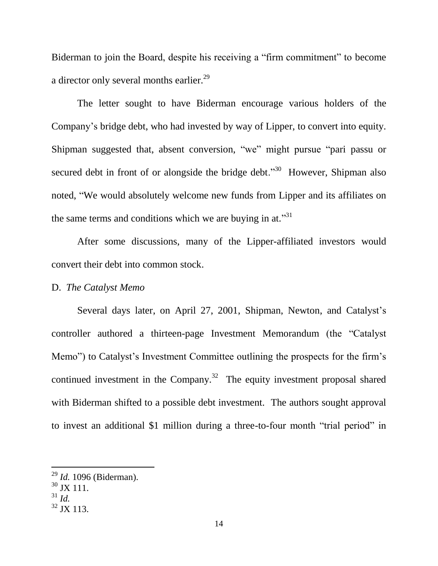Biderman to join the Board, despite his receiving a "firm commitment" to become a director only several months earlier.<sup>29</sup>

The letter sought to have Biderman encourage various holders of the Company's bridge debt, who had invested by way of Lipper, to convert into equity. Shipman suggested that, absent conversion, "we" might pursue "pari passu or secured debt in front of or alongside the bridge debt."<sup>30</sup> However, Shipman also noted, "We would absolutely welcome new funds from Lipper and its affiliates on the same terms and conditions which we are buying in at."<sup>31</sup>

After some discussions, many of the Lipper-affiliated investors would convert their debt into common stock.

## D. *The Catalyst Memo*

Several days later, on April 27, 2001, Shipman, Newton, and Catalyst's controller authored a thirteen-page Investment Memorandum (the "Catalyst Memo") to Catalyst's Investment Committee outlining the prospects for the firm's continued investment in the Company.<sup>32</sup> The equity investment proposal shared with Biderman shifted to a possible debt investment. The authors sought approval to invest an additional \$1 million during a three-to-four month "trial period" in

<sup>29</sup> *Id.* 1096 (Biderman).

<sup>&</sup>lt;sup>30</sup> JX 111.

 $^{31}$  *Id.* 

 $32$  JX 113.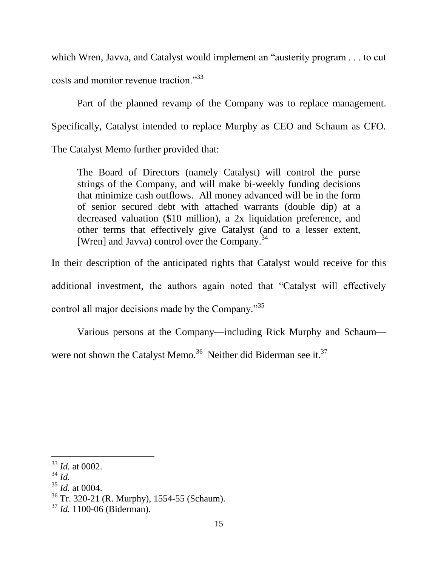which Wren, Javva, and Catalyst would implement an "austerity program . . . to cut costs and monitor revenue traction."<sup>33</sup>

Part of the planned revamp of the Company was to replace management. Specifically, Catalyst intended to replace Murphy as CEO and Schaum as CFO.

The Catalyst Memo further provided that:

The Board of Directors (namely Catalyst) will control the purse strings of the Company, and will make bi-weekly funding decisions that minimize cash outflows. All money advanced will be in the form of senior secured debt with attached warrants (double dip) at a decreased valuation (\$10 million), a 2x liquidation preference, and other terms that effectively give Catalyst (and to a lesser extent, [Wren] and Javva) control over the Company.<sup>34</sup>

In their description of the anticipated rights that Catalyst would receive for this additional investment, the authors again noted that "Catalyst will effectively control all major decisions made by the Company."<sup>35</sup>

Various persons at the Company—including Rick Murphy and Schaum were not shown the Catalyst Memo.<sup>36</sup> Neither did Biderman see it.<sup>37</sup>

<sup>34</sup> *Id.*

l <sup>33</sup> *Id.* at 0002.

<sup>35</sup> *Id.* at 0004.

<sup>36</sup> Tr. 320-21 (R. Murphy), 1554-55 (Schaum).

<sup>37</sup> *Id.* 1100-06 (Biderman).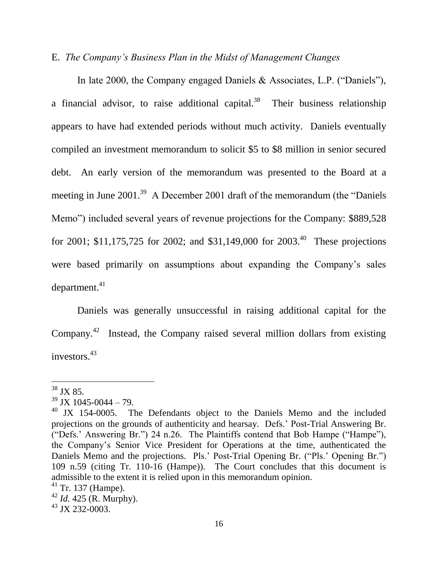## E. *The Company's Business Plan in the Midst of Management Changes*

In late 2000, the Company engaged Daniels & Associates, L.P. ("Daniels"), a financial advisor, to raise additional capital.<sup>38</sup> Their business relationship appears to have had extended periods without much activity. Daniels eventually compiled an investment memorandum to solicit \$5 to \$8 million in senior secured debt. An early version of the memorandum was presented to the Board at a meeting in June 2001.<sup>39</sup> A December 2001 draft of the memorandum (the "Daniels" Memo") included several years of revenue projections for the Company: \$889,528 for 2001; \$11,175,725 for 2002; and \$31,149,000 for 2003.<sup>40</sup> These projections were based primarily on assumptions about expanding the Company's sales  $department.<sup>41</sup>$ 

Daniels was generally unsuccessful in raising additional capital for the Company.<sup>42</sup> Instead, the Company raised several million dollars from existing investors.<sup>43</sup>

 $38$  JX 85.

 $39$  JX 1045-0044 – 79.

<sup>&</sup>lt;sup>40</sup> JX 154-0005. The Defendants object to the Daniels Memo and the included projections on the grounds of authenticity and hearsay. Defs.' Post-Trial Answering Br. ("Defs.' Answering Br.") 24 n.26. The Plaintiffs contend that Bob Hampe ("Hampe"), the Company's Senior Vice President for Operations at the time, authenticated the Daniels Memo and the projections. Pls.' Post-Trial Opening Br. ("Pls.' Opening Br.") 109 n.59 (citing Tr. 110-16 (Hampe)). The Court concludes that this document is admissible to the extent it is relied upon in this memorandum opinion.

 $41$  Tr. 137 (Hampe).

<sup>42</sup> *Id.* 425 (R. Murphy).

 $43$  JX 232-0003.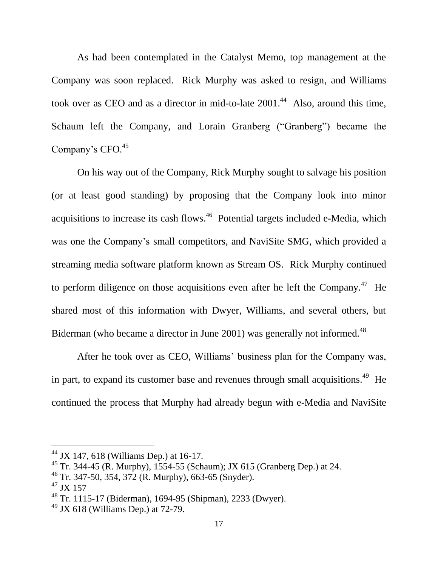As had been contemplated in the Catalyst Memo, top management at the Company was soon replaced. Rick Murphy was asked to resign, and Williams took over as CEO and as a director in mid-to-late  $2001<sup>44</sup>$  Also, around this time, Schaum left the Company, and Lorain Granberg ("Granberg") became the Company's CFO.<sup>45</sup>

On his way out of the Company, Rick Murphy sought to salvage his position (or at least good standing) by proposing that the Company look into minor acquisitions to increase its cash flows.<sup>46</sup> Potential targets included e-Media, which was one the Company's small competitors, and NaviSite SMG, which provided a streaming media software platform known as Stream OS. Rick Murphy continued to perform diligence on those acquisitions even after he left the Company.<sup>47</sup> He shared most of this information with Dwyer, Williams, and several others, but Biderman (who became a director in June 2001) was generally not informed.<sup>48</sup>

After he took over as CEO, Williams' business plan for the Company was, in part, to expand its customer base and revenues through small acquisitions.<sup>49</sup> He continued the process that Murphy had already begun with e-Media and NaviSite

 $44$  JX 147, 618 (Williams Dep.) at 16-17.

<sup>&</sup>lt;sup>45</sup> Tr. 344-45 (R. Murphy),  $1554-55$  (Schaum); JX 615 (Granberg Dep.) at 24.

 $^{46}$  Tr. 347-50, 354, 372 (R. Murphy), 663-65 (Snyder).

 $^{47}$  JX 157

<sup>48</sup> Tr. 1115-17 (Biderman), 1694-95 (Shipman), 2233 (Dwyer).

 $^{49}$  JX 618 (Williams Dep.) at 72-79.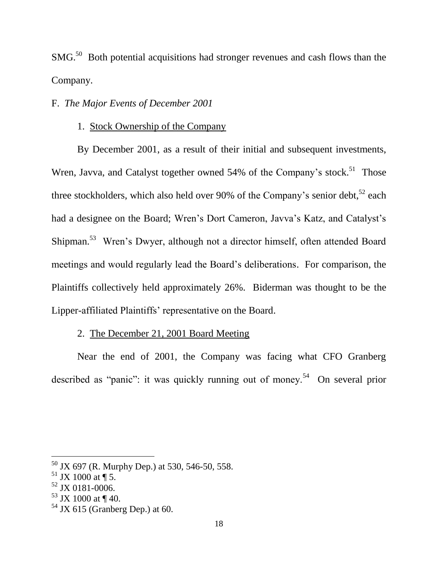$SMG<sup>50</sup>$  Both potential acquisitions had stronger revenues and cash flows than the Company.

# F. *The Major Events of December 2001*

## 1. Stock Ownership of the Company

By December 2001, as a result of their initial and subsequent investments, Wren, Javva, and Catalyst together owned 54% of the Company's stock.<sup>51</sup> Those three stockholders, which also held over 90% of the Company's senior debt,  $52$  each had a designee on the Board; Wren's Dort Cameron, Javva's Katz, and Catalyst's Shipman.<sup>53</sup> Wren's Dwyer, although not a director himself, often attended Board meetings and would regularly lead the Board's deliberations. For comparison, the Plaintiffs collectively held approximately 26%. Biderman was thought to be the Lipper-affiliated Plaintiffs' representative on the Board.

## 2. The December 21, 2001 Board Meeting

Near the end of 2001, the Company was facing what CFO Granberg described as "panic": it was quickly running out of money.<sup>54</sup> On several prior

 $50$  JX 697 (R. Murphy Dep.) at 530, 546-50, 558.

 $51$  JX 1000 at ¶ 5.

 $52$  JX 0181-0006.

 $53$  JX 1000 at ¶ 40.

 $54$  JX 615 (Granberg Dep.) at 60.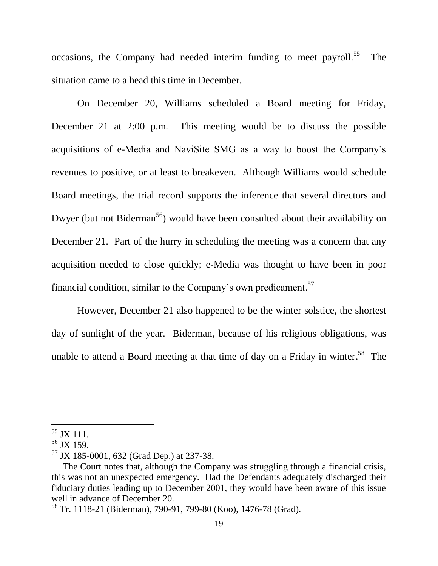occasions, the Company had needed interim funding to meet payroll.<sup>55</sup> The situation came to a head this time in December.

On December 20, Williams scheduled a Board meeting for Friday, December 21 at 2:00 p.m. This meeting would be to discuss the possible acquisitions of e-Media and NaviSite SMG as a way to boost the Company's revenues to positive, or at least to breakeven. Although Williams would schedule Board meetings, the trial record supports the inference that several directors and Dwyer (but not Biderman<sup>56</sup>) would have been consulted about their availability on December 21. Part of the hurry in scheduling the meeting was a concern that any acquisition needed to close quickly; e-Media was thought to have been in poor financial condition, similar to the Company's own predicament.<sup>57</sup>

However, December 21 also happened to be the winter solstice, the shortest day of sunlight of the year. Biderman, because of his religious obligations, was unable to attend a Board meeting at that time of day on a Friday in winter.<sup>58</sup> The

 $55$  JX 111.

 $56$  JX 159.

<sup>57</sup> JX 185-0001, 632 (Grad Dep.) at 237-38.

The Court notes that, although the Company was struggling through a financial crisis, this was not an unexpected emergency. Had the Defendants adequately discharged their fiduciary duties leading up to December 2001, they would have been aware of this issue well in advance of December 20.

<sup>58</sup> Tr. 1118-21 (Biderman), 790-91, 799-80 (Koo), 1476-78 (Grad).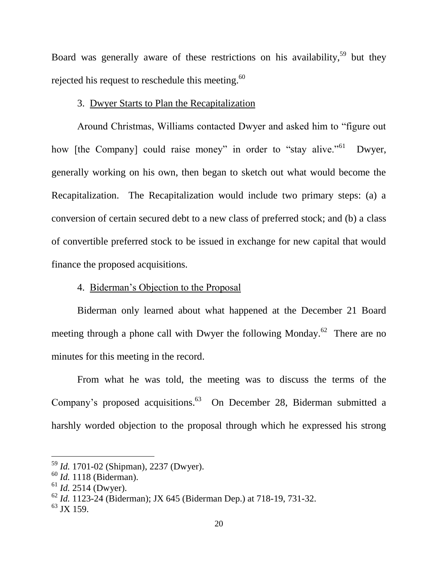Board was generally aware of these restrictions on his availability,<sup>59</sup> but they rejected his request to reschedule this meeting.<sup>60</sup>

## 3. Dwyer Starts to Plan the Recapitalization

Around Christmas, Williams contacted Dwyer and asked him to "figure out how [the Company] could raise money" in order to "stay alive."<sup>61</sup> Dwyer, generally working on his own, then began to sketch out what would become the Recapitalization. The Recapitalization would include two primary steps: (a) a conversion of certain secured debt to a new class of preferred stock; and (b) a class of convertible preferred stock to be issued in exchange for new capital that would finance the proposed acquisitions.

# 4. Biderman's Objection to the Proposal

Biderman only learned about what happened at the December 21 Board meeting through a phone call with Dwyer the following Monday.<sup>62</sup> There are no minutes for this meeting in the record.

From what he was told, the meeting was to discuss the terms of the Company's proposed acquisitions.<sup>63</sup> On December 28, Biderman submitted a harshly worded objection to the proposal through which he expressed his strong

<sup>59</sup> *Id.* 1701-02 (Shipman), 2237 (Dwyer).

<sup>60</sup> *Id.* 1118 (Biderman).

<sup>61</sup> *Id.* 2514 (Dwyer).

<sup>62</sup> *Id.* 1123-24 (Biderman); JX 645 (Biderman Dep.) at 718-19, 731-32.

 $^{63}$  JX 159.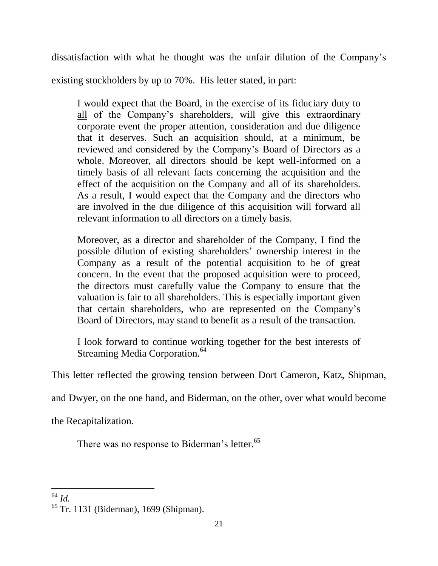dissatisfaction with what he thought was the unfair dilution of the Company's

existing stockholders by up to 70%. His letter stated, in part:

I would expect that the Board, in the exercise of its fiduciary duty to all of the Company's shareholders, will give this extraordinary corporate event the proper attention, consideration and due diligence that it deserves. Such an acquisition should, at a minimum, be reviewed and considered by the Company's Board of Directors as a whole. Moreover, all directors should be kept well-informed on a timely basis of all relevant facts concerning the acquisition and the effect of the acquisition on the Company and all of its shareholders. As a result, I would expect that the Company and the directors who are involved in the due diligence of this acquisition will forward all relevant information to all directors on a timely basis.

Moreover, as a director and shareholder of the Company, I find the possible dilution of existing shareholders' ownership interest in the Company as a result of the potential acquisition to be of great concern. In the event that the proposed acquisition were to proceed, the directors must carefully value the Company to ensure that the valuation is fair to all shareholders. This is especially important given that certain shareholders, who are represented on the Company's Board of Directors, may stand to benefit as a result of the transaction.

I look forward to continue working together for the best interests of Streaming Media Corporation.<sup>64</sup>

This letter reflected the growing tension between Dort Cameron, Katz, Shipman,

and Dwyer, on the one hand, and Biderman, on the other, over what would become

the Recapitalization.

There was no response to Biderman's letter.<sup>65</sup>

 $\overline{a}$ <sup>64</sup> *Id.*

<sup>65</sup> Tr. 1131 (Biderman), 1699 (Shipman).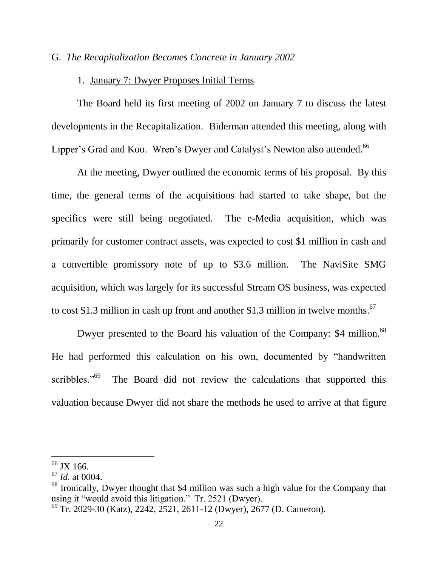## G. *The Recapitalization Becomes Concrete in January 2002*

## 1. January 7: Dwyer Proposes Initial Terms

The Board held its first meeting of 2002 on January 7 to discuss the latest developments in the Recapitalization. Biderman attended this meeting, along with Lipper's Grad and Koo. Wren's Dwyer and Catalyst's Newton also attended.<sup>66</sup>

At the meeting, Dwyer outlined the economic terms of his proposal. By this time, the general terms of the acquisitions had started to take shape, but the specifics were still being negotiated. The e-Media acquisition, which was primarily for customer contract assets, was expected to cost \$1 million in cash and a convertible promissory note of up to \$3.6 million. The NaviSite SMG acquisition, which was largely for its successful Stream OS business, was expected to cost \$1.3 million in cash up front and another \$1.3 million in twelve months.<sup>67</sup>

Dwyer presented to the Board his valuation of the Company: \$4 million.<sup>68</sup> He had performed this calculation on his own, documented by "handwritten scribbles."<sup>69</sup> The Board did not review the calculations that supported this valuation because Dwyer did not share the methods he used to arrive at that figure

<sup>&</sup>lt;sup>66</sup> JX 166.

<sup>67</sup> *Id.* at 0004.

<sup>&</sup>lt;sup>68</sup> Ironically, Dwyer thought that \$4 million was such a high value for the Company that using it "would avoid this litigation." Tr. 2521 (Dwyer).

<sup>69</sup> Tr. 2029-30 (Katz), 2242, 2521, 2611-12 (Dwyer), 2677 (D. Cameron).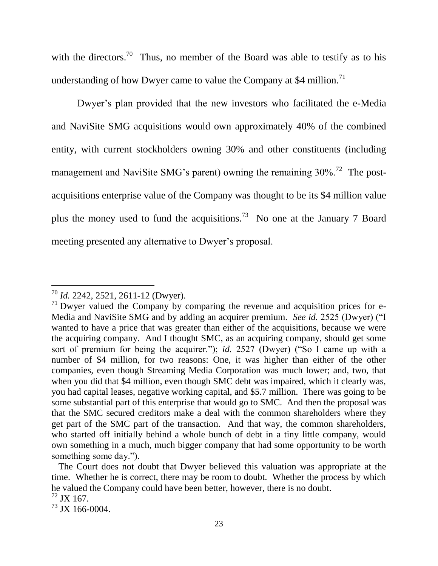with the directors.<sup>70</sup> Thus, no member of the Board was able to testify as to his understanding of how Dwyer came to value the Company at \$4 million.<sup>71</sup>

Dwyer's plan provided that the new investors who facilitated the e-Media and NaviSite SMG acquisitions would own approximately 40% of the combined entity, with current stockholders owning 30% and other constituents (including management and NaviSite SMG's parent) owning the remaining  $30\%$ <sup>72</sup> The postacquisitions enterprise value of the Company was thought to be its \$4 million value plus the money used to fund the acquisitions.<sup>73</sup> No one at the January 7 Board meeting presented any alternative to Dwyer's proposal.

<sup>70</sup> *Id.* 2242, 2521, 2611-12 (Dwyer).

 $71$  Dwyer valued the Company by comparing the revenue and acquisition prices for e-Media and NaviSite SMG and by adding an acquirer premium. *See id.* 2525 (Dwyer) ("I wanted to have a price that was greater than either of the acquisitions, because we were the acquiring company. And I thought SMC, as an acquiring company, should get some sort of premium for being the acquirer."); *id.* 2527 (Dwyer) ("So I came up with a number of \$4 million, for two reasons: One, it was higher than either of the other companies, even though Streaming Media Corporation was much lower; and, two, that when you did that \$4 million, even though SMC debt was impaired, which it clearly was, you had capital leases, negative working capital, and \$5.7 million. There was going to be some substantial part of this enterprise that would go to SMC. And then the proposal was that the SMC secured creditors make a deal with the common shareholders where they get part of the SMC part of the transaction. And that way, the common shareholders, who started off initially behind a whole bunch of debt in a tiny little company, would own something in a much, much bigger company that had some opportunity to be worth something some day.").

The Court does not doubt that Dwyer believed this valuation was appropriate at the time. Whether he is correct, there may be room to doubt. Whether the process by which he valued the Company could have been better, however, there is no doubt.  $^{72}$  JX 167.

 $^{73}$  JX 166-0004.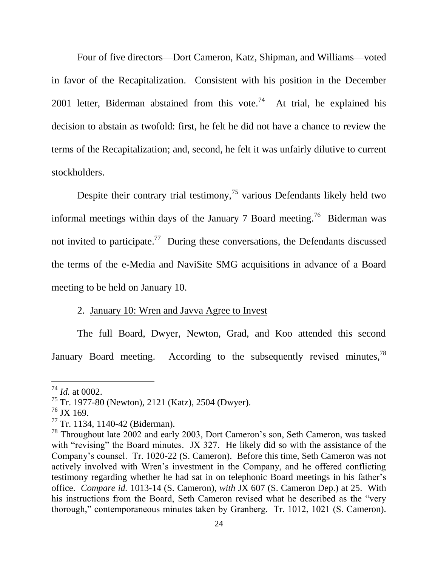Four of five directors—Dort Cameron, Katz, Shipman, and Williams—voted in favor of the Recapitalization. Consistent with his position in the December 2001 letter, Biderman abstained from this vote.<sup>74</sup> At trial, he explained his decision to abstain as twofold: first, he felt he did not have a chance to review the terms of the Recapitalization; and, second, he felt it was unfairly dilutive to current stockholders.

Despite their contrary trial testimony,<sup>75</sup> various Defendants likely held two informal meetings within days of the January 7 Board meeting.<sup>76</sup> Biderman was not invited to participate.<sup>77</sup> During these conversations, the Defendants discussed the terms of the e-Media and NaviSite SMG acquisitions in advance of a Board meeting to be held on January 10.

#### 2. January 10: Wren and Javva Agree to Invest

The full Board, Dwyer, Newton, Grad, and Koo attended this second January Board meeting. According to the subsequently revised minutes,<sup>78</sup>

<sup>74</sup> *Id.* at 0002.

<sup>75</sup> Tr. 1977-80 (Newton), 2121 (Katz), 2504 (Dwyer).

 $^{76}$  JX 169.

<sup>77</sup> Tr. 1134, 1140-42 (Biderman).

<sup>78</sup> Throughout late 2002 and early 2003, Dort Cameron's son, Seth Cameron, was tasked with "revising" the Board minutes. JX 327. He likely did so with the assistance of the Company's counsel. Tr. 1020-22 (S. Cameron). Before this time, Seth Cameron was not actively involved with Wren's investment in the Company, and he offered conflicting testimony regarding whether he had sat in on telephonic Board meetings in his father's office. *Compare id.* 1013-14 (S. Cameron), *with* JX 607 (S. Cameron Dep.) at 25. With his instructions from the Board, Seth Cameron revised what he described as the "very thorough," contemporaneous minutes taken by Granberg. Tr. 1012, 1021 (S. Cameron).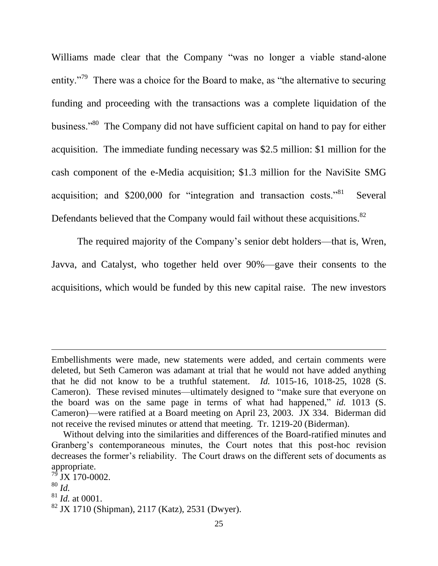Williams made clear that the Company "was no longer a viable stand-alone entity."<sup>79</sup> There was a choice for the Board to make, as "the alternative to securing funding and proceeding with the transactions was a complete liquidation of the business."<sup>80</sup> The Company did not have sufficient capital on hand to pay for either acquisition. The immediate funding necessary was \$2.5 million: \$1 million for the cash component of the e-Media acquisition; \$1.3 million for the NaviSite SMG acquisition; and \$200,000 for "integration and transaction costs."<sup>81</sup> Several Defendants believed that the Company would fail without these acquisitions.<sup>82</sup>

The required majority of the Company's senior debt holders—that is, Wren, Javva, and Catalyst, who together held over 90%—gave their consents to the acquisitions, which would be funded by this new capital raise. The new investors

Embellishments were made, new statements were added, and certain comments were deleted, but Seth Cameron was adamant at trial that he would not have added anything that he did not know to be a truthful statement. *Id.* 1015-16, 1018-25, 1028 (S. Cameron). These revised minutes—ultimately designed to "make sure that everyone on the board was on the same page in terms of what had happened," *id.* 1013 (S. Cameron)—were ratified at a Board meeting on April 23, 2003. JX 334. Biderman did not receive the revised minutes or attend that meeting. Tr. 1219-20 (Biderman).

Without delving into the similarities and differences of the Board-ratified minutes and Granberg's contemporaneous minutes, the Court notes that this post-hoc revision decreases the former's reliability. The Court draws on the different sets of documents as appropriate.

 $'$  JX 170-0002.

<sup>80</sup> *Id.*

<sup>81</sup> *Id.* at 0001.

 $82$  JX 1710 (Shipman), 2117 (Katz), 2531 (Dwyer).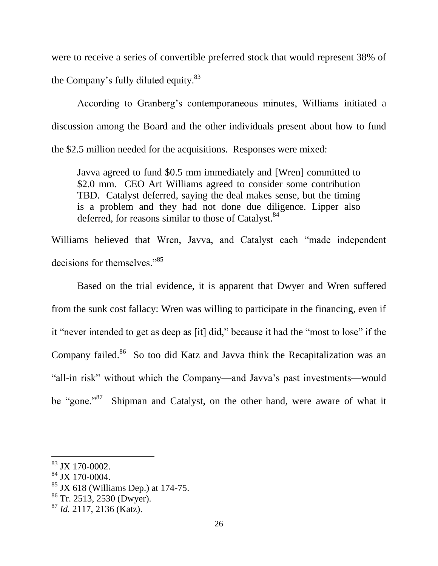were to receive a series of convertible preferred stock that would represent 38% of the Company's fully diluted equity.<sup>83</sup>

According to Granberg's contemporaneous minutes, Williams initiated a discussion among the Board and the other individuals present about how to fund the \$2.5 million needed for the acquisitions. Responses were mixed:

Javva agreed to fund \$0.5 mm immediately and [Wren] committed to \$2.0 mm. CEO Art Williams agreed to consider some contribution TBD. Catalyst deferred, saying the deal makes sense, but the timing is a problem and they had not done due diligence. Lipper also deferred, for reasons similar to those of Catalyst.<sup>84</sup>

Williams believed that Wren, Javva, and Catalyst each "made independent decisions for themselves."<sup>85</sup>

Based on the trial evidence, it is apparent that Dwyer and Wren suffered from the sunk cost fallacy: Wren was willing to participate in the financing, even if it "never intended to get as deep as [it] did," because it had the "most to lose" if the Company failed.<sup>86</sup> So too did Katz and Javva think the Recapitalization was an "all-in risk" without which the Company—and Javva's past investments—would be "gone."<sup>87</sup> Shipman and Catalyst, on the other hand, were aware of what it

<sup>83</sup> JX 170-0002.

<sup>84</sup> JX 170-0004.

 $85$  JX 618 (Williams Dep.) at 174-75.

<sup>86</sup> Tr. 2513, 2530 (Dwyer).

<sup>87</sup> *Id.* 2117, 2136 (Katz).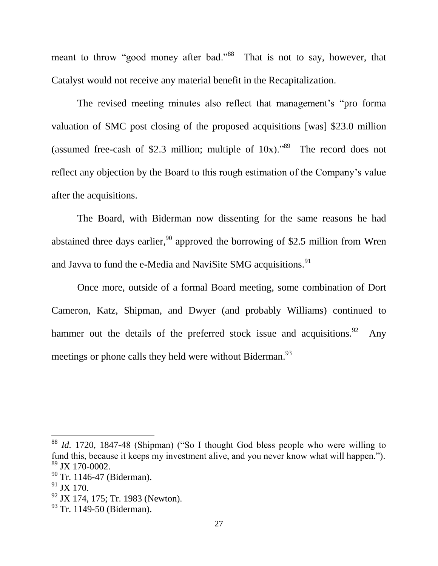meant to throw "good money after bad."<sup>88</sup> That is not to say, however, that Catalyst would not receive any material benefit in the Recapitalization.

The revised meeting minutes also reflect that management's "pro forma valuation of SMC post closing of the proposed acquisitions [was] \$23.0 million (assumed free-cash of \$2.3 million; multiple of  $10x$ ).<sup>89</sup> The record does not reflect any objection by the Board to this rough estimation of the Company's value after the acquisitions.

The Board, with Biderman now dissenting for the same reasons he had abstained three days earlier,<sup>90</sup> approved the borrowing of \$2.5 million from Wren and Javva to fund the e-Media and NaviSite SMG acquisitions.<sup>91</sup>

Once more, outside of a formal Board meeting, some combination of Dort Cameron, Katz, Shipman, and Dwyer (and probably Williams) continued to hammer out the details of the preferred stock issue and acquisitions.<sup>92</sup> Any meetings or phone calls they held were without Biderman.<sup>93</sup>

<sup>88</sup> *Id.* 1720, 1847-48 (Shipman) ("So I thought God bless people who were willing to fund this, because it keeps my investment alive, and you never know what will happen.").  $89$  JX 170-0002.

<sup>&</sup>lt;sup>90</sup> Tr. 1146-47 (Biderman).

 $91$  JX 170.

<sup>&</sup>lt;sup>92</sup> JX 174, 175; Tr. 1983 (Newton).

 $93$  Tr. 1149-50 (Biderman).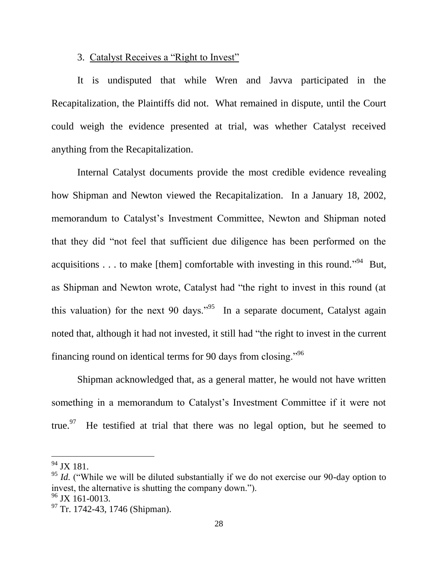## 3. Catalyst Receives a "Right to Invest"

It is undisputed that while Wren and Javva participated in the Recapitalization, the Plaintiffs did not. What remained in dispute, until the Court could weigh the evidence presented at trial, was whether Catalyst received anything from the Recapitalization.

Internal Catalyst documents provide the most credible evidence revealing how Shipman and Newton viewed the Recapitalization. In a January 18, 2002, memorandum to Catalyst's Investment Committee, Newton and Shipman noted that they did "not feel that sufficient due diligence has been performed on the acquisitions . . . to make [them] comfortable with investing in this round."<sup>94</sup> But, as Shipman and Newton wrote, Catalyst had "the right to invest in this round (at this valuation) for the next 90 days."<sup>95</sup> In a separate document, Catalyst again noted that, although it had not invested, it still had "the right to invest in the current financing round on identical terms for 90 days from closing."<sup>96</sup>

Shipman acknowledged that, as a general matter, he would not have written something in a memorandum to Catalyst's Investment Committee if it were not true.<sup>97</sup> He testified at trial that there was no legal option, but he seemed to

<sup>&</sup>lt;sup>94</sup> JX 181.

<sup>&</sup>lt;sup>95</sup> *Id.* ("While we will be diluted substantially if we do not exercise our 90-day option to invest, the alternative is shutting the company down.").  $96$  JX 161-0013.

<sup>&</sup>lt;sup>97</sup> Tr. 1742-43, 1746 (Shipman).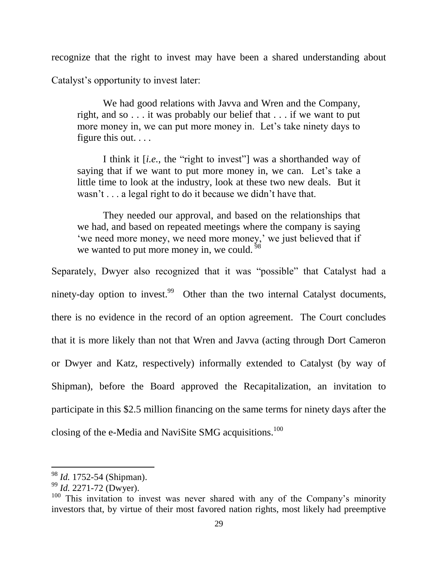recognize that the right to invest may have been a shared understanding about

Catalyst's opportunity to invest later:

We had good relations with Javva and Wren and the Company, right, and so . . . it was probably our belief that . . . if we want to put more money in, we can put more money in. Let's take ninety days to figure this out. . . .

I think it [*i.e.*, the "right to invest"] was a shorthanded way of saying that if we want to put more money in, we can. Let's take a little time to look at the industry, look at these two new deals. But it wasn't . . . a legal right to do it because we didn't have that.

They needed our approval, and based on the relationships that we had, and based on repeated meetings where the company is saying 'we need more money, we need more money,' we just believed that if we wanted to put more money in, we could.  $\frac{58}{98}$ 

Separately, Dwyer also recognized that it was "possible" that Catalyst had a ninety-day option to invest.<sup>99</sup> Other than the two internal Catalyst documents, there is no evidence in the record of an option agreement. The Court concludes that it is more likely than not that Wren and Javva (acting through Dort Cameron or Dwyer and Katz, respectively) informally extended to Catalyst (by way of Shipman), before the Board approved the Recapitalization, an invitation to participate in this \$2.5 million financing on the same terms for ninety days after the closing of the e-Media and NaviSite SMG acquisitions.<sup>100</sup>

<sup>98</sup> *Id.* 1752-54 (Shipman).

<sup>99</sup> *Id.* 2271-72 (Dwyer).

 $100$  This invitation to invest was never shared with any of the Company's minority investors that, by virtue of their most favored nation rights, most likely had preemptive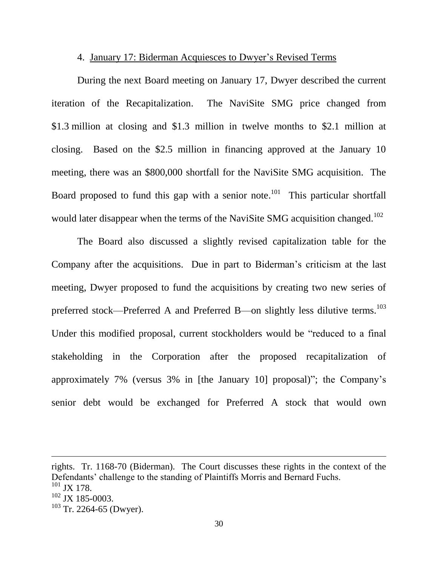## 4. January 17: Biderman Acquiesces to Dwyer's Revised Terms

During the next Board meeting on January 17, Dwyer described the current iteration of the Recapitalization. The NaviSite SMG price changed from \$1.3 million at closing and \$1.3 million in twelve months to \$2.1 million at closing. Based on the \$2.5 million in financing approved at the January 10 meeting, there was an \$800,000 shortfall for the NaviSite SMG acquisition. The Board proposed to fund this gap with a senior note.<sup>101</sup> This particular shortfall would later disappear when the terms of the NaviSite SMG acquisition changed.<sup>102</sup>

The Board also discussed a slightly revised capitalization table for the Company after the acquisitions. Due in part to Biderman's criticism at the last meeting, Dwyer proposed to fund the acquisitions by creating two new series of preferred stock—Preferred A and Preferred B—on slightly less dilutive terms.<sup>103</sup> Under this modified proposal, current stockholders would be "reduced to a final stakeholding in the Corporation after the proposed recapitalization of approximately 7% (versus 3% in [the January 10] proposal)"; the Company's senior debt would be exchanged for Preferred A stock that would own

rights. Tr. 1168-70 (Biderman). The Court discusses these rights in the context of the Defendants' challenge to the standing of Plaintiffs Morris and Bernard Fuchs.  $101$  JX 178.  $102$  JX 185-0003.  $103$  Tr. 2264-65 (Dwyer).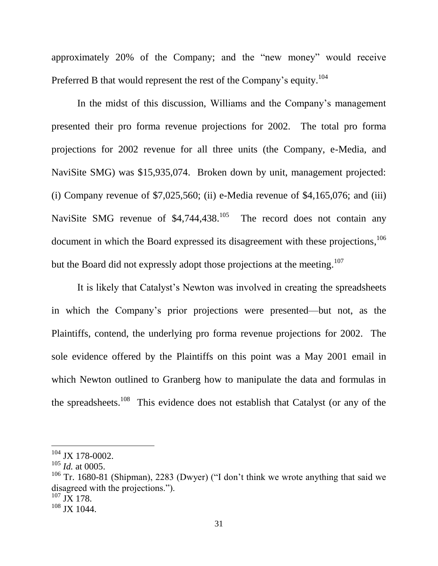approximately 20% of the Company; and the "new money" would receive Preferred B that would represent the rest of the Company's equity.<sup>104</sup>

In the midst of this discussion, Williams and the Company's management presented their pro forma revenue projections for 2002. The total pro forma projections for 2002 revenue for all three units (the Company, e-Media, and NaviSite SMG) was \$15,935,074. Broken down by unit, management projected: (i) Company revenue of  $$7,025,560$ ; (ii) e-Media revenue of  $$4,165,076$ ; and (iii) NaviSite SMG revenue of  $$4,744,438$ <sup>105</sup> The record does not contain any document in which the Board expressed its disagreement with these projections, <sup>106</sup> but the Board did not expressly adopt those projections at the meeting.<sup>107</sup>

It is likely that Catalyst's Newton was involved in creating the spreadsheets in which the Company's prior projections were presented—but not, as the Plaintiffs, contend, the underlying pro forma revenue projections for 2002. The sole evidence offered by the Plaintiffs on this point was a May 2001 email in which Newton outlined to Granberg how to manipulate the data and formulas in the spreadsheets.<sup>108</sup> This evidence does not establish that Catalyst (or any of the

<sup>104</sup> JX 178-0002.

<sup>105</sup> *Id.* at 0005.

 $106$  Tr. 1680-81 (Shipman), 2283 (Dwyer) ("I don't think we wrote anything that said we disagreed with the projections.").

 $^{107}$  JX 178.

<sup>108</sup> JX 1044.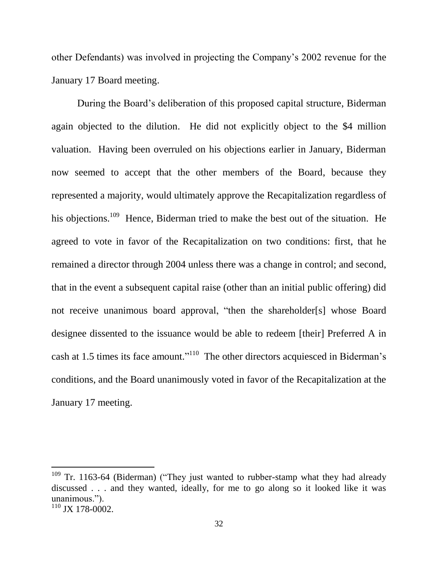other Defendants) was involved in projecting the Company's 2002 revenue for the January 17 Board meeting.

During the Board's deliberation of this proposed capital structure, Biderman again objected to the dilution. He did not explicitly object to the \$4 million valuation. Having been overruled on his objections earlier in January, Biderman now seemed to accept that the other members of the Board, because they represented a majority, would ultimately approve the Recapitalization regardless of his objections.<sup>109</sup> Hence, Biderman tried to make the best out of the situation. He agreed to vote in favor of the Recapitalization on two conditions: first, that he remained a director through 2004 unless there was a change in control; and second, that in the event a subsequent capital raise (other than an initial public offering) did not receive unanimous board approval, "then the shareholder[s] whose Board designee dissented to the issuance would be able to redeem [their] Preferred A in cash at 1.5 times its face amount."<sup>110</sup> The other directors acquiesced in Biderman's conditions, and the Board unanimously voted in favor of the Recapitalization at the January 17 meeting.

<sup>&</sup>lt;sup>109</sup> Tr. 1163-64 (Biderman) ("They just wanted to rubber-stamp what they had already discussed . . . and they wanted, ideally, for me to go along so it looked like it was unanimous.").

<sup>110</sup> JX 178-0002.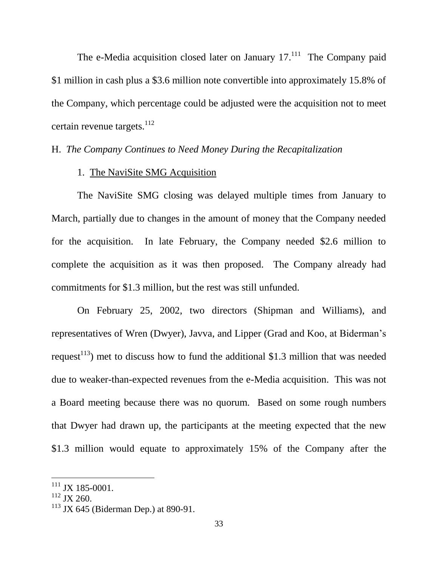The e-Media acquisition closed later on January  $17.<sup>111</sup>$  The Company paid \$1 million in cash plus a \$3.6 million note convertible into approximately 15.8% of the Company, which percentage could be adjusted were the acquisition not to meet certain revenue targets. $^{112}$ 

# H. *The Company Continues to Need Money During the Recapitalization*

## 1. The NaviSite SMG Acquisition

The NaviSite SMG closing was delayed multiple times from January to March, partially due to changes in the amount of money that the Company needed for the acquisition. In late February, the Company needed \$2.6 million to complete the acquisition as it was then proposed. The Company already had commitments for \$1.3 million, but the rest was still unfunded.

On February 25, 2002, two directors (Shipman and Williams), and representatives of Wren (Dwyer), Javva, and Lipper (Grad and Koo, at Biderman's request<sup>113</sup>) met to discuss how to fund the additional \$1.3 million that was needed due to weaker-than-expected revenues from the e-Media acquisition. This was not a Board meeting because there was no quorum. Based on some rough numbers that Dwyer had drawn up, the participants at the meeting expected that the new \$1.3 million would equate to approximately 15% of the Company after the

<sup>&</sup>lt;sup>111</sup> JX 185-0001.

 $112$  JX 260.

 $113$  JX 645 (Biderman Dep.) at 890-91.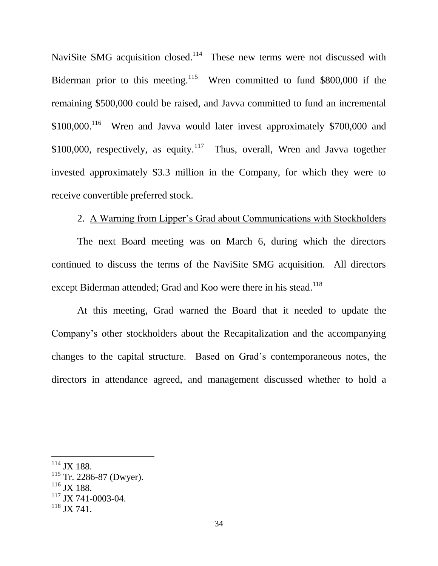NaviSite SMG acquisition closed.<sup>114</sup> These new terms were not discussed with Biderman prior to this meeting.<sup>115</sup> Wren committed to fund \$800,000 if the remaining \$500,000 could be raised, and Javva committed to fund an incremental  $$100,000$ .<sup>116</sup> Wren and Javva would later invest approximately \$700,000 and \$100,000, respectively, as equity.<sup>117</sup> Thus, overall, Wren and Javva together invested approximately \$3.3 million in the Company, for which they were to receive convertible preferred stock.

# 2. A Warning from Lipper's Grad about Communications with Stockholders

The next Board meeting was on March 6, during which the directors continued to discuss the terms of the NaviSite SMG acquisition. All directors except Biderman attended; Grad and Koo were there in his stead.<sup>118</sup>

At this meeting, Grad warned the Board that it needed to update the Company's other stockholders about the Recapitalization and the accompanying changes to the capital structure. Based on Grad's contemporaneous notes, the directors in attendance agreed, and management discussed whether to hold a

<sup>114</sup> JX 188.

 $115$  Tr. 2286-87 (Dwyer).

 $116$  JX 188.

 $117$  JX 741-0003-04.

 $118$  JX 741.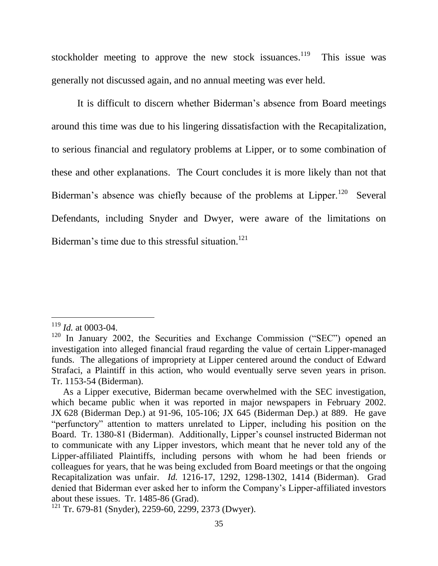stockholder meeting to approve the new stock issuances.<sup>119</sup> This issue was generally not discussed again, and no annual meeting was ever held.

It is difficult to discern whether Biderman's absence from Board meetings around this time was due to his lingering dissatisfaction with the Recapitalization, to serious financial and regulatory problems at Lipper, or to some combination of these and other explanations. The Court concludes it is more likely than not that Biderman's absence was chiefly because of the problems at Lipper.<sup>120</sup> Several Defendants, including Snyder and Dwyer, were aware of the limitations on Biderman's time due to this stressful situation.<sup>121</sup>

<sup>119</sup> *Id.* at 0003-04.

 $120$  In January 2002, the Securities and Exchange Commission ("SEC") opened an investigation into alleged financial fraud regarding the value of certain Lipper-managed funds. The allegations of impropriety at Lipper centered around the conduct of Edward Strafaci, a Plaintiff in this action, who would eventually serve seven years in prison. Tr. 1153-54 (Biderman).

As a Lipper executive, Biderman became overwhelmed with the SEC investigation, which became public when it was reported in major newspapers in February 2002. JX 628 (Biderman Dep.) at 91-96, 105-106; JX 645 (Biderman Dep.) at 889. He gave "perfunctory" attention to matters unrelated to Lipper, including his position on the Board. Tr. 1380-81 (Biderman). Additionally, Lipper's counsel instructed Biderman not to communicate with any Lipper investors, which meant that he never told any of the Lipper-affiliated Plaintiffs, including persons with whom he had been friends or colleagues for years, that he was being excluded from Board meetings or that the ongoing Recapitalization was unfair. *Id.* 1216-17, 1292, 1298-1302, 1414 (Biderman). Grad denied that Biderman ever asked her to inform the Company's Lipper-affiliated investors about these issues. Tr. 1485-86 (Grad).

 $121$  Tr. 679-81 (Snyder), 2259-60, 2299, 2373 (Dwyer).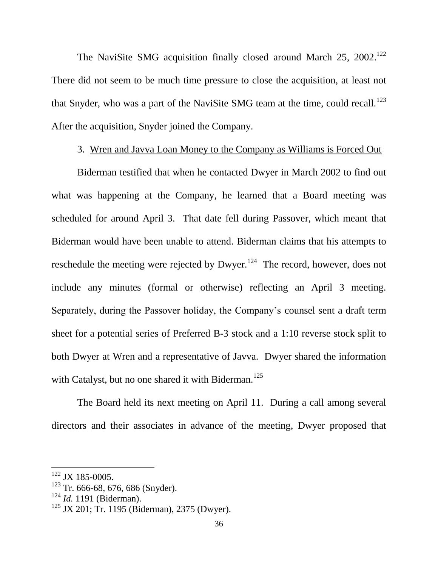The NaviSite SMG acquisition finally closed around March  $25$ ,  $2002$ <sup>122</sup> There did not seem to be much time pressure to close the acquisition, at least not that Snyder, who was a part of the NaviSite SMG team at the time, could recall.<sup>123</sup> After the acquisition, Snyder joined the Company.

### 3. Wren and Javva Loan Money to the Company as Williams is Forced Out

Biderman testified that when he contacted Dwyer in March 2002 to find out what was happening at the Company, he learned that a Board meeting was scheduled for around April 3. That date fell during Passover, which meant that Biderman would have been unable to attend. Biderman claims that his attempts to reschedule the meeting were rejected by Dwyer.<sup>124</sup> The record, however, does not include any minutes (formal or otherwise) reflecting an April 3 meeting. Separately, during the Passover holiday, the Company's counsel sent a draft term sheet for a potential series of Preferred B-3 stock and a 1:10 reverse stock split to both Dwyer at Wren and a representative of Javva. Dwyer shared the information with Catalyst, but no one shared it with Biderman.<sup>125</sup>

The Board held its next meeting on April 11. During a call among several directors and their associates in advance of the meeting, Dwyer proposed that

<sup>122</sup> JX 185-0005.

 $123$  Tr. 666-68, 676, 686 (Snyder).

<sup>124</sup> *Id.* 1191 (Biderman).

<sup>&</sup>lt;sup>125</sup> JX 201; Tr. 1195 (Biderman), 2375 (Dwyer).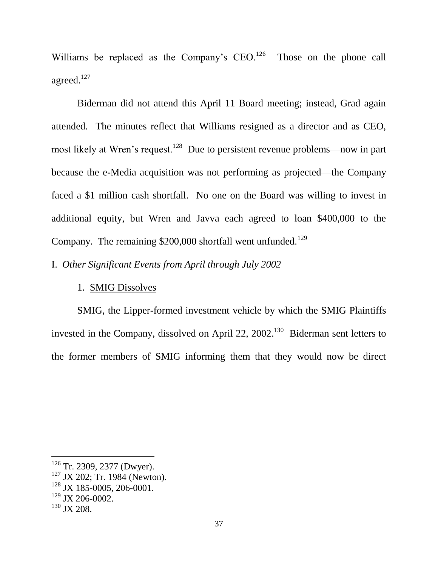Williams be replaced as the Company's  $CEO<sup>126</sup>$  Those on the phone call agreed.<sup>127</sup>

Biderman did not attend this April 11 Board meeting; instead, Grad again attended. The minutes reflect that Williams resigned as a director and as CEO, most likely at Wren's request.<sup>128</sup> Due to persistent revenue problems—now in part because the e-Media acquisition was not performing as projected—the Company faced a \$1 million cash shortfall. No one on the Board was willing to invest in additional equity, but Wren and Javva each agreed to loan \$400,000 to the Company. The remaining \$200,000 shortfall went unfunded.<sup>129</sup>

I. *Other Significant Events from April through July 2002*

### 1. SMIG Dissolves

SMIG, the Lipper-formed investment vehicle by which the SMIG Plaintiffs invested in the Company, dissolved on April 22,  $2002$ .<sup>130</sup> Biderman sent letters to the former members of SMIG informing them that they would now be direct

<sup>&</sup>lt;sup>126</sup> Tr. 2309, 2377 (Dwyer).

 $127$  JX 202; Tr. 1984 (Newton).

<sup>128</sup> JX 185-0005, 206-0001.

<sup>129</sup> JX 206-0002.

<sup>&</sup>lt;sup>130</sup> JX 208.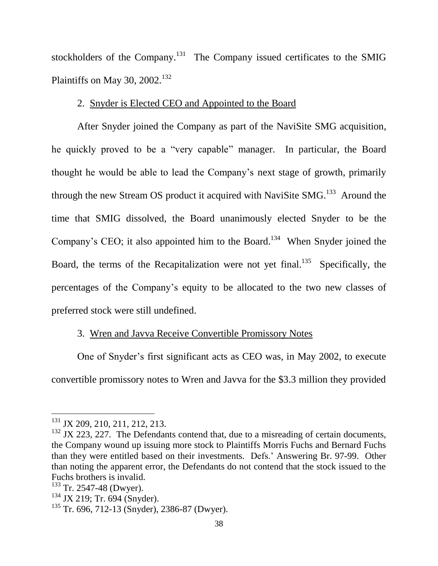stockholders of the Company.<sup>131</sup> The Company issued certificates to the SMIG Plaintiffs on May 30, 2002.<sup>132</sup>

# 2. Snyder is Elected CEO and Appointed to the Board

After Snyder joined the Company as part of the NaviSite SMG acquisition, he quickly proved to be a "very capable" manager. In particular, the Board thought he would be able to lead the Company's next stage of growth, primarily through the new Stream OS product it acquired with NaviSite  $SMG$ <sup>133</sup> Around the time that SMIG dissolved, the Board unanimously elected Snyder to be the Company's CEO; it also appointed him to the Board.<sup>134</sup> When Snyder joined the Board, the terms of the Recapitalization were not yet final.<sup>135</sup> Specifically, the percentages of the Company's equity to be allocated to the two new classes of preferred stock were still undefined.

# 3. Wren and Javva Receive Convertible Promissory Notes

One of Snyder's first significant acts as CEO was, in May 2002, to execute convertible promissory notes to Wren and Javva for the \$3.3 million they provided

<sup>&</sup>lt;sup>131</sup> JX 209, 210, 211, 212, 213.

 $132$  JX 223, 227. The Defendants contend that, due to a misreading of certain documents, the Company wound up issuing more stock to Plaintiffs Morris Fuchs and Bernard Fuchs than they were entitled based on their investments. Defs.' Answering Br. 97-99. Other than noting the apparent error, the Defendants do not contend that the stock issued to the Fuchs brothers is invalid.

 $133$  Tr. 2547-48 (Dwyer).

<sup>&</sup>lt;sup>134</sup> JX 219; Tr. 694 (Snyder).

 $135$  Tr. 696, 712-13 (Snyder), 2386-87 (Dwyer).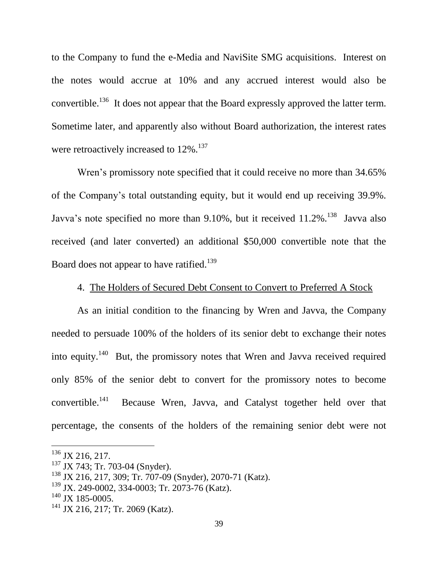to the Company to fund the e-Media and NaviSite SMG acquisitions. Interest on the notes would accrue at 10% and any accrued interest would also be convertible.<sup>136</sup> It does not appear that the Board expressly approved the latter term. Sometime later, and apparently also without Board authorization, the interest rates were retroactively increased to 12%.<sup>137</sup>

Wren's promissory note specified that it could receive no more than 34.65% of the Company's total outstanding equity, but it would end up receiving 39.9%. Javva's note specified no more than 9.10%, but it received  $11.2\%$ . <sup>138</sup> Javva also received (and later converted) an additional \$50,000 convertible note that the Board does not appear to have ratified.<sup>139</sup>

# 4. The Holders of Secured Debt Consent to Convert to Preferred A Stock

As an initial condition to the financing by Wren and Javva, the Company needed to persuade 100% of the holders of its senior debt to exchange their notes into equity.<sup>140</sup> But, the promissory notes that Wren and Javva received required only 85% of the senior debt to convert for the promissory notes to become convertible.<sup>141</sup> Because Wren, Javva, and Catalyst together held over that percentage, the consents of the holders of the remaining senior debt were not

 $136$  JX 216, 217.

<sup>&</sup>lt;sup>137</sup> JX 743; Tr. 703-04 (Snyder).

<sup>138</sup> JX 216, 217, 309; Tr. 707-09 (Snyder), 2070-71 (Katz).

<sup>139</sup> JX. 249-0002, 334-0003; Tr. 2073-76 (Katz).

 $140$  JX 185-0005.

<sup>&</sup>lt;sup>141</sup> JX 216, 217; Tr. 2069 (Katz).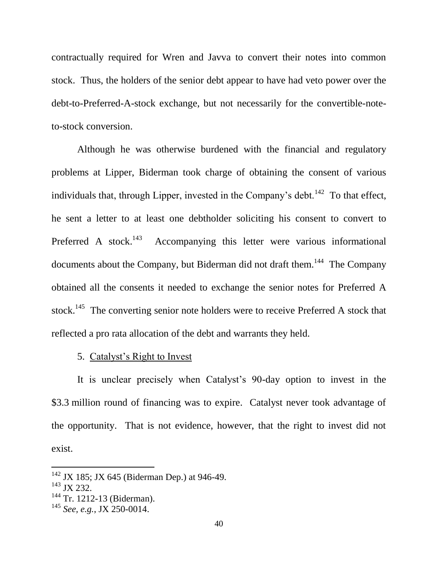contractually required for Wren and Javva to convert their notes into common stock.Thus, the holders of the senior debt appear to have had veto power over the debt-to-Preferred-A-stock exchange, but not necessarily for the convertible-noteto-stock conversion.

Although he was otherwise burdened with the financial and regulatory problems at Lipper, Biderman took charge of obtaining the consent of various individuals that, through Lipper, invested in the Company's debt.<sup>142</sup> To that effect, he sent a letter to at least one debtholder soliciting his consent to convert to Preferred A stock.<sup>143</sup> Accompanying this letter were various informational documents about the Company, but Biderman did not draft them.<sup>144</sup> The Company obtained all the consents it needed to exchange the senior notes for Preferred A stock.<sup>145</sup> The converting senior note holders were to receive Preferred A stock that reflected a pro rata allocation of the debt and warrants they held.

#### 5. Catalyst's Right to Invest

It is unclear precisely when Catalyst's 90-day option to invest in the \$3.3 million round of financing was to expire. Catalyst never took advantage of the opportunity. That is not evidence, however, that the right to invest did not exist.

 $142$  JX 185; JX 645 (Biderman Dep.) at 946-49.

<sup>&</sup>lt;sup>143</sup> JX 232.

<sup>&</sup>lt;sup>144</sup> Tr. 1212-13 (Biderman).

<sup>145</sup> *See, e.g.*, JX 250-0014.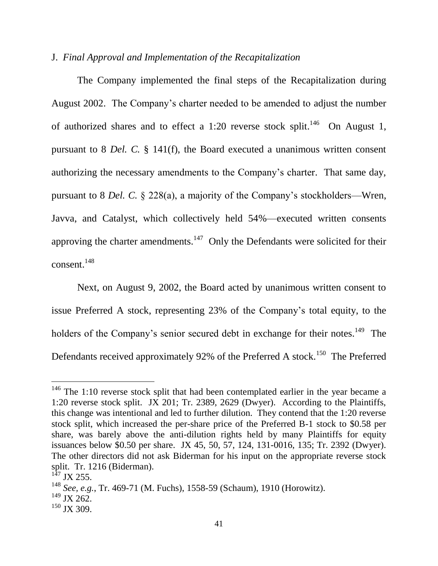# J. *Final Approval and Implementation of the Recapitalization*

The Company implemented the final steps of the Recapitalization during August 2002. The Company's charter needed to be amended to adjust the number of authorized shares and to effect a 1:20 reverse stock split.<sup>146</sup> On August 1, pursuant to 8 *Del. C.* § 141(f), the Board executed a unanimous written consent authorizing the necessary amendments to the Company's charter. That same day, pursuant to 8 *Del. C.* § 228(a), a majority of the Company's stockholders—Wren, Javva, and Catalyst, which collectively held 54%—executed written consents approving the charter amendments.<sup>147</sup> Only the Defendants were solicited for their consent. 148

Next, on August 9, 2002, the Board acted by unanimous written consent to issue Preferred A stock, representing 23% of the Company's total equity, to the holders of the Company's senior secured debt in exchange for their notes.<sup>149</sup> The Defendants received approximately 92% of the Preferred A stock.<sup>150</sup> The Preferred

 $146$  The 1:10 reverse stock split that had been contemplated earlier in the year became a 1:20 reverse stock split. JX 201; Tr. 2389, 2629 (Dwyer). According to the Plaintiffs, this change was intentional and led to further dilution. They contend that the 1:20 reverse stock split, which increased the per-share price of the Preferred B-1 stock to \$0.58 per share, was barely above the anti-dilution rights held by many Plaintiffs for equity issuances below \$0.50 per share. JX 45, 50, 57, 124, 131-0016, 135; Tr. 2392 (Dwyer). The other directors did not ask Biderman for his input on the appropriate reverse stock split. Tr. 1216 (Biderman).

 $^{147}$  JX 255.

<sup>148</sup> *See, e.g.*, Tr. 469-71 (M. Fuchs), 1558-59 (Schaum), 1910 (Horowitz).

 $^{149}$  JX 262.

 $150$  JX 309.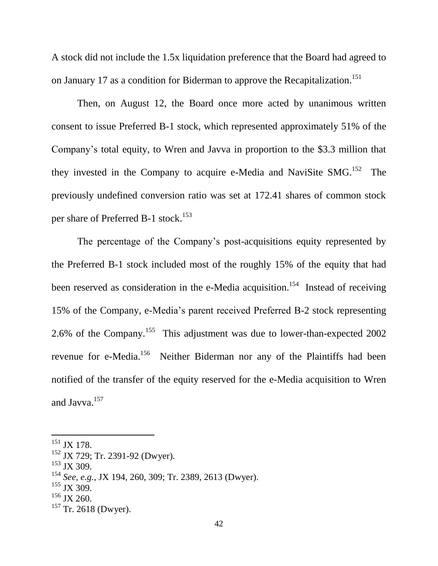A stock did not include the 1.5x liquidation preference that the Board had agreed to on January 17 as a condition for Biderman to approve the Recapitalization.<sup>151</sup>

Then, on August 12, the Board once more acted by unanimous written consent to issue Preferred B-1 stock, which represented approximately 51% of the Company's total equity, to Wren and Javva in proportion to the \$3.3 million that they invested in the Company to acquire e-Media and NaviSite  $SMG$ <sup>152</sup> The previously undefined conversion ratio was set at 172.41 shares of common stock per share of Preferred B-1 stock.<sup>153</sup>

The percentage of the Company's post-acquisitions equity represented by the Preferred B-1 stock included most of the roughly 15% of the equity that had been reserved as consideration in the e-Media acquisition.<sup>154</sup> Instead of receiving 15% of the Company, e-Media's parent received Preferred B-2 stock representing 2.6% of the Company.<sup>155</sup> This adjustment was due to lower-than-expected 2002 revenue for e-Media.<sup>156</sup> Neither Biderman nor any of the Plaintiffs had been notified of the transfer of the equity reserved for the e-Media acquisition to Wren and Javva. 157

<sup>&</sup>lt;sup>151</sup> JX 178.

<sup>152</sup> JX 729; Tr. 2391-92 (Dwyer).

<sup>&</sup>lt;sup>153</sup> JX 309.

<sup>154</sup> *See, e.g.*, JX 194, 260, 309; Tr. 2389, 2613 (Dwyer).

<sup>&</sup>lt;sup>155</sup> JX 309.

 $156$  JX 260.

 $157$  Tr. 2618 (Dwyer).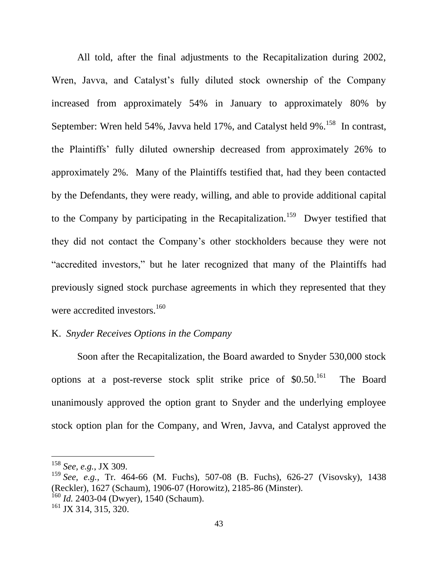All told, after the final adjustments to the Recapitalization during 2002, Wren, Javva, and Catalyst's fully diluted stock ownership of the Company increased from approximately 54% in January to approximately 80% by September: Wren held 54%, Javva held 17%, and Catalyst held 9%.<sup>158</sup> In contrast, the Plaintiffs' fully diluted ownership decreased from approximately 26% to approximately 2%. Many of the Plaintiffs testified that, had they been contacted by the Defendants, they were ready, willing, and able to provide additional capital to the Company by participating in the Recapitalization.<sup>159</sup> Dwyer testified that they did not contact the Company's other stockholders because they were not "accredited investors," but he later recognized that many of the Plaintiffs had previously signed stock purchase agreements in which they represented that they were accredited investors.<sup>160</sup>

### K. *Snyder Receives Options in the Company*

Soon after the Recapitalization, the Board awarded to Snyder 530,000 stock options at a post-reverse stock split strike price of \$0.50.<sup>161</sup> The Board unanimously approved the option grant to Snyder and the underlying employee stock option plan for the Company, and Wren, Javva, and Catalyst approved the

<sup>158</sup> *See, e.g.*, JX 309.

<sup>159</sup> *See, e.g.*, Tr. 464-66 (M. Fuchs), 507-08 (B. Fuchs), 626-27 (Visovsky), 1438 (Reckler), 1627 (Schaum), 1906-07 (Horowitz), 2185-86 (Minster). <sup>160</sup> *Id.* 2403-04 (Dwyer), 1540 (Schaum).

<sup>&</sup>lt;sup>161</sup> JX 314, 315, 320.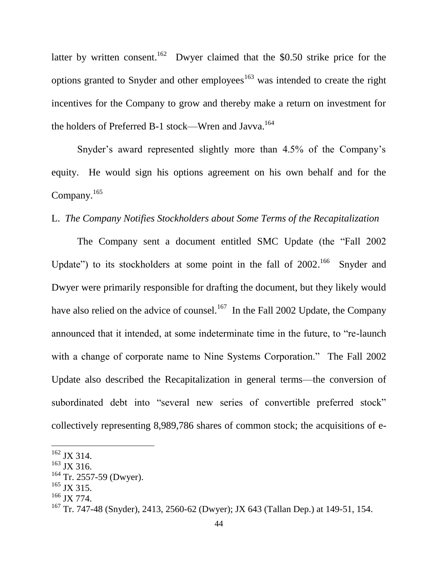latter by written consent.<sup>162</sup> Dwyer claimed that the \$0.50 strike price for the options granted to Snyder and other employees<sup>163</sup> was intended to create the right incentives for the Company to grow and thereby make a return on investment for the holders of Preferred B-1 stock—Wren and Javva.<sup>164</sup>

Snyder's award represented slightly more than 4.5% of the Company's equity. He would sign his options agreement on his own behalf and for the Company. $165$ 

# L. *The Company Notifies Stockholders about Some Terms of the Recapitalization*

The Company sent a document entitled SMC Update (the "Fall 2002 Update") to its stockholders at some point in the fall of  $2002$ .<sup>166</sup> Snyder and Dwyer were primarily responsible for drafting the document, but they likely would have also relied on the advice of counsel.<sup>167</sup> In the Fall 2002 Update, the Company announced that it intended, at some indeterminate time in the future, to "re-launch with a change of corporate name to Nine Systems Corporation." The Fall 2002 Update also described the Recapitalization in general terms—the conversion of subordinated debt into "several new series of convertible preferred stock" collectively representing 8,989,786 shares of common stock; the acquisitions of e-

 $162$  JX 314.

<sup>&</sup>lt;sup>163</sup> JX 316.

<sup>&</sup>lt;sup>164</sup> Tr. 2557-59 (Dwyer).

 $165$  JX 315.

 $166$  JX 774.

<sup>&</sup>lt;sup>167</sup> Tr. 747-48 (Snyder), 2413, 2560-62 (Dwyer); JX 643 (Tallan Dep.) at 149-51, 154.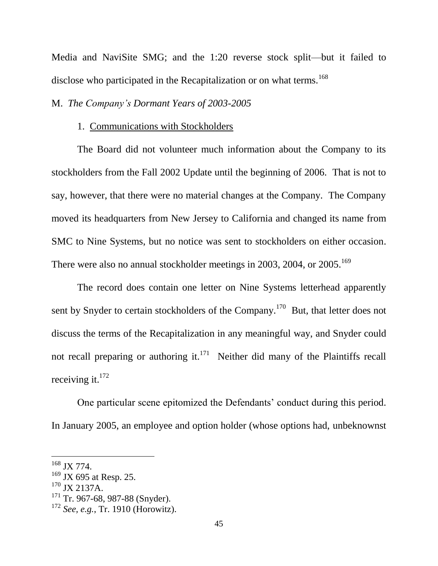Media and NaviSite SMG; and the 1:20 reverse stock split—but it failed to disclose who participated in the Recapitalization or on what terms.<sup>168</sup>

#### M. *The Company's Dormant Years of 2003-2005*

#### 1. Communications with Stockholders

The Board did not volunteer much information about the Company to its stockholders from the Fall 2002 Update until the beginning of 2006. That is not to say, however, that there were no material changes at the Company. The Company moved its headquarters from New Jersey to California and changed its name from SMC to Nine Systems, but no notice was sent to stockholders on either occasion. There were also no annual stockholder meetings in 2003, 2004, or 2005.<sup>169</sup>

The record does contain one letter on Nine Systems letterhead apparently sent by Snyder to certain stockholders of the Company.<sup>170</sup> But, that letter does not discuss the terms of the Recapitalization in any meaningful way, and Snyder could not recall preparing or authoring it. $171$  Neither did many of the Plaintiffs recall receiving it. $^{172}$ 

One particular scene epitomized the Defendants' conduct during this period. In January 2005, an employee and option holder (whose options had, unbeknownst

<sup>168</sup> JX 774.

<sup>&</sup>lt;sup>169</sup> JX 695 at Resp. 25.

 $170$  JX 2137A.

<sup>&</sup>lt;sup>171</sup> Tr. 967-68, 987-88 (Snyder).

<sup>172</sup> *See, e.g.*, Tr. 1910 (Horowitz).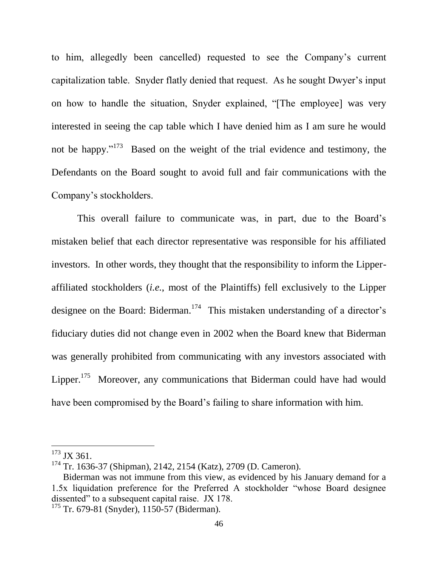to him, allegedly been cancelled) requested to see the Company's current capitalization table. Snyder flatly denied that request. As he sought Dwyer's input on how to handle the situation, Snyder explained, "[The employee] was very interested in seeing the cap table which I have denied him as I am sure he would not be happy."<sup>173</sup> Based on the weight of the trial evidence and testimony, the Defendants on the Board sought to avoid full and fair communications with the Company's stockholders.

This overall failure to communicate was, in part, due to the Board's mistaken belief that each director representative was responsible for his affiliated investors. In other words, they thought that the responsibility to inform the Lipperaffiliated stockholders (*i.e.*, most of the Plaintiffs) fell exclusively to the Lipper designee on the Board: Biderman.<sup>174</sup> This mistaken understanding of a director's fiduciary duties did not change even in 2002 when the Board knew that Biderman was generally prohibited from communicating with any investors associated with Lipper.<sup>175</sup> Moreover, any communications that Biderman could have had would have been compromised by the Board's failing to share information with him.

 $173$  JX 361.

<sup>174</sup> Tr. 1636-37 (Shipman), 2142, 2154 (Katz), 2709 (D. Cameron).

Biderman was not immune from this view, as evidenced by his January demand for a 1.5x liquidation preference for the Preferred A stockholder "whose Board designee dissented" to a subsequent capital raise. JX 178.

<sup>&</sup>lt;sup>175</sup> Tr. 679-81 (Snyder), 1150-57 (Biderman).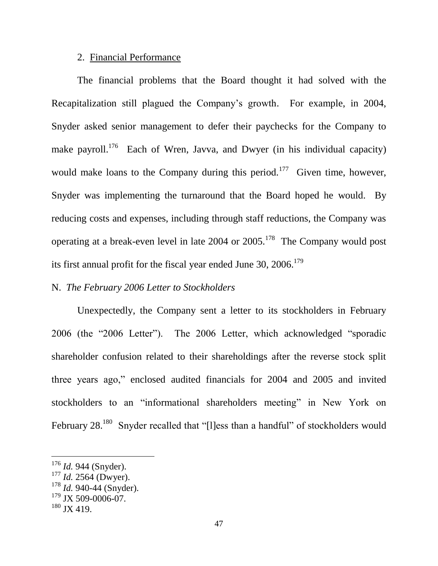### 2. Financial Performance

The financial problems that the Board thought it had solved with the Recapitalization still plagued the Company's growth. For example, in 2004, Snyder asked senior management to defer their paychecks for the Company to make payroll.<sup>176</sup> Each of Wren, Javva, and Dwyer (in his individual capacity) would make loans to the Company during this period.<sup>177</sup> Given time, however, Snyder was implementing the turnaround that the Board hoped he would. By reducing costs and expenses, including through staff reductions, the Company was operating at a break-even level in late  $2004$  or  $2005$ .<sup>178</sup> The Company would post its first annual profit for the fiscal year ended June 30, 2006.<sup>179</sup>

# N. *The February 2006 Letter to Stockholders*

Unexpectedly, the Company sent a letter to its stockholders in February 2006 (the "2006 Letter"). The 2006 Letter, which acknowledged "sporadic shareholder confusion related to their shareholdings after the reverse stock split three years ago," enclosed audited financials for 2004 and 2005 and invited stockholders to an "informational shareholders meeting" in New York on February 28.<sup>180</sup> Snyder recalled that "[I]ess than a handful" of stockholders would

<sup>176</sup> *Id.* 944 (Snyder).

<sup>177</sup> *Id.* 2564 (Dwyer).

<sup>178</sup> *Id.* 940-44 (Snyder).

 $179$  JX 509-0006-07.

 $180$  JX 419.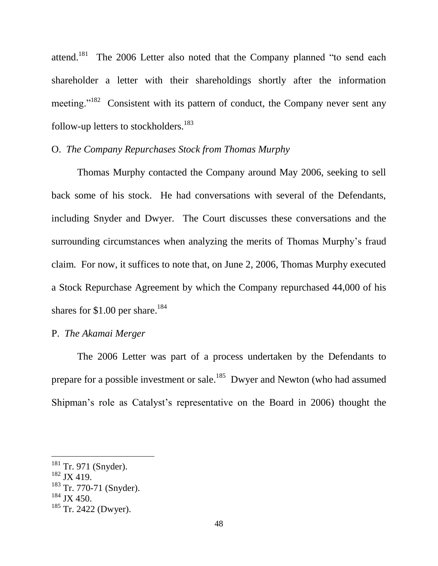attend.<sup>181</sup> The 2006 Letter also noted that the Company planned "to send each shareholder a letter with their shareholdings shortly after the information meeting."<sup>182</sup> Consistent with its pattern of conduct, the Company never sent any follow-up letters to stockholders.<sup>183</sup>

# O. *The Company Repurchases Stock from Thomas Murphy*

Thomas Murphy contacted the Company around May 2006, seeking to sell back some of his stock. He had conversations with several of the Defendants, including Snyder and Dwyer. The Court discusses these conversations and the surrounding circumstances when analyzing the merits of Thomas Murphy's fraud claim. For now, it suffices to note that, on June 2, 2006, Thomas Murphy executed a Stock Repurchase Agreement by which the Company repurchased 44,000 of his shares for \$1.00 per share.<sup>184</sup>

# P. *The Akamai Merger*

The 2006 Letter was part of a process undertaken by the Defendants to prepare for a possible investment or sale.<sup>185</sup> Dwyer and Newton (who had assumed Shipman's role as Catalyst's representative on the Board in 2006) thought the

<sup>&</sup>lt;sup>181</sup> Tr. 971 (Snyder).

 $182 \text{ JX}$  419.

<sup>&</sup>lt;sup>183</sup> Tr. 770-71 (Snyder).

 $184$  JX 450.

 $185$  Tr. 2422 (Dwyer).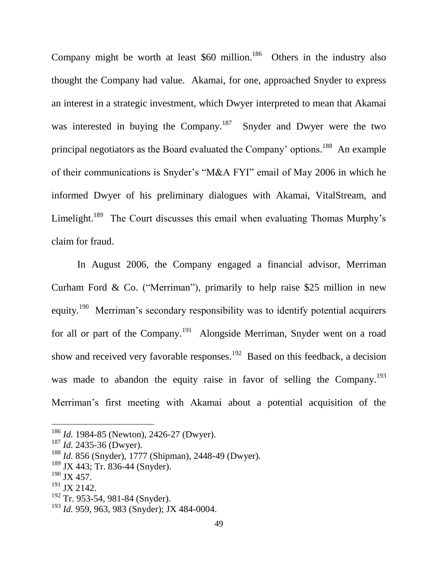Company might be worth at least  $$60$  million.<sup>186</sup> Others in the industry also thought the Company had value. Akamai, for one, approached Snyder to express an interest in a strategic investment, which Dwyer interpreted to mean that Akamai was interested in buying the Company.<sup>187</sup> Snyder and Dwyer were the two principal negotiators as the Board evaluated the Company' options.<sup>188</sup> An example of their communications is Snyder's "M&A FYI" email of May 2006 in which he informed Dwyer of his preliminary dialogues with Akamai, VitalStream, and Limelight.<sup>189</sup> The Court discusses this email when evaluating Thomas Murphy's claim for fraud.

In August 2006, the Company engaged a financial advisor, Merriman Curham Ford & Co. ("Merriman"), primarily to help raise \$25 million in new equity.<sup>190</sup> Merriman's secondary responsibility was to identify potential acquirers for all or part of the Company.<sup>191</sup> Alongside Merriman, Snyder went on a road show and received very favorable responses.<sup>192</sup> Based on this feedback, a decision was made to abandon the equity raise in favor of selling the Company.<sup>193</sup> Merriman's first meeting with Akamai about a potential acquisition of the

<sup>186</sup> *Id.* 1984-85 (Newton), 2426-27 (Dwyer).

<sup>187</sup> *Id.* 2435-36 (Dwyer).

<sup>188</sup> *Id.* 856 (Snyder), 1777 (Shipman), 2448-49 (Dwyer).

 $189$  JX 443; Tr. 836-44 (Snyder).

 $190$  JX 457.

 $191$  JX 2142.

<sup>&</sup>lt;sup>192</sup> Tr. 953-54, 981-84 (Snyder).

<sup>193</sup> *Id.* 959, 963, 983 (Snyder); JX 484-0004.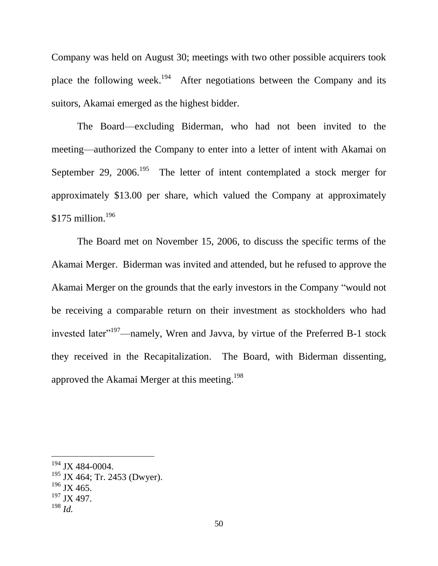Company was held on August 30; meetings with two other possible acquirers took place the following week.<sup>194</sup> After negotiations between the Company and its suitors, Akamai emerged as the highest bidder.

The Board—excluding Biderman, who had not been invited to the meeting—authorized the Company to enter into a letter of intent with Akamai on September 29, 2006.<sup>195</sup> The letter of intent contemplated a stock merger for approximately \$13.00 per share, which valued the Company at approximately  $$175$  million.<sup>196</sup>

The Board met on November 15, 2006, to discuss the specific terms of the Akamai Merger. Biderman was invited and attended, but he refused to approve the Akamai Merger on the grounds that the early investors in the Company "would not be receiving a comparable return on their investment as stockholders who had invested later<sup> $197$ </sup>—namely, Wren and Javva, by virtue of the Preferred B-1 stock they received in the Recapitalization. The Board, with Biderman dissenting, approved the Akamai Merger at this meeting.<sup>198</sup>

- $195$  JX 464; Tr. 2453 (Dwyer).
- $196$  JX 465.
- $197$  JX 497.
- <sup>198</sup> *Id.*

<sup>194</sup> JX 484-0004.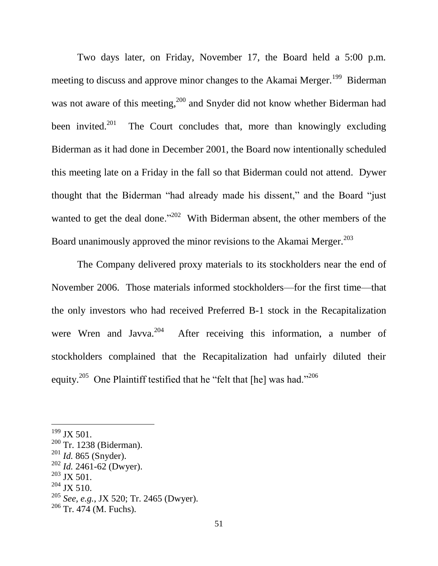Two days later, on Friday, November 17, the Board held a 5:00 p.m. meeting to discuss and approve minor changes to the Akamai Merger.<sup>199</sup> Biderman was not aware of this meeting,<sup>200</sup> and Snyder did not know whether Biderman had been invited.<sup>201</sup> The Court concludes that, more than knowingly excluding Biderman as it had done in December 2001, the Board now intentionally scheduled this meeting late on a Friday in the fall so that Biderman could not attend. Dywer thought that the Biderman "had already made his dissent," and the Board "just wanted to get the deal done."<sup>202</sup> With Biderman absent, the other members of the Board unanimously approved the minor revisions to the Akamai Merger.<sup>203</sup>

The Company delivered proxy materials to its stockholders near the end of November 2006. Those materials informed stockholders—for the first time—that the only investors who had received Preferred B-1 stock in the Recapitalization were Wren and Javva. $204$  After receiving this information, a number of stockholders complained that the Recapitalization had unfairly diluted their equity.<sup>205</sup> One Plaintiff testified that he "felt that [he] was had."<sup>206</sup>

<sup>&</sup>lt;sup>199</sup> JX 501.

<sup>&</sup>lt;sup>200</sup> Tr. 1238 (Biderman).

<sup>201</sup> *Id.* 865 (Snyder).

<sup>202</sup> *Id.* 2461-62 (Dwyer).

 $203$  JX 501.

 $204$  JX 510.

<sup>205</sup> *See, e.g.*, JX 520; Tr. 2465 (Dwyer).

 $206$  Tr. 474 (M. Fuchs).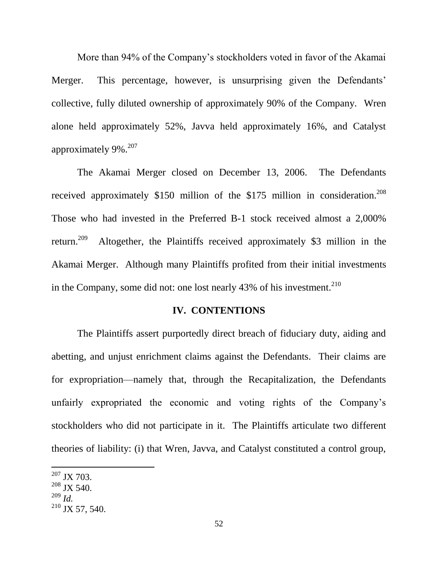More than 94% of the Company's stockholders voted in favor of the Akamai Merger. This percentage, however, is unsurprising given the Defendants' collective, fully diluted ownership of approximately 90% of the Company. Wren alone held approximately 52%, Javva held approximately 16%, and Catalyst approximately 9%.<sup>207</sup>

The Akamai Merger closed on December 13, 2006. The Defendants received approximately \$150 million of the \$175 million in consideration.<sup>208</sup> Those who had invested in the Preferred B-1 stock received almost a 2,000% return. $209$  Altogether, the Plaintiffs received approximately \$3 million in the Akamai Merger. Although many Plaintiffs profited from their initial investments in the Company, some did not: one lost nearly  $43\%$  of his investment.<sup>210</sup>

#### **IV. CONTENTIONS**

The Plaintiffs assert purportedly direct breach of fiduciary duty, aiding and abetting, and unjust enrichment claims against the Defendants. Their claims are for expropriation—namely that, through the Recapitalization, the Defendants unfairly expropriated the economic and voting rights of the Company's stockholders who did not participate in it. The Plaintiffs articulate two different theories of liability: (i) that Wren, Javva, and Catalyst constituted a control group,

<sup>207</sup> JX 703.

 $208$  JX 540.

<sup>209</sup> *Id.*

 $210$  JX 57, 540.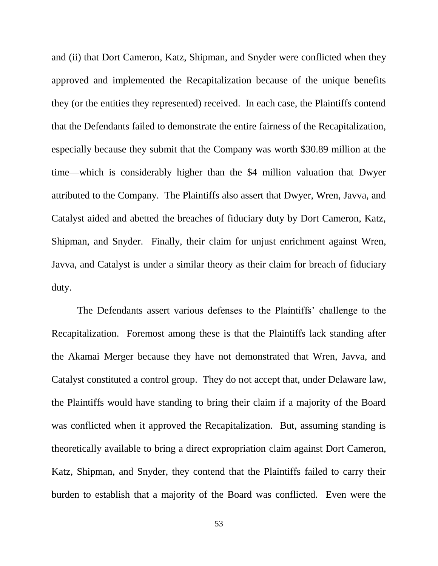and (ii) that Dort Cameron, Katz, Shipman, and Snyder were conflicted when they approved and implemented the Recapitalization because of the unique benefits they (or the entities they represented) received. In each case, the Plaintiffs contend that the Defendants failed to demonstrate the entire fairness of the Recapitalization, especially because they submit that the Company was worth \$30.89 million at the time—which is considerably higher than the \$4 million valuation that Dwyer attributed to the Company. The Plaintiffs also assert that Dwyer, Wren, Javva, and Catalyst aided and abetted the breaches of fiduciary duty by Dort Cameron, Katz, Shipman, and Snyder. Finally, their claim for unjust enrichment against Wren, Javva, and Catalyst is under a similar theory as their claim for breach of fiduciary duty.

The Defendants assert various defenses to the Plaintiffs' challenge to the Recapitalization. Foremost among these is that the Plaintiffs lack standing after the Akamai Merger because they have not demonstrated that Wren, Javva, and Catalyst constituted a control group. They do not accept that, under Delaware law, the Plaintiffs would have standing to bring their claim if a majority of the Board was conflicted when it approved the Recapitalization. But, assuming standing is theoretically available to bring a direct expropriation claim against Dort Cameron, Katz, Shipman, and Snyder, they contend that the Plaintiffs failed to carry their burden to establish that a majority of the Board was conflicted. Even were the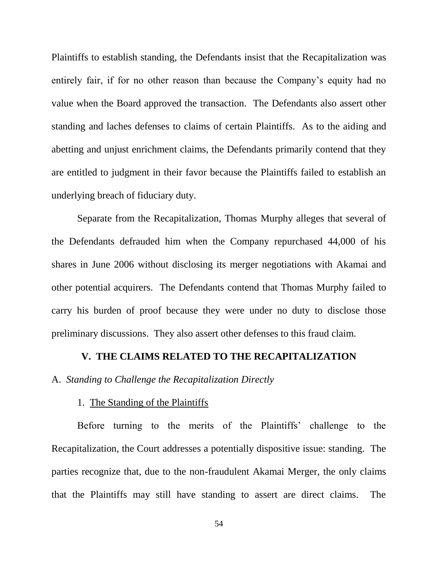Plaintiffs to establish standing, the Defendants insist that the Recapitalization was entirely fair, if for no other reason than because the Company's equity had no value when the Board approved the transaction. The Defendants also assert other standing and laches defenses to claims of certain Plaintiffs. As to the aiding and abetting and unjust enrichment claims, the Defendants primarily contend that they are entitled to judgment in their favor because the Plaintiffs failed to establish an underlying breach of fiduciary duty.

Separate from the Recapitalization, Thomas Murphy alleges that several of the Defendants defrauded him when the Company repurchased 44,000 of his shares in June 2006 without disclosing its merger negotiations with Akamai and other potential acquirers. The Defendants contend that Thomas Murphy failed to carry his burden of proof because they were under no duty to disclose those preliminary discussions. They also assert other defenses to this fraud claim.

#### **V. THE CLAIMS RELATED TO THE RECAPITALIZATION**

A. *Standing to Challenge the Recapitalization Directly*

#### 1. The Standing of the Plaintiffs

Before turning to the merits of the Plaintiffs' challenge to the Recapitalization, the Court addresses a potentially dispositive issue: standing. The parties recognize that, due to the non-fraudulent Akamai Merger, the only claims that the Plaintiffs may still have standing to assert are direct claims. The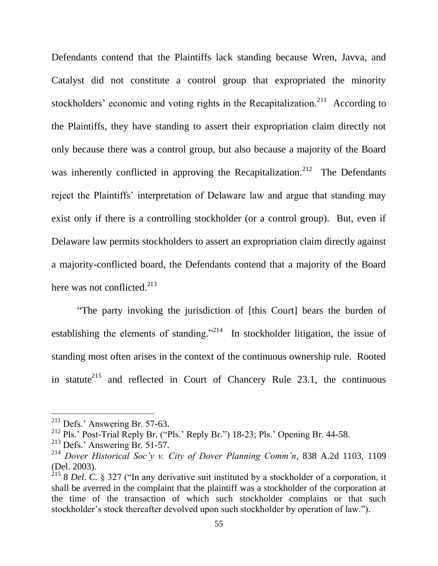Defendants contend that the Plaintiffs lack standing because Wren, Javva, and Catalyst did not constitute a control group that expropriated the minority stockholders' economic and voting rights in the Recapitalization.<sup>211</sup> According to the Plaintiffs, they have standing to assert their expropriation claim directly not only because there was a control group, but also because a majority of the Board was inherently conflicted in approving the Recapitalization.<sup>212</sup> The Defendants reject the Plaintiffs' interpretation of Delaware law and argue that standing may exist only if there is a controlling stockholder (or a control group). But, even if Delaware law permits stockholders to assert an expropriation claim directly against a majority-conflicted board, the Defendants contend that a majority of the Board here was not conflicted. $213$ 

"The party invoking the jurisdiction of [this Court] bears the burden of establishing the elements of standing."<sup>214</sup> In stockholder litigation, the issue of standing most often arises in the context of the continuous ownership rule. Rooted in statute<sup>215</sup> and reflected in Court of Chancery Rule 23.1, the continuous

 $^{211}$  Defs.' Answering Br. 57-63.

<sup>&</sup>lt;sup>212</sup> Pls.' Post-Trial Reply Br. ("Pls.' Reply Br.") 18-23; Pls.' Opening Br. 44-58.

<sup>213</sup> Defs.' Answering Br. 51-57.

<sup>214</sup> *Dover Historical Soc'y v. City of Dover Planning Comm'n*, 838 A.2d 1103, 1109 (Del. 2003).

<sup>215</sup> 8 *Del. C.* § 327 ("In any derivative suit instituted by a stockholder of a corporation, it shall be averred in the complaint that the plaintiff was a stockholder of the corporation at the time of the transaction of which such stockholder complains or that such stockholder's stock thereafter devolved upon such stockholder by operation of law.").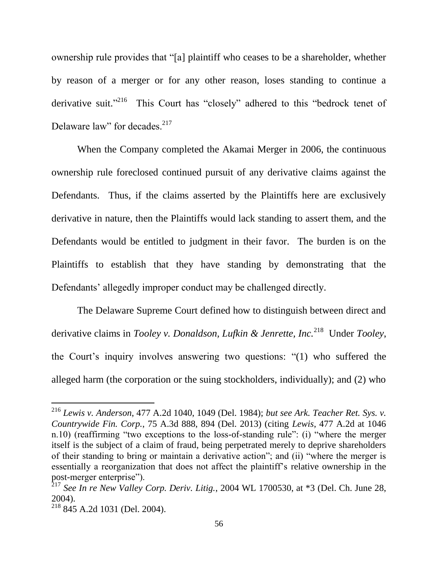ownership rule provides that "[a] plaintiff who ceases to be a shareholder, whether by reason of a merger or for any other reason, loses standing to continue a derivative suit."<sup>216</sup> This Court has "closely" adhered to this "bedrock tenet of Delaware law" for decades.<sup>217</sup>

When the Company completed the Akamai Merger in 2006, the continuous ownership rule foreclosed continued pursuit of any derivative claims against the Defendants. Thus, if the claims asserted by the Plaintiffs here are exclusively derivative in nature, then the Plaintiffs would lack standing to assert them, and the Defendants would be entitled to judgment in their favor. The burden is on the Plaintiffs to establish that they have standing by demonstrating that the Defendants' allegedly improper conduct may be challenged directly.

The Delaware Supreme Court defined how to distinguish between direct and derivative claims in *Tooley v. Donaldson, Lufkin & Jenrette, Inc.*<sup>218</sup> Under *Tooley*, the Court's inquiry involves answering two questions: "(1) who suffered the alleged harm (the corporation or the suing stockholders, individually); and (2) who

<sup>216</sup> *Lewis v. Anderson*, 477 A.2d 1040, 1049 (Del. 1984); *but see Ark. Teacher Ret. Sys. v. Countrywide Fin. Corp.*, 75 A.3d 888, 894 (Del. 2013) (citing *Lewis*, 477 A.2d at 1046 n.10) (reaffirming "two exceptions to the loss-of-standing rule": (i) "where the merger itself is the subject of a claim of fraud, being perpetrated merely to deprive shareholders of their standing to bring or maintain a derivative action"; and (ii) "where the merger is essentially a reorganization that does not affect the plaintiff's relative ownership in the post-merger enterprise").

 $^{217}$  See In re New Valley Corp. Deriv. Litig., 2004 WL 1700530, at \*3 (Del. Ch. June 28, 2004).

<sup>218</sup> 845 A.2d 1031 (Del. 2004).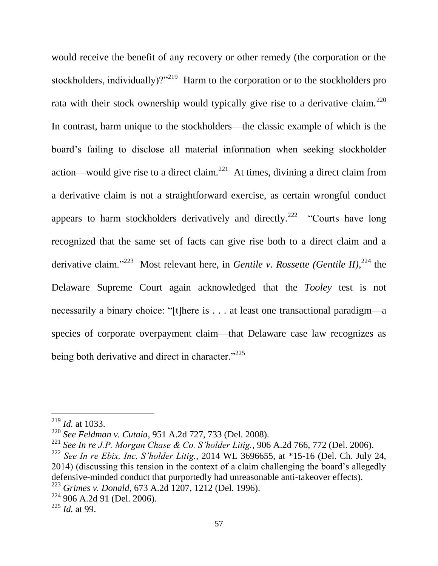would receive the benefit of any recovery or other remedy (the corporation or the stockholders, individually)?"<sup>219</sup> Harm to the corporation or to the stockholders pro rata with their stock ownership would typically give rise to a derivative claim.<sup>220</sup> In contrast, harm unique to the stockholders—the classic example of which is the board's failing to disclose all material information when seeking stockholder action—would give rise to a direct claim.<sup>221</sup> At times, divining a direct claim from a derivative claim is not a straightforward exercise, as certain wrongful conduct appears to harm stockholders derivatively and directly.<sup>222</sup> "Courts have long recognized that the same set of facts can give rise both to a direct claim and a derivative claim."<sup>223</sup> Most relevant here, in *Gentile v. Rossette (Gentile II)*,<sup>224</sup> the Delaware Supreme Court again acknowledged that the *Tooley* test is not necessarily a binary choice: "[t]here is . . . at least one transactional paradigm—a species of corporate overpayment claim—that Delaware case law recognizes as being both derivative and direct in character."<sup>225</sup>

<sup>219</sup> *Id.* at 1033.

<sup>220</sup> *See Feldman v. Cutaia*, 951 A.2d 727, 733 (Del. 2008).

<sup>221</sup> *See In re J.P. Morgan Chase & Co. S'holder Litig.*, 906 A.2d 766, 772 (Del. 2006). <sup>222</sup> *See In re Ebix, Inc. S'holder Litig.*, 2014 WL 3696655, at \*15-16 (Del. Ch. July 24, 2014) (discussing this tension in the context of a claim challenging the board's allegedly defensive-minded conduct that purportedly had unreasonable anti-takeover effects).

<sup>223</sup> *Grimes v. Donald*, 673 A.2d 1207, 1212 (Del. 1996).

<sup>224</sup> 906 A.2d 91 (Del. 2006).

<sup>225</sup> *Id.* at 99.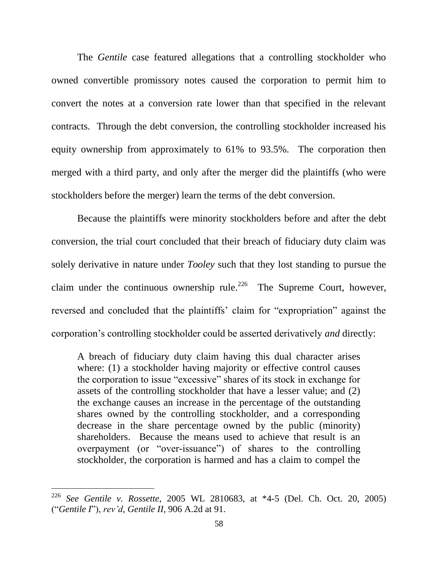The *Gentile* case featured allegations that a controlling stockholder who owned convertible promissory notes caused the corporation to permit him to convert the notes at a conversion rate lower than that specified in the relevant contracts. Through the debt conversion, the controlling stockholder increased his equity ownership from approximately to 61% to 93.5%. The corporation then merged with a third party, and only after the merger did the plaintiffs (who were stockholders before the merger) learn the terms of the debt conversion.

Because the plaintiffs were minority stockholders before and after the debt conversion, the trial court concluded that their breach of fiduciary duty claim was solely derivative in nature under *Tooley* such that they lost standing to pursue the claim under the continuous ownership rule.<sup>226</sup> The Supreme Court, however, reversed and concluded that the plaintiffs' claim for "expropriation" against the corporation's controlling stockholder could be asserted derivatively *and* directly:

A breach of fiduciary duty claim having this dual character arises where: (1) a stockholder having majority or effective control causes the corporation to issue "excessive" shares of its stock in exchange for assets of the controlling stockholder that have a lesser value; and (2) the exchange causes an increase in the percentage of the outstanding shares owned by the controlling stockholder, and a corresponding decrease in the share percentage owned by the public (minority) shareholders. Because the means used to achieve that result is an overpayment (or "over-issuance") of shares to the controlling stockholder, the corporation is harmed and has a claim to compel the

<sup>226</sup> *See Gentile v. Rossette*, 2005 WL 2810683, at \*4-5 (Del. Ch. Oct. 20, 2005) ("*Gentile I*"), *rev'd*, *Gentile II*, 906 A.2d at 91.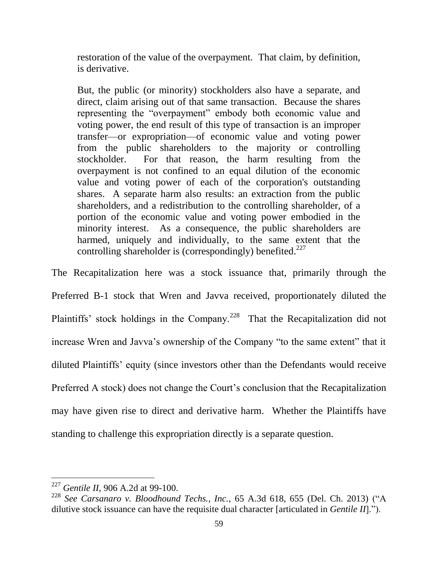restoration of the value of the overpayment. That claim, by definition, is derivative.

But, the public (or minority) stockholders also have a separate, and direct, claim arising out of that same transaction. Because the shares representing the "overpayment" embody both economic value and voting power, the end result of this type of transaction is an improper transfer—or expropriation—of economic value and voting power from the public shareholders to the majority or controlling stockholder. For that reason, the harm resulting from the overpayment is not confined to an equal dilution of the economic value and voting power of each of the corporation's outstanding shares. A separate harm also results: an extraction from the public shareholders, and a redistribution to the controlling shareholder, of a portion of the economic value and voting power embodied in the minority interest. As a consequence, the public shareholders are harmed, uniquely and individually, to the same extent that the controlling shareholder is (correspondingly) benefited.<sup>227</sup>

The Recapitalization here was a stock issuance that, primarily through the Preferred B-1 stock that Wren and Javva received, proportionately diluted the Plaintiffs' stock holdings in the Company.<sup>228</sup> That the Recapitalization did not increase Wren and Javva's ownership of the Company "to the same extent" that it diluted Plaintiffs' equity (since investors other than the Defendants would receive Preferred A stock) does not change the Court's conclusion that the Recapitalization may have given rise to direct and derivative harm. Whether the Plaintiffs have standing to challenge this expropriation directly is a separate question.

<sup>227</sup> *Gentile II*, 906 A.2d at 99-100.

<sup>228</sup> *See Carsanaro v. Bloodhound Techs., Inc.*, 65 A.3d 618, 655 (Del. Ch. 2013) ("A dilutive stock issuance can have the requisite dual character [articulated in *Gentile II*].").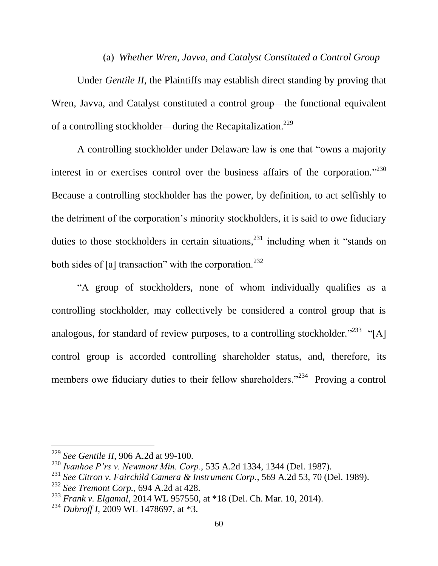### (a) *Whether Wren, Javva, and Catalyst Constituted a Control Group*

Under *Gentile II*, the Plaintiffs may establish direct standing by proving that Wren, Javva, and Catalyst constituted a control group—the functional equivalent of a controlling stockholder—during the Recapitalization.<sup>229</sup>

A controlling stockholder under Delaware law is one that "owns a majority interest in or exercises control over the business affairs of the corporation."<sup>230</sup> Because a controlling stockholder has the power, by definition, to act selfishly to the detriment of the corporation's minority stockholders, it is said to owe fiduciary duties to those stockholders in certain situations,<sup>231</sup> including when it "stands on both sides of [a] transaction" with the corporation.<sup>232</sup>

"A group of stockholders, none of whom individually qualifies as a controlling stockholder, may collectively be considered a control group that is analogous, for standard of review purposes, to a controlling stockholder.<sup>"233</sup> "[A] control group is accorded controlling shareholder status, and, therefore, its members owe fiduciary duties to their fellow shareholders."<sup>234</sup> Proving a control

<sup>229</sup> *See Gentile II*, 906 A.2d at 99-100.

<sup>230</sup> *Ivanhoe P'rs v. Newmont Min. Corp.*, 535 A.2d 1334, 1344 (Del. 1987).

<sup>231</sup> *See Citron v. Fairchild Camera & Instrument Corp.*, 569 A.2d 53, 70 (Del. 1989).

<sup>232</sup> *See Tremont Corp.*, 694 A.2d at 428.

<sup>233</sup> *Frank v. Elgamal*, 2014 WL 957550, at \*18 (Del. Ch. Mar. 10, 2014).

<sup>234</sup> *Dubroff I*, 2009 WL 1478697, at \*3.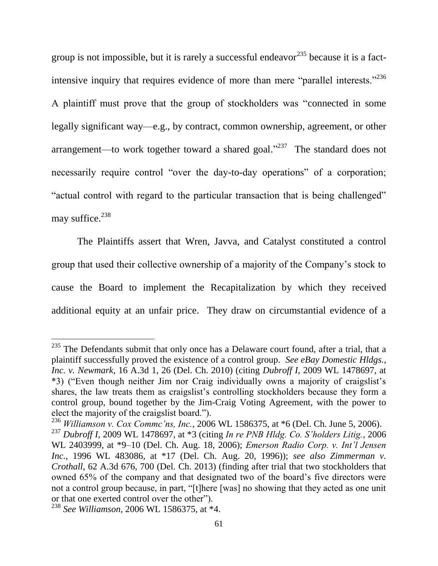group is not impossible, but it is rarely a successful endeavor<sup>235</sup> because it is a factintensive inquiry that requires evidence of more than mere "parallel interests."<sup>236</sup> A plaintiff must prove that the group of stockholders was "connected in some legally significant way—e.g., by contract, common ownership, agreement, or other arrangement—to work together toward a shared goal." $237$  The standard does not necessarily require control "over the day-to-day operations" of a corporation; "actual control with regard to the particular transaction that is being challenged" may suffice.<sup>238</sup>

The Plaintiffs assert that Wren, Javva, and Catalyst constituted a control group that used their collective ownership of a majority of the Company's stock to cause the Board to implement the Recapitalization by which they received additional equity at an unfair price. They draw on circumstantial evidence of a

 $235$  The Defendants submit that only once has a Delaware court found, after a trial, that a plaintiff successfully proved the existence of a control group. *See eBay Domestic Hldgs., Inc. v. Newmark*, 16 A.3d 1, 26 (Del. Ch. 2010) (citing *Dubroff I*, 2009 WL 1478697, at \*3) ("Even though neither Jim nor Craig individually owns a majority of craigslist's shares, the law treats them as craigslist's controlling stockholders because they form a control group, bound together by the Jim-Craig Voting Agreement, with the power to elect the majority of the craigslist board.").

<sup>236</sup> *Williamson v. Cox Commc'ns, Inc.*, 2006 WL 1586375, at \*6 (Del. Ch. June 5, 2006).

<sup>237</sup> *Dubroff I*, 2009 WL 1478697, at \*3 (citing *In re PNB Hldg. Co. S'holders Litig.*, 2006 WL 2403999, at \*9–10 (Del. Ch. Aug. 18, 2006); *Emerson Radio Corp. v. Int'l Jensen Inc.*, 1996 WL 483086, at \*17 (Del. Ch. Aug. 20, 1996)); *see also Zimmerman v. Crothall*, 62 A.3d 676, 700 (Del. Ch. 2013) (finding after trial that two stockholders that owned 65% of the company and that designated two of the board's five directors were not a control group because, in part, "[t]here [was] no showing that they acted as one unit or that one exerted control over the other").

<sup>238</sup> *See Williamson*, 2006 WL 1586375, at \*4.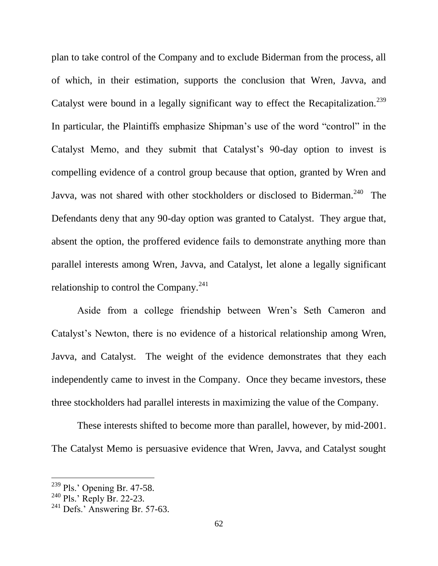plan to take control of the Company and to exclude Biderman from the process, all of which, in their estimation, supports the conclusion that Wren, Javva, and Catalyst were bound in a legally significant way to effect the Recapitalization.<sup>239</sup> In particular, the Plaintiffs emphasize Shipman's use of the word "control" in the Catalyst Memo, and they submit that Catalyst's 90-day option to invest is compelling evidence of a control group because that option, granted by Wren and Javva, was not shared with other stockholders or disclosed to Biderman.<sup>240</sup> The Defendants deny that any 90-day option was granted to Catalyst. They argue that, absent the option, the proffered evidence fails to demonstrate anything more than parallel interests among Wren, Javva, and Catalyst, let alone a legally significant relationship to control the Company.<sup>241</sup>

Aside from a college friendship between Wren's Seth Cameron and Catalyst's Newton, there is no evidence of a historical relationship among Wren, Javva, and Catalyst. The weight of the evidence demonstrates that they each independently came to invest in the Company. Once they became investors, these three stockholders had parallel interests in maximizing the value of the Company.

These interests shifted to become more than parallel, however, by mid-2001. The Catalyst Memo is persuasive evidence that Wren, Javva, and Catalyst sought

 $239$  Pls.' Opening Br. 47-58.

 $^{240}$  Pls.' Reply Br. 22-23.

 $241$  Defs.' Answering Br. 57-63.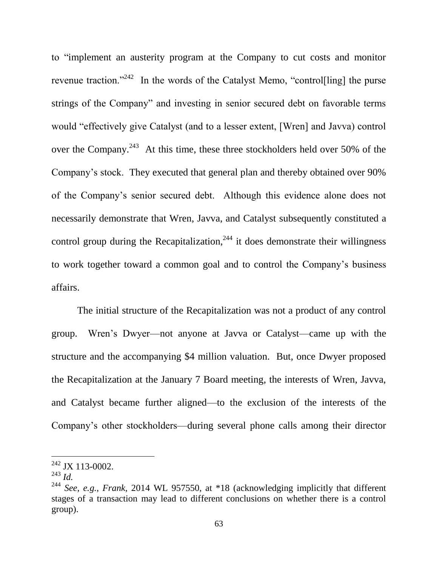to "implement an austerity program at the Company to cut costs and monitor revenue traction."<sup>242</sup> In the words of the Catalyst Memo, "control[ling] the purse strings of the Company" and investing in senior secured debt on favorable terms would "effectively give Catalyst (and to a lesser extent, [Wren] and Javva) control over the Company.<sup>243</sup> At this time, these three stockholders held over 50% of the Company's stock. They executed that general plan and thereby obtained over 90% of the Company's senior secured debt. Although this evidence alone does not necessarily demonstrate that Wren, Javva, and Catalyst subsequently constituted a control group during the Recapitalization, $^{244}$  it does demonstrate their willingness to work together toward a common goal and to control the Company's business affairs.

The initial structure of the Recapitalization was not a product of any control group. Wren's Dwyer—not anyone at Javva or Catalyst—came up with the structure and the accompanying \$4 million valuation. But, once Dwyer proposed the Recapitalization at the January 7 Board meeting, the interests of Wren, Javva, and Catalyst became further aligned—to the exclusion of the interests of the Company's other stockholders—during several phone calls among their director

 $242$  JX 113-0002.

<sup>243</sup> *Id.*

<sup>244</sup> *See, e.g.*, *Frank*, 2014 WL 957550, at \*18 (acknowledging implicitly that different stages of a transaction may lead to different conclusions on whether there is a control group).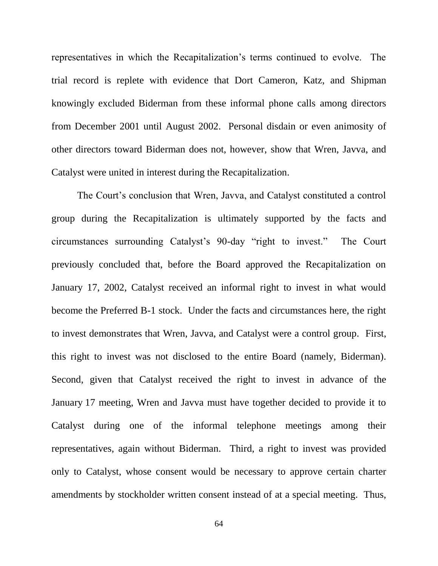representatives in which the Recapitalization's terms continued to evolve. The trial record is replete with evidence that Dort Cameron, Katz, and Shipman knowingly excluded Biderman from these informal phone calls among directors from December 2001 until August 2002. Personal disdain or even animosity of other directors toward Biderman does not, however, show that Wren, Javva, and Catalyst were united in interest during the Recapitalization.

The Court's conclusion that Wren, Javva, and Catalyst constituted a control group during the Recapitalization is ultimately supported by the facts and circumstances surrounding Catalyst's 90-day "right to invest." The Court previously concluded that, before the Board approved the Recapitalization on January 17, 2002, Catalyst received an informal right to invest in what would become the Preferred B-1 stock. Under the facts and circumstances here, the right to invest demonstrates that Wren, Javva, and Catalyst were a control group. First, this right to invest was not disclosed to the entire Board (namely, Biderman). Second, given that Catalyst received the right to invest in advance of the January 17 meeting, Wren and Javva must have together decided to provide it to Catalyst during one of the informal telephone meetings among their representatives, again without Biderman. Third, a right to invest was provided only to Catalyst, whose consent would be necessary to approve certain charter amendments by stockholder written consent instead of at a special meeting. Thus,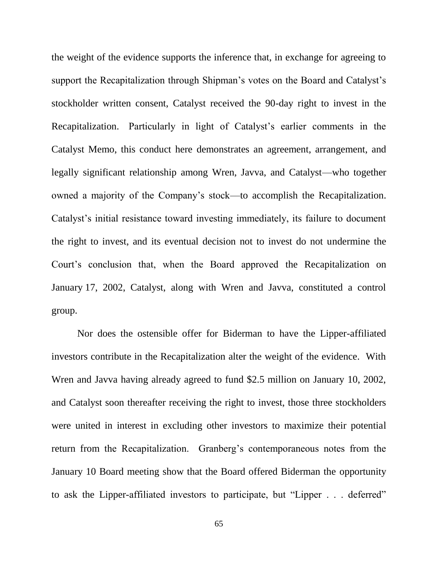the weight of the evidence supports the inference that, in exchange for agreeing to support the Recapitalization through Shipman's votes on the Board and Catalyst's stockholder written consent, Catalyst received the 90-day right to invest in the Recapitalization. Particularly in light of Catalyst's earlier comments in the Catalyst Memo, this conduct here demonstrates an agreement, arrangement, and legally significant relationship among Wren, Javva, and Catalyst—who together owned a majority of the Company's stock—to accomplish the Recapitalization. Catalyst's initial resistance toward investing immediately, its failure to document the right to invest, and its eventual decision not to invest do not undermine the Court's conclusion that, when the Board approved the Recapitalization on January 17, 2002, Catalyst, along with Wren and Javva, constituted a control group.

Nor does the ostensible offer for Biderman to have the Lipper-affiliated investors contribute in the Recapitalization alter the weight of the evidence. With Wren and Javva having already agreed to fund \$2.5 million on January 10, 2002, and Catalyst soon thereafter receiving the right to invest, those three stockholders were united in interest in excluding other investors to maximize their potential return from the Recapitalization. Granberg's contemporaneous notes from the January 10 Board meeting show that the Board offered Biderman the opportunity to ask the Lipper-affiliated investors to participate, but "Lipper . . . deferred"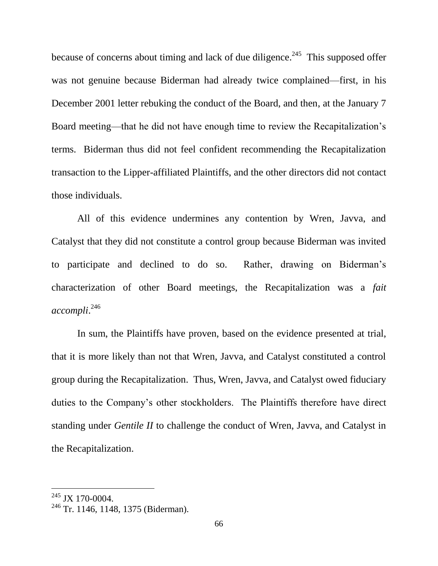because of concerns about timing and lack of due diligence.<sup>245</sup> This supposed offer was not genuine because Biderman had already twice complained—first, in his December 2001 letter rebuking the conduct of the Board, and then, at the January 7 Board meeting—that he did not have enough time to review the Recapitalization's terms. Biderman thus did not feel confident recommending the Recapitalization transaction to the Lipper-affiliated Plaintiffs, and the other directors did not contact those individuals.

All of this evidence undermines any contention by Wren, Javva, and Catalyst that they did not constitute a control group because Biderman was invited to participate and declined to do so. Rather, drawing on Biderman's characterization of other Board meetings, the Recapitalization was a *fait accompli*. 246

In sum, the Plaintiffs have proven, based on the evidence presented at trial, that it is more likely than not that Wren, Javva, and Catalyst constituted a control group during the Recapitalization. Thus, Wren, Javva, and Catalyst owed fiduciary duties to the Company's other stockholders. The Plaintiffs therefore have direct standing under *Gentile II* to challenge the conduct of Wren, Javva, and Catalyst in the Recapitalization.

 $^{245}$  JX 170-0004.

<sup>&</sup>lt;sup>246</sup> Tr. 1146, 1148, 1375 (Biderman).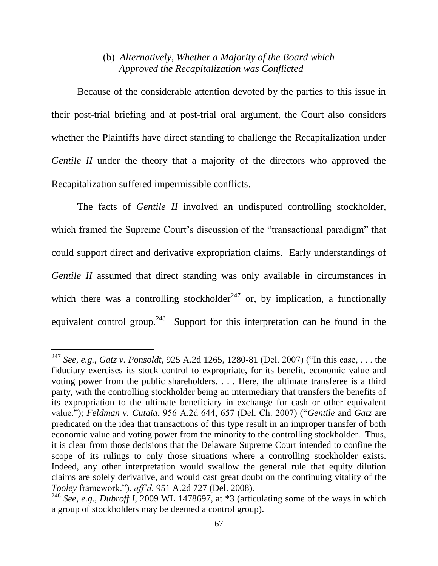### (b) *Alternatively, Whether a Majority of the Board which Approved the Recapitalization was Conflicted*

Because of the considerable attention devoted by the parties to this issue in their post-trial briefing and at post-trial oral argument, the Court also considers whether the Plaintiffs have direct standing to challenge the Recapitalization under *Gentile II* under the theory that a majority of the directors who approved the Recapitalization suffered impermissible conflicts.

The facts of *Gentile II* involved an undisputed controlling stockholder, which framed the Supreme Court's discussion of the "transactional paradigm" that could support direct and derivative expropriation claims. Early understandings of *Gentile II* assumed that direct standing was only available in circumstances in which there was a controlling stockholder<sup>247</sup> or, by implication, a functionally equivalent control group.<sup>248</sup> Support for this interpretation can be found in the

<sup>247</sup> *See, e.g.*, *Gatz v. Ponsoldt*, 925 A.2d 1265, 1280-81 (Del. 2007) ("In this case, . . . the fiduciary exercises its stock control to expropriate, for its benefit, economic value and voting power from the public shareholders. . . . Here, the ultimate transferee is a third party, with the controlling stockholder being an intermediary that transfers the benefits of its expropriation to the ultimate beneficiary in exchange for cash or other equivalent value."); *Feldman v. Cutaia*, 956 A.2d 644, 657 (Del. Ch. 2007) ("*Gentile* and *Gatz* are predicated on the idea that transactions of this type result in an improper transfer of both economic value and voting power from the minority to the controlling stockholder. Thus, it is clear from those decisions that the Delaware Supreme Court intended to confine the scope of its rulings to only those situations where a controlling stockholder exists. Indeed, any other interpretation would swallow the general rule that equity dilution claims are solely derivative, and would cast great doubt on the continuing vitality of the *Tooley* framework."), *aff'd*, 951 A.2d 727 (Del. 2008).

<sup>248</sup> *See, e.g.*, *Dubroff I*, 2009 WL 1478697, at \*3 (articulating some of the ways in which a group of stockholders may be deemed a control group).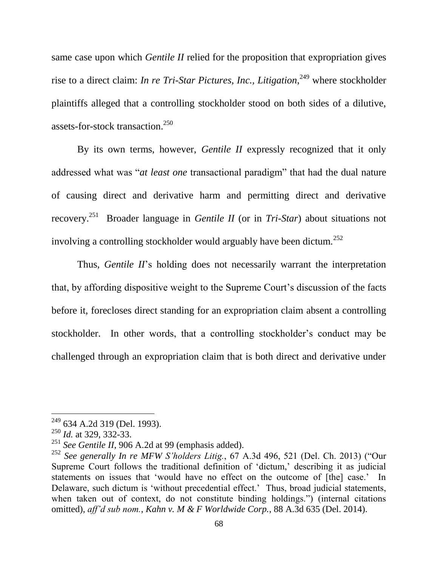same case upon which *Gentile II* relied for the proposition that expropriation gives rise to a direct claim: *In re Tri-Star Pictures, Inc., Litigation*,<sup>249</sup> where stockholder plaintiffs alleged that a controlling stockholder stood on both sides of a dilutive, assets-for-stock transaction.<sup>250</sup>

By its own terms, however, *Gentile II* expressly recognized that it only addressed what was "*at least one* transactional paradigm" that had the dual nature of causing direct and derivative harm and permitting direct and derivative recovery. 251 Broader language in *Gentile II* (or in *Tri-Star*) about situations not involving a controlling stockholder would arguably have been dictum.<sup>252</sup>

Thus, *Gentile II*'s holding does not necessarily warrant the interpretation that, by affording dispositive weight to the Supreme Court's discussion of the facts before it, forecloses direct standing for an expropriation claim absent a controlling stockholder. In other words, that a controlling stockholder's conduct may be challenged through an expropriation claim that is both direct and derivative under

<sup>&</sup>lt;sup>249</sup> 634 A.2d 319 (Del. 1993).

<sup>&</sup>lt;sup>250</sup> *Id.* at 329, 332-33.

<sup>251</sup> *See Gentile II*, 906 A.2d at 99 (emphasis added).

<sup>252</sup> *See generally In re MFW S'holders Litig.*, 67 A.3d 496, 521 (Del. Ch. 2013) ("Our Supreme Court follows the traditional definition of 'dictum,' describing it as judicial statements on issues that 'would have no effect on the outcome of [the] case.' In Delaware, such dictum is 'without precedential effect.' Thus, broad judicial statements, when taken out of context, do not constitute binding holdings.") (internal citations omitted), *aff'd sub nom.*, *Kahn v. M & F Worldwide Corp.*, 88 A.3d 635 (Del. 2014).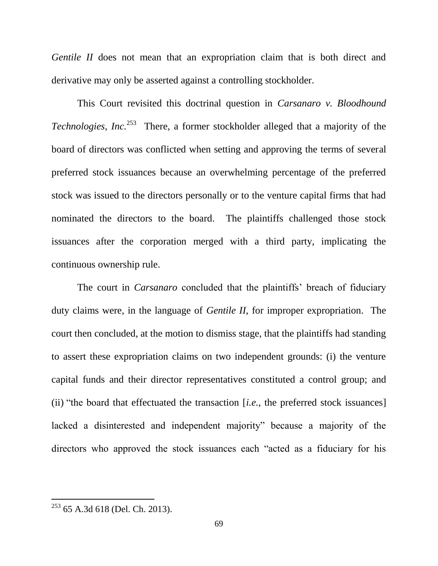*Gentile II* does not mean that an expropriation claim that is both direct and derivative may only be asserted against a controlling stockholder.

This Court revisited this doctrinal question in *Carsanaro v. Bloodhound Technologies, Inc.*<sup>253</sup> There, a former stockholder alleged that a majority of the board of directors was conflicted when setting and approving the terms of several preferred stock issuances because an overwhelming percentage of the preferred stock was issued to the directors personally or to the venture capital firms that had nominated the directors to the board. The plaintiffs challenged those stock issuances after the corporation merged with a third party, implicating the continuous ownership rule.

The court in *Carsanaro* concluded that the plaintiffs' breach of fiduciary duty claims were, in the language of *Gentile II*, for improper expropriation. The court then concluded, at the motion to dismiss stage, that the plaintiffs had standing to assert these expropriation claims on two independent grounds: (i) the venture capital funds and their director representatives constituted a control group; and (ii) "the board that effectuated the transaction [*i.e.*, the preferred stock issuances] lacked a disinterested and independent majority" because a majority of the directors who approved the stock issuances each "acted as a fiduciary for his

 $253$  65 A.3d 618 (Del. Ch. 2013).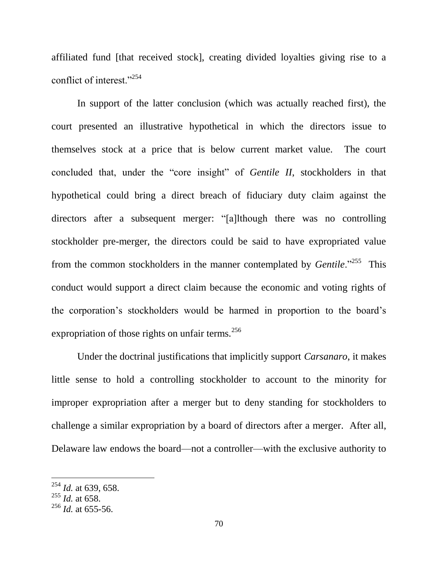affiliated fund [that received stock], creating divided loyalties giving rise to a conflict of interest."<sup>254</sup>

In support of the latter conclusion (which was actually reached first), the court presented an illustrative hypothetical in which the directors issue to themselves stock at a price that is below current market value. The court concluded that, under the "core insight" of *Gentile II*, stockholders in that hypothetical could bring a direct breach of fiduciary duty claim against the directors after a subsequent merger: "[a]lthough there was no controlling stockholder pre-merger, the directors could be said to have expropriated value from the common stockholders in the manner contemplated by *Gentile*."<sup>255</sup> This conduct would support a direct claim because the economic and voting rights of the corporation's stockholders would be harmed in proportion to the board's expropriation of those rights on unfair terms. $^{256}$ 

Under the doctrinal justifications that implicitly support *Carsanaro*, it makes little sense to hold a controlling stockholder to account to the minority for improper expropriation after a merger but to deny standing for stockholders to challenge a similar expropriation by a board of directors after a merger. After all, Delaware law endows the board—not a controller—with the exclusive authority to

<sup>254</sup> *Id.* at 639, 658.

<sup>255</sup> *Id.* at 658.

<sup>256</sup> *Id.* at 655-56.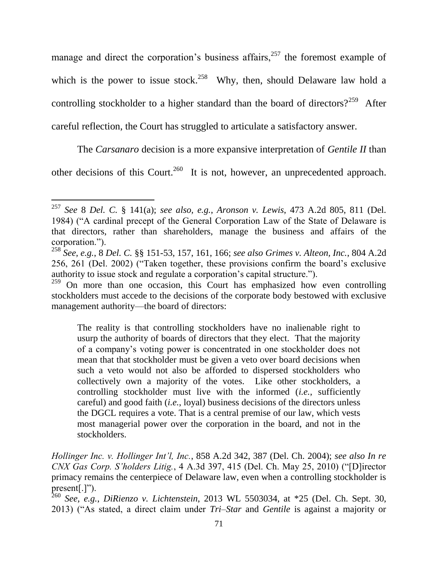manage and direct the corporation's business affairs, $257$  the foremost example of which is the power to issue stock.<sup>258</sup> Why, then, should Delaware law hold a controlling stockholder to a higher standard than the board of directors?<sup>259</sup> After careful reflection, the Court has struggled to articulate a satisfactory answer.

The *Carsanaro* decision is a more expansive interpretation of *Gentile II* than

other decisions of this Court.<sup>260</sup> It is not, however, an unprecedented approach.

l

The reality is that controlling stockholders have no inalienable right to usurp the authority of boards of directors that they elect. That the majority of a company's voting power is concentrated in one stockholder does not mean that that stockholder must be given a veto over board decisions when such a veto would not also be afforded to dispersed stockholders who collectively own a majority of the votes. Like other stockholders, a controlling stockholder must live with the informed (*i.e.*, sufficiently careful) and good faith (*i.e.*, loyal) business decisions of the directors unless the DGCL requires a vote. That is a central premise of our law, which vests most managerial power over the corporation in the board, and not in the stockholders.

*Hollinger Inc. v. Hollinger Int'l, Inc.*, 858 A.2d 342, 387 (Del. Ch. 2004); *see also In re CNX Gas Corp. S'holders Litig.*, 4 A.3d 397, 415 (Del. Ch. May 25, 2010) ("[D]irector primacy remains the centerpiece of Delaware law, even when a controlling stockholder is present[.]").

<sup>260</sup> *See, e.g.*, *DiRienzo v. Lichtenstein*, 2013 WL 5503034, at \*25 (Del. Ch. Sept. 30, 2013) ("As stated, a direct claim under *Tri–Star* and *Gentile* is against a majority or

<sup>257</sup> *See* 8 *Del. C.* § 141(a); *see also, e.g.*, *Aronson v. Lewis*, 473 A.2d 805, 811 (Del. 1984) ("A cardinal precept of the General Corporation Law of the State of Delaware is that directors, rather than shareholders, manage the business and affairs of the corporation.").

<sup>258</sup> *See, e.g.*, 8 *Del. C.* §§ 151-53, 157, 161, 166; *see also Grimes v. Alteon, Inc.*, 804 A.2d 256, 261 (Del. 2002) ("Taken together, these provisions confirm the board's exclusive authority to issue stock and regulate a corporation's capital structure.").

 $259$  On more than one occasion, this Court has emphasized how even controlling stockholders must accede to the decisions of the corporate body bestowed with exclusive management authority—the board of directors: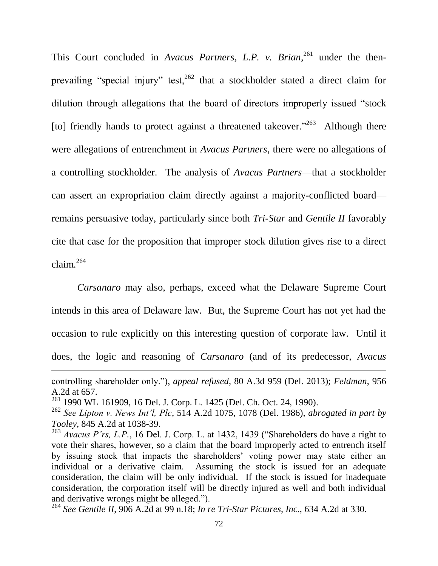This Court concluded in *Avacus Partners, L.P. v. Brian*, <sup>261</sup> under the thenprevailing "special injury" test,  $262$  that a stockholder stated a direct claim for dilution through allegations that the board of directors improperly issued "stock [to] friendly hands to protect against a threatened takeover."<sup>263</sup> Although there were allegations of entrenchment in *Avacus Partners*, there were no allegations of a controlling stockholder. The analysis of *Avacus Partners*—that a stockholder can assert an expropriation claim directly against a majority-conflicted board remains persuasive today, particularly since both *Tri-Star* and *Gentile II* favorably cite that case for the proposition that improper stock dilution gives rise to a direct claim. $264$ 

*Carsanaro* may also, perhaps, exceed what the Delaware Supreme Court intends in this area of Delaware law. But, the Supreme Court has not yet had the occasion to rule explicitly on this interesting question of corporate law. Until it does, the logic and reasoning of *Carsanaro* (and of its predecessor, *Avacus*  l

controlling shareholder only."), *appeal refused*, 80 A.3d 959 (Del. 2013); *Feldman*, 956 A.2d at 657.

<sup>261</sup> 1990 WL 161909, 16 Del. J. Corp. L. 1425 (Del. Ch. Oct. 24, 1990).

<sup>262</sup> *See Lipton v. News Int'l, Plc*, 514 A.2d 1075, 1078 (Del. 1986), *abrogated in part by Tooley*, 845 A.2d at 1038-39.

<sup>&</sup>lt;sup>263</sup> Avacus P'rs, L.P., 16 Del. J. Corp. L. at 1432, 1439 ("Shareholders do have a right to vote their shares, however, so a claim that the board improperly acted to entrench itself by issuing stock that impacts the shareholders' voting power may state either an individual or a derivative claim. Assuming the stock is issued for an adequate consideration, the claim will be only individual. If the stock is issued for inadequate consideration, the corporation itself will be directly injured as well and both individual and derivative wrongs might be alleged.").

<sup>264</sup> *See Gentile II*, 906 A.2d at 99 n.18; *In re Tri-Star Pictures, Inc.*, 634 A.2d at 330.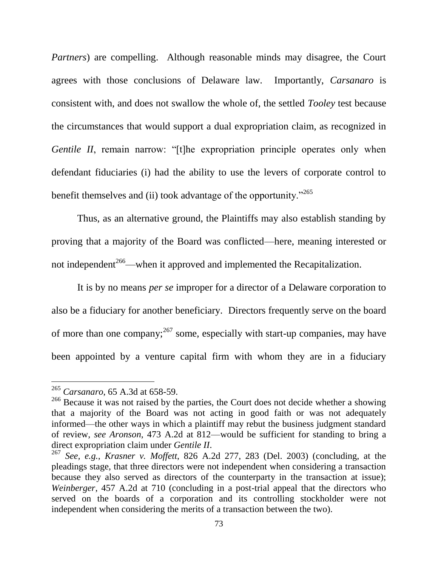*Partners*) are compelling. Although reasonable minds may disagree, the Court agrees with those conclusions of Delaware law. Importantly, *Carsanaro* is consistent with, and does not swallow the whole of, the settled *Tooley* test because the circumstances that would support a dual expropriation claim, as recognized in *Gentile II*, remain narrow: "[t]he expropriation principle operates only when defendant fiduciaries (i) had the ability to use the levers of corporate control to benefit themselves and (ii) took advantage of the opportunity."<sup>265</sup>

Thus, as an alternative ground, the Plaintiffs may also establish standing by proving that a majority of the Board was conflicted—here, meaning interested or not independent<sup>266</sup>—when it approved and implemented the Recapitalization.

It is by no means *per se* improper for a director of a Delaware corporation to also be a fiduciary for another beneficiary. Directors frequently serve on the board of more than one company;  $2^{67}$  some, especially with start-up companies, may have been appointed by a venture capital firm with whom they are in a fiduciary

<sup>265</sup> *Carsanaro*, 65 A.3d at 658-59.

<sup>&</sup>lt;sup>266</sup> Because it was not raised by the parties, the Court does not decide whether a showing that a majority of the Board was not acting in good faith or was not adequately informed—the other ways in which a plaintiff may rebut the business judgment standard of review, *see Aronson*, 473 A.2d at 812—would be sufficient for standing to bring a direct expropriation claim under *Gentile II*.

<sup>267</sup> *See, e.g.*, *Krasner v. Moffett*, 826 A.2d 277, 283 (Del. 2003) (concluding, at the pleadings stage, that three directors were not independent when considering a transaction because they also served as directors of the counterparty in the transaction at issue); *Weinberger*, 457 A.2d at 710 (concluding in a post-trial appeal that the directors who served on the boards of a corporation and its controlling stockholder were not independent when considering the merits of a transaction between the two).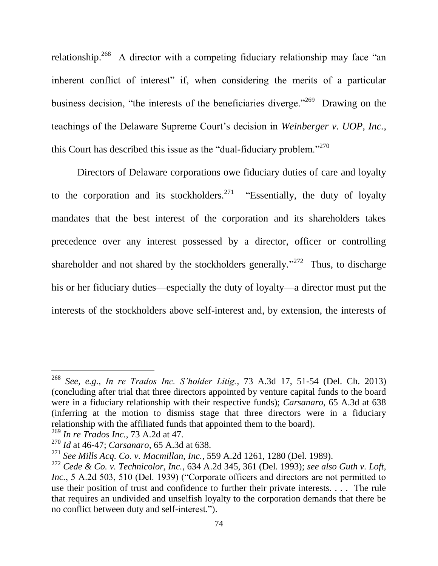relationship.<sup>268</sup> A director with a competing fiduciary relationship may face "an inherent conflict of interest" if, when considering the merits of a particular business decision, "the interests of the beneficiaries diverge."<sup>269</sup> Drawing on the teachings of the Delaware Supreme Court's decision in *Weinberger v. UOP, Inc.*, this Court has described this issue as the "dual-fiduciary problem."<sup>270</sup>

Directors of Delaware corporations owe fiduciary duties of care and loyalty to the corporation and its stockholders.<sup>271</sup> "Essentially, the duty of loyalty mandates that the best interest of the corporation and its shareholders takes precedence over any interest possessed by a director, officer or controlling shareholder and not shared by the stockholders generally."<sup>272</sup> Thus, to discharge his or her fiduciary duties—especially the duty of loyalty—a director must put the interests of the stockholders above self-interest and, by extension, the interests of

<sup>268</sup> *See, e.g.*, *In re Trados Inc. S'holder Litig.*, 73 A.3d 17, 51-54 (Del. Ch. 2013) (concluding after trial that three directors appointed by venture capital funds to the board were in a fiduciary relationship with their respective funds); *Carsanaro*, 65 A.3d at 638 (inferring at the motion to dismiss stage that three directors were in a fiduciary relationship with the affiliated funds that appointed them to the board).

<sup>269</sup> *In re Trados Inc.*, 73 A.2d at 47.

<sup>270</sup> *Id* at 46-47; *Carsanaro*, 65 A.3d at 638.

<sup>271</sup> *See Mills Acq. Co. v. Macmillan, Inc.*, 559 A.2d 1261, 1280 (Del. 1989).

<sup>272</sup> *Cede & Co. v. Technicolor, Inc.*, 634 A.2d 345, 361 (Del. 1993); *see also Guth v. Loft, Inc.*, 5 A.2d 503, 510 (Del. 1939) ("Corporate officers and directors are not permitted to use their position of trust and confidence to further their private interests. . . . The rule that requires an undivided and unselfish loyalty to the corporation demands that there be no conflict between duty and self-interest.").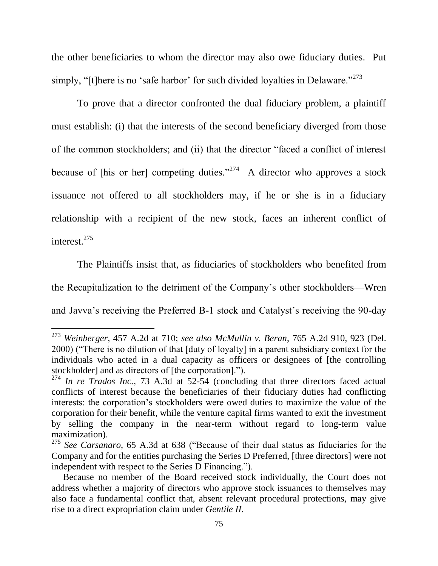the other beneficiaries to whom the director may also owe fiduciary duties. Put simply, "[t]here is no 'safe harbor' for such divided loyalties in Delaware."<sup>273</sup>

To prove that a director confronted the dual fiduciary problem, a plaintiff must establish: (i) that the interests of the second beneficiary diverged from those of the common stockholders; and (ii) that the director "faced a conflict of interest because of [his or her] competing duties."<sup>274</sup> A director who approves a stock issuance not offered to all stockholders may, if he or she is in a fiduciary relationship with a recipient of the new stock, faces an inherent conflict of interest. 275

The Plaintiffs insist that, as fiduciaries of stockholders who benefited from the Recapitalization to the detriment of the Company's other stockholders—Wren and Javva's receiving the Preferred B-1 stock and Catalyst's receiving the 90-day

<sup>273</sup> *Weinberger*, 457 A.2d at 710; *see also McMullin v. Beran*, 765 A.2d 910, 923 (Del. 2000) ("There is no dilution of that [duty of loyalty] in a parent subsidiary context for the individuals who acted in a dual capacity as officers or designees of [the controlling stockholder] and as directors of [the corporation].").

<sup>274</sup> *In re Trados Inc.*, 73 A.3d at 52-54 (concluding that three directors faced actual conflicts of interest because the beneficiaries of their fiduciary duties had conflicting interests: the corporation's stockholders were owed duties to maximize the value of the corporation for their benefit, while the venture capital firms wanted to exit the investment by selling the company in the near-term without regard to long-term value maximization).

<sup>275</sup> *See Carsanaro*, 65 A.3d at 638 ("Because of their dual status as fiduciaries for the Company and for the entities purchasing the Series D Preferred, [three directors] were not independent with respect to the Series D Financing.").

Because no member of the Board received stock individually, the Court does not address whether a majority of directors who approve stock issuances to themselves may also face a fundamental conflict that, absent relevant procedural protections, may give rise to a direct expropriation claim under *Gentile II*.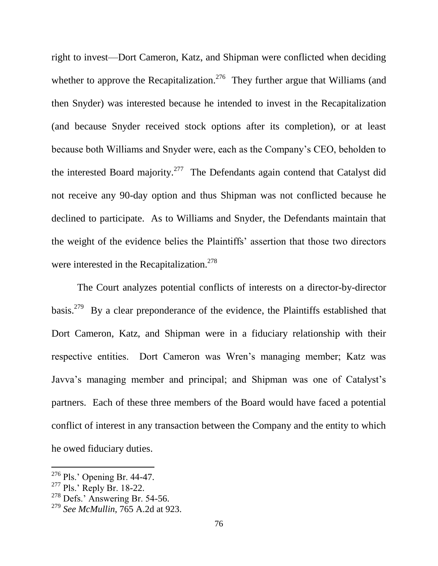right to invest—Dort Cameron, Katz, and Shipman were conflicted when deciding whether to approve the Recapitalization.<sup>276</sup> They further argue that Williams (and then Snyder) was interested because he intended to invest in the Recapitalization (and because Snyder received stock options after its completion), or at least because both Williams and Snyder were, each as the Company's CEO, beholden to the interested Board majority.<sup>277</sup> The Defendants again contend that Catalyst did not receive any 90-day option and thus Shipman was not conflicted because he declined to participate. As to Williams and Snyder, the Defendants maintain that the weight of the evidence belies the Plaintiffs' assertion that those two directors were interested in the Recapitalization.<sup>278</sup>

The Court analyzes potential conflicts of interests on a director-by-director basis.<sup>279</sup> By a clear preponderance of the evidence, the Plaintiffs established that Dort Cameron, Katz, and Shipman were in a fiduciary relationship with their respective entities. Dort Cameron was Wren's managing member; Katz was Javva's managing member and principal; and Shipman was one of Catalyst's partners. Each of these three members of the Board would have faced a potential conflict of interest in any transaction between the Company and the entity to which he owed fiduciary duties.

<sup>276</sup> Pls.' Opening Br. 44-47.

 $277$  Pls.' Reply Br. 18-22.

 $278$  Defs.' Answering Br. 54-56.

<sup>279</sup> *See McMullin*, 765 A.2d at 923.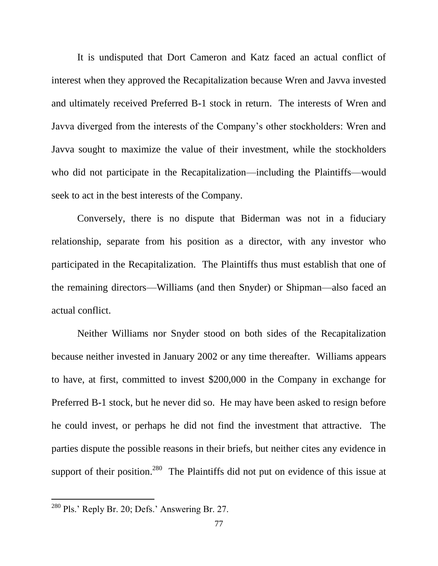It is undisputed that Dort Cameron and Katz faced an actual conflict of interest when they approved the Recapitalization because Wren and Javva invested and ultimately received Preferred B-1 stock in return. The interests of Wren and Javva diverged from the interests of the Company's other stockholders: Wren and Javva sought to maximize the value of their investment, while the stockholders who did not participate in the Recapitalization—including the Plaintiffs—would seek to act in the best interests of the Company.

Conversely, there is no dispute that Biderman was not in a fiduciary relationship, separate from his position as a director, with any investor who participated in the Recapitalization. The Plaintiffs thus must establish that one of the remaining directors—Williams (and then Snyder) or Shipman—also faced an actual conflict.

Neither Williams nor Snyder stood on both sides of the Recapitalization because neither invested in January 2002 or any time thereafter. Williams appears to have, at first, committed to invest \$200,000 in the Company in exchange for Preferred B-1 stock, but he never did so. He may have been asked to resign before he could invest, or perhaps he did not find the investment that attractive. The parties dispute the possible reasons in their briefs, but neither cites any evidence in support of their position.<sup>280</sup> The Plaintiffs did not put on evidence of this issue at

 $280$  Pls.' Reply Br. 20; Defs.' Answering Br. 27.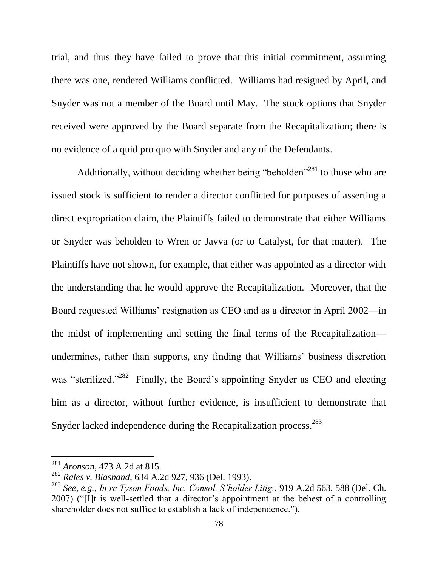trial, and thus they have failed to prove that this initial commitment, assuming there was one, rendered Williams conflicted. Williams had resigned by April, and Snyder was not a member of the Board until May. The stock options that Snyder received were approved by the Board separate from the Recapitalization; there is no evidence of a quid pro quo with Snyder and any of the Defendants.

Additionally, without deciding whether being "beholden"<sup>281</sup> to those who are issued stock is sufficient to render a director conflicted for purposes of asserting a direct expropriation claim, the Plaintiffs failed to demonstrate that either Williams or Snyder was beholden to Wren or Javva (or to Catalyst, for that matter). The Plaintiffs have not shown, for example, that either was appointed as a director with the understanding that he would approve the Recapitalization. Moreover, that the Board requested Williams' resignation as CEO and as a director in April 2002—in the midst of implementing and setting the final terms of the Recapitalization undermines, rather than supports, any finding that Williams' business discretion was "sterilized."<sup>282</sup> Finally, the Board's appointing Snyder as CEO and electing him as a director, without further evidence, is insufficient to demonstrate that Snyder lacked independence during the Recapitalization process.<sup>283</sup>

<sup>281</sup> *Aronson*, 473 A.2d at 815.

<sup>282</sup> *Rales v. Blasband*, 634 A.2d 927, 936 (Del. 1993).

<sup>283</sup> *See, e.g.*, *In re Tyson Foods, Inc. Consol. S'holder Litig.*, 919 A.2d 563, 588 (Del. Ch. 2007) ("[I]t is well-settled that a director's appointment at the behest of a controlling shareholder does not suffice to establish a lack of independence.").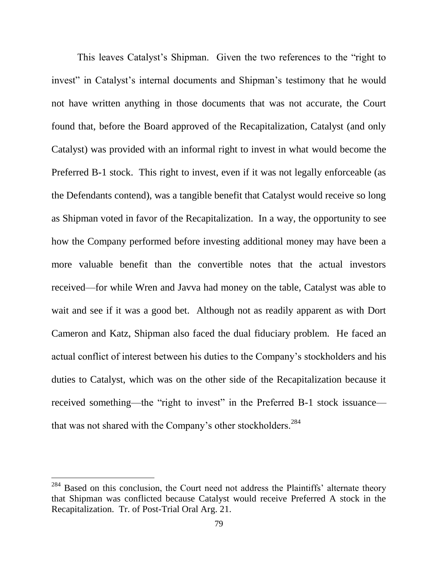This leaves Catalyst's Shipman. Given the two references to the "right to invest" in Catalyst's internal documents and Shipman's testimony that he would not have written anything in those documents that was not accurate, the Court found that, before the Board approved of the Recapitalization, Catalyst (and only Catalyst) was provided with an informal right to invest in what would become the Preferred B-1 stock. This right to invest, even if it was not legally enforceable (as the Defendants contend), was a tangible benefit that Catalyst would receive so long as Shipman voted in favor of the Recapitalization. In a way, the opportunity to see how the Company performed before investing additional money may have been a more valuable benefit than the convertible notes that the actual investors received—for while Wren and Javva had money on the table, Catalyst was able to wait and see if it was a good bet. Although not as readily apparent as with Dort Cameron and Katz, Shipman also faced the dual fiduciary problem. He faced an actual conflict of interest between his duties to the Company's stockholders and his duties to Catalyst, which was on the other side of the Recapitalization because it received something—the "right to invest" in the Preferred B-1 stock issuance that was not shared with the Company's other stockholders.<sup>284</sup>

<sup>&</sup>lt;sup>284</sup> Based on this conclusion, the Court need not address the Plaintiffs' alternate theory that Shipman was conflicted because Catalyst would receive Preferred A stock in the Recapitalization. Tr. of Post-Trial Oral Arg. 21.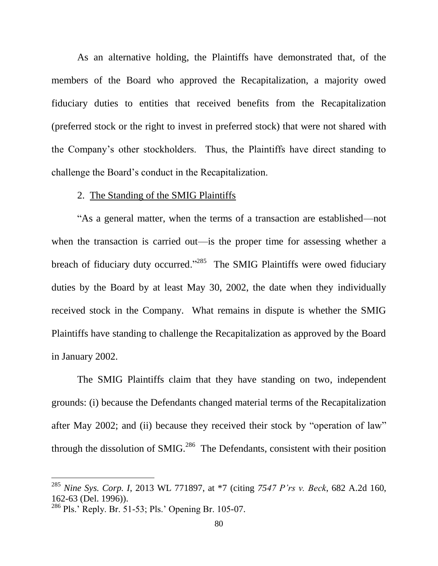As an alternative holding, the Plaintiffs have demonstrated that, of the members of the Board who approved the Recapitalization, a majority owed fiduciary duties to entities that received benefits from the Recapitalization (preferred stock or the right to invest in preferred stock) that were not shared with the Company's other stockholders. Thus, the Plaintiffs have direct standing to challenge the Board's conduct in the Recapitalization.

#### 2. The Standing of the SMIG Plaintiffs

"As a general matter, when the terms of a transaction are established—not when the transaction is carried out—is the proper time for assessing whether a breach of fiduciary duty occurred."<sup>285</sup> The SMIG Plaintiffs were owed fiduciary duties by the Board by at least May 30, 2002, the date when they individually received stock in the Company. What remains in dispute is whether the SMIG Plaintiffs have standing to challenge the Recapitalization as approved by the Board in January 2002.

The SMIG Plaintiffs claim that they have standing on two, independent grounds: (i) because the Defendants changed material terms of the Recapitalization after May 2002; and (ii) because they received their stock by "operation of law" through the dissolution of SMIG. $^{286}$  The Defendants, consistent with their position

<sup>285</sup> *Nine Sys. Corp. I*, 2013 WL 771897, at \*7 (citing *7547 P'rs v. Beck*, 682 A.2d 160, 162-63 (Del. 1996)).

<sup>286</sup> Pls.' Reply. Br. 51-53; Pls.' Opening Br. 105-07.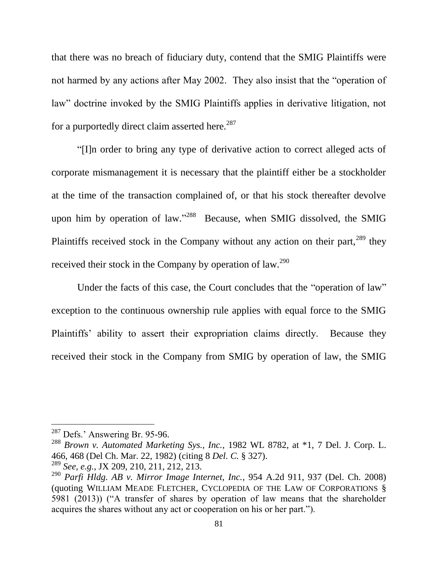that there was no breach of fiduciary duty, contend that the SMIG Plaintiffs were not harmed by any actions after May 2002. They also insist that the "operation of law" doctrine invoked by the SMIG Plaintiffs applies in derivative litigation, not for a purportedly direct claim asserted here.<sup>287</sup>

"[I]n order to bring any type of derivative action to correct alleged acts of corporate mismanagement it is necessary that the plaintiff either be a stockholder at the time of the transaction complained of, or that his stock thereafter devolve upon him by operation of law."<sup>288</sup> Because, when SMIG dissolved, the SMIG Plaintiffs received stock in the Company without any action on their part,  $^{289}$  they received their stock in the Company by operation of law.<sup>290</sup>

Under the facts of this case, the Court concludes that the "operation of law" exception to the continuous ownership rule applies with equal force to the SMIG Plaintiffs' ability to assert their expropriation claims directly. Because they received their stock in the Company from SMIG by operation of law, the SMIG

<sup>287</sup> Defs.' Answering Br. 95-96.

<sup>288</sup> *Brown v. Automated Marketing Sys., Inc.*, 1982 WL 8782, at \*1, 7 Del. J. Corp. L. 466, 468 (Del Ch. Mar. 22, 1982) (citing 8 *Del. C.* § 327).

<sup>289</sup> *See, e.g.*, JX 209, 210, 211, 212, 213.

<sup>290</sup> *Parfi Hldg. AB v. Mirror Image Internet, Inc.*, 954 A.2d 911, 937 (Del. Ch. 2008) (quoting WILLIAM MEADE FLETCHER, CYCLOPEDIA OF THE LAW OF CORPORATIONS § 5981 (2013)) ("A transfer of shares by operation of law means that the shareholder acquires the shares without any act or cooperation on his or her part.").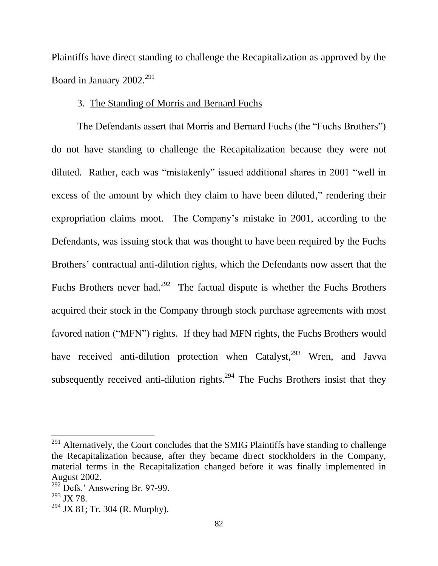Plaintiffs have direct standing to challenge the Recapitalization as approved by the Board in January 2002.<sup>291</sup>

# 3. The Standing of Morris and Bernard Fuchs

The Defendants assert that Morris and Bernard Fuchs (the "Fuchs Brothers") do not have standing to challenge the Recapitalization because they were not diluted. Rather, each was "mistakenly" issued additional shares in 2001 "well in excess of the amount by which they claim to have been diluted," rendering their expropriation claims moot. The Company's mistake in 2001, according to the Defendants, was issuing stock that was thought to have been required by the Fuchs Brothers' contractual anti-dilution rights, which the Defendants now assert that the Fuchs Brothers never had.<sup>292</sup> The factual dispute is whether the Fuchs Brothers acquired their stock in the Company through stock purchase agreements with most favored nation ("MFN") rights. If they had MFN rights, the Fuchs Brothers would have received anti-dilution protection when Catalyst,<sup>293</sup> Wren, and Javva subsequently received anti-dilution rights.<sup>294</sup> The Fuchs Brothers insist that they

 $291$  Alternatively, the Court concludes that the SMIG Plaintiffs have standing to challenge the Recapitalization because, after they became direct stockholders in the Company, material terms in the Recapitalization changed before it was finally implemented in August 2002.

 $292$  Defs.' Answering Br. 97-99.

 $^{293}$  JX 78.

 $294$  JX 81; Tr. 304 (R. Murphy).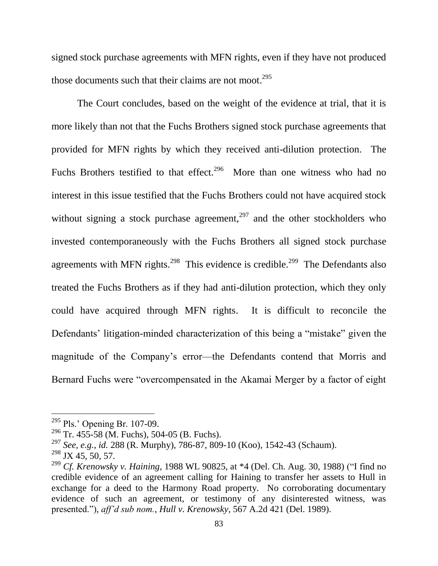signed stock purchase agreements with MFN rights, even if they have not produced those documents such that their claims are not moot.<sup>295</sup>

The Court concludes, based on the weight of the evidence at trial, that it is more likely than not that the Fuchs Brothers signed stock purchase agreements that provided for MFN rights by which they received anti-dilution protection. The Fuchs Brothers testified to that effect.<sup>296</sup> More than one witness who had no interest in this issue testified that the Fuchs Brothers could not have acquired stock without signing a stock purchase agreement,<sup>297</sup> and the other stockholders who invested contemporaneously with the Fuchs Brothers all signed stock purchase agreements with MFN rights.<sup>298</sup> This evidence is credible.<sup>299</sup> The Defendants also treated the Fuchs Brothers as if they had anti-dilution protection, which they only could have acquired through MFN rights. It is difficult to reconcile the Defendants' litigation-minded characterization of this being a "mistake" given the magnitude of the Company's error—the Defendants contend that Morris and Bernard Fuchs were "overcompensated in the Akamai Merger by a factor of eight

 $295$  Pls.' Opening Br. 107-09.

<sup>&</sup>lt;sup>296</sup> Tr. 455-58 (M. Fuchs), 504-05 (B. Fuchs).

<sup>297</sup> *See, e.g.*, *id.* 288 (R. Murphy), 786-87, 809-10 (Koo), 1542-43 (Schaum).

 $^{298}$  JX 45, 50, 57.

<sup>299</sup> *Cf. Krenowsky v. Haining*, 1988 WL 90825, at \*4 (Del. Ch. Aug. 30, 1988) ("I find no credible evidence of an agreement calling for Haining to transfer her assets to Hull in exchange for a deed to the Harmony Road property. No corroborating documentary evidence of such an agreement, or testimony of any disinterested witness, was presented."), *aff'd sub nom.*, *Hull v. Krenowsky*, 567 A.2d 421 (Del. 1989).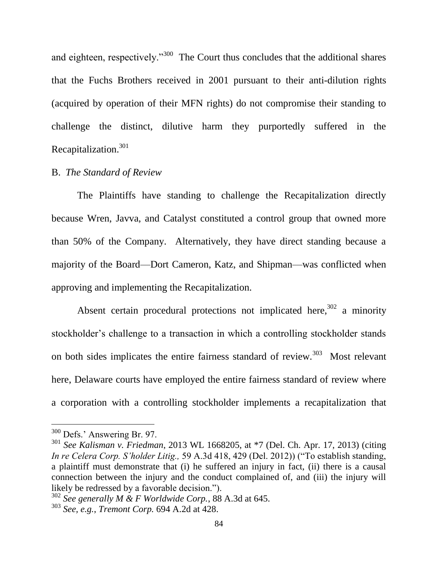and eighteen, respectively."<sup>300</sup> The Court thus concludes that the additional shares that the Fuchs Brothers received in 2001 pursuant to their anti-dilution rights (acquired by operation of their MFN rights) do not compromise their standing to challenge the distinct, dilutive harm they purportedly suffered in the Recapitalization.<sup>301</sup>

#### B. *The Standard of Review*

The Plaintiffs have standing to challenge the Recapitalization directly because Wren, Javva, and Catalyst constituted a control group that owned more than 50% of the Company. Alternatively, they have direct standing because a majority of the Board—Dort Cameron, Katz, and Shipman—was conflicted when approving and implementing the Recapitalization.

Absent certain procedural protections not implicated here,  $302$  a minority stockholder's challenge to a transaction in which a controlling stockholder stands on both sides implicates the entire fairness standard of review.<sup>303</sup> Most relevant here, Delaware courts have employed the entire fairness standard of review where a corporation with a controlling stockholder implements a recapitalization that

<sup>300</sup> Defs.' Answering Br. 97.

<sup>301</sup> *See Kalisman v. Friedman*, 2013 WL 1668205, at \*7 (Del. Ch. Apr. 17, 2013) (citing *In re Celera Corp. S'holder Litig.,* 59 A.3d 418, 429 (Del. 2012)) ("To establish standing, a plaintiff must demonstrate that (i) he suffered an injury in fact, (ii) there is a causal connection between the injury and the conduct complained of, and (iii) the injury will likely be redressed by a favorable decision.").

<sup>302</sup> *See generally M & F Worldwide Corp.*, 88 A.3d at 645.

<sup>303</sup> *See, e.g.*, *Tremont Corp.* 694 A.2d at 428.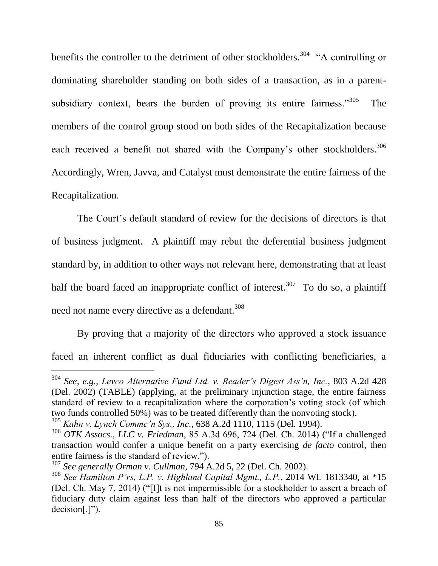benefits the controller to the detriment of other stockholders.<sup>304</sup> "A controlling or dominating shareholder standing on both sides of a transaction, as in a parentsubsidiary context, bears the burden of proving its entire fairness."<sup>305</sup> The members of the control group stood on both sides of the Recapitalization because each received a benefit not shared with the Company's other stockholders.<sup>306</sup> Accordingly, Wren, Javva, and Catalyst must demonstrate the entire fairness of the Recapitalization.

The Court's default standard of review for the decisions of directors is that of business judgment. A plaintiff may rebut the deferential business judgment standard by, in addition to other ways not relevant here, demonstrating that at least half the board faced an inappropriate conflict of interest.<sup>307</sup> To do so, a plaintiff need not name every directive as a defendant.<sup>308</sup>

By proving that a majority of the directors who approved a stock issuance faced an inherent conflict as dual fiduciaries with conflicting beneficiaries, a

l <sup>304</sup> *See, e.g.*, *Levco Alternative Fund Ltd. v. Reader's Digest Ass'n, Inc.*, 803 A.2d 428 (Del. 2002) (TABLE) (applying, at the preliminary injunction stage, the entire fairness standard of review to a recapitalization where the corporation's voting stock (of which two funds controlled 50%) was to be treated differently than the nonvoting stock).

<sup>305</sup> *Kahn v. Lynch Commc'n Sys., Inc.*, 638 A.2d 1110, 1115 (Del. 1994).

<sup>306</sup> *OTK Assocs., LLC v. Friedman*, 85 A.3d 696, 724 (Del. Ch. 2014) ("If a challenged transaction would confer a unique benefit on a party exercising *de facto* control, then entire fairness is the standard of review.").

<sup>307</sup> *See generally Orman v. Cullman*, 794 A.2d 5, 22 (Del. Ch. 2002).

<sup>308</sup> *See Hamilton P'rs, L.P. v. Highland Capital Mgmt., L.P.*, 2014 WL 1813340, at \*15 (Del. Ch. May 7, 2014) ("[I]t is not impermissible for a stockholder to assert a breach of fiduciary duty claim against less than half of the directors who approved a particular decision[.]").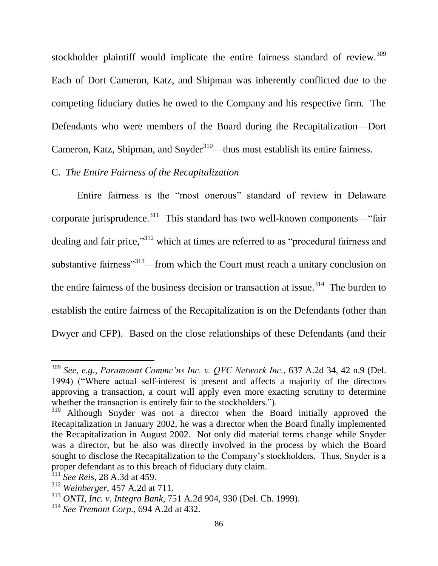stockholder plaintiff would implicate the entire fairness standard of review.<sup>309</sup> Each of Dort Cameron, Katz, and Shipman was inherently conflicted due to the competing fiduciary duties he owed to the Company and his respective firm. The Defendants who were members of the Board during the Recapitalization—Dort Cameron, Katz, Shipman, and Snyder<sup>310</sup>—thus must establish its entire fairness.

# C. *The Entire Fairness of the Recapitalization*

Entire fairness is the "most onerous" standard of review in Delaware corporate jurisprudence.<sup>311</sup> This standard has two well-known components—"fair dealing and fair price,"<sup>312</sup> which at times are referred to as "procedural fairness and substantive fairness<sup>313</sup>—from which the Court must reach a unitary conclusion on the entire fairness of the business decision or transaction at issue.<sup>314</sup> The burden to establish the entire fairness of the Recapitalization is on the Defendants (other than Dwyer and CFP). Based on the close relationships of these Defendants (and their

<sup>309</sup> *See, e.g.*, *Paramount Commc'ns Inc. v. QVC Network Inc.*, 637 A.2d 34, 42 n.9 (Del. 1994) ("Where actual self-interest is present and affects a majority of the directors approving a transaction, a court will apply even more exacting scrutiny to determine whether the transaction is entirely fair to the stockholders.").

<sup>&</sup>lt;sup>310</sup> Although Snyder was not a director when the Board initially approved the Recapitalization in January 2002, he was a director when the Board finally implemented the Recapitalization in August 2002. Not only did material terms change while Snyder was a director, but he also was directly involved in the process by which the Board sought to disclose the Recapitalization to the Company's stockholders. Thus, Snyder is a proper defendant as to this breach of fiduciary duty claim.

<sup>311</sup> *See Reis*, 28 A.3d at 459.

<sup>312</sup> *Weinberger*, 457 A.2d at 711.

<sup>313</sup> *ONTI, Inc. v. Integra Bank*, 751 A.2d 904, 930 (Del. Ch. 1999).

<sup>314</sup> *See Tremont Corp.*, 694 A.2d at 432.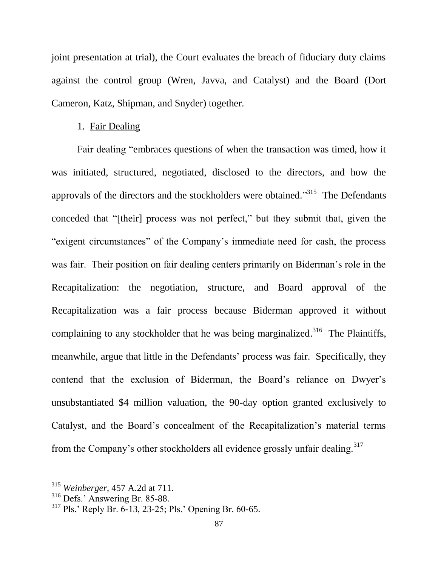joint presentation at trial), the Court evaluates the breach of fiduciary duty claims against the control group (Wren, Javva, and Catalyst) and the Board (Dort Cameron, Katz, Shipman, and Snyder) together.

### 1. Fair Dealing

Fair dealing "embraces questions of when the transaction was timed, how it was initiated, structured, negotiated, disclosed to the directors, and how the approvals of the directors and the stockholders were obtained."<sup>315</sup> The Defendants conceded that "[their] process was not perfect," but they submit that, given the "exigent circumstances" of the Company's immediate need for cash, the process was fair. Their position on fair dealing centers primarily on Biderman's role in the Recapitalization: the negotiation, structure, and Board approval of the Recapitalization was a fair process because Biderman approved it without complaining to any stockholder that he was being marginalized.<sup>316</sup> The Plaintiffs, meanwhile, argue that little in the Defendants' process was fair. Specifically, they contend that the exclusion of Biderman, the Board's reliance on Dwyer's unsubstantiated \$4 million valuation, the 90-day option granted exclusively to Catalyst, and the Board's concealment of the Recapitalization's material terms from the Company's other stockholders all evidence grossly unfair dealing.<sup>317</sup>

<sup>315</sup> *Weinberger*, 457 A.2d at 711.

<sup>316</sup> Defs.' Answering Br. 85-88.

<sup>317</sup> Pls.' Reply Br. 6-13, 23-25; Pls.' Opening Br. 60-65.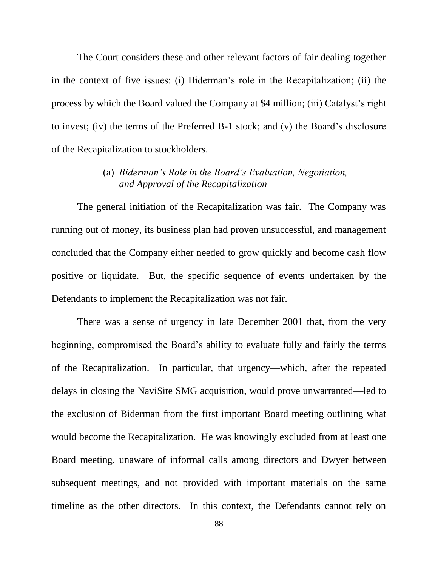The Court considers these and other relevant factors of fair dealing together in the context of five issues: (i) Biderman's role in the Recapitalization; (ii) the process by which the Board valued the Company at \$4 million; (iii) Catalyst's right to invest; (iv) the terms of the Preferred B-1 stock; and (v) the Board's disclosure of the Recapitalization to stockholders.

# (a) *Biderman's Role in the Board's Evaluation, Negotiation, and Approval of the Recapitalization*

The general initiation of the Recapitalization was fair. The Company was running out of money, its business plan had proven unsuccessful, and management concluded that the Company either needed to grow quickly and become cash flow positive or liquidate. But, the specific sequence of events undertaken by the Defendants to implement the Recapitalization was not fair.

There was a sense of urgency in late December 2001 that, from the very beginning, compromised the Board's ability to evaluate fully and fairly the terms of the Recapitalization. In particular, that urgency—which, after the repeated delays in closing the NaviSite SMG acquisition, would prove unwarranted—led to the exclusion of Biderman from the first important Board meeting outlining what would become the Recapitalization. He was knowingly excluded from at least one Board meeting, unaware of informal calls among directors and Dwyer between subsequent meetings, and not provided with important materials on the same timeline as the other directors. In this context, the Defendants cannot rely on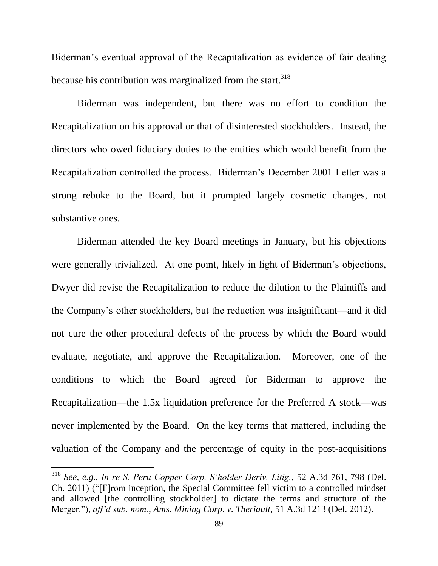Biderman's eventual approval of the Recapitalization as evidence of fair dealing because his contribution was marginalized from the start. $318$ 

Biderman was independent, but there was no effort to condition the Recapitalization on his approval or that of disinterested stockholders. Instead, the directors who owed fiduciary duties to the entities which would benefit from the Recapitalization controlled the process. Biderman's December 2001 Letter was a strong rebuke to the Board, but it prompted largely cosmetic changes, not substantive ones.

Biderman attended the key Board meetings in January, but his objections were generally trivialized. At one point, likely in light of Biderman's objections, Dwyer did revise the Recapitalization to reduce the dilution to the Plaintiffs and the Company's other stockholders, but the reduction was insignificant—and it did not cure the other procedural defects of the process by which the Board would evaluate, negotiate, and approve the Recapitalization. Moreover, one of the conditions to which the Board agreed for Biderman to approve the Recapitalization—the 1.5x liquidation preference for the Preferred A stock—was never implemented by the Board. On the key terms that mattered, including the valuation of the Company and the percentage of equity in the post-acquisitions

<sup>318</sup> *See, e.g.*, *In re S. Peru Copper Corp. S'holder Deriv. Litig.*, 52 A.3d 761, 798 (Del. Ch. 2011) ("[F]rom inception, the Special Committee fell victim to a controlled mindset and allowed [the controlling stockholder] to dictate the terms and structure of the Merger."), *aff'd sub. nom.*, *Ams. Mining Corp. v. Theriault*, 51 A.3d 1213 (Del. 2012).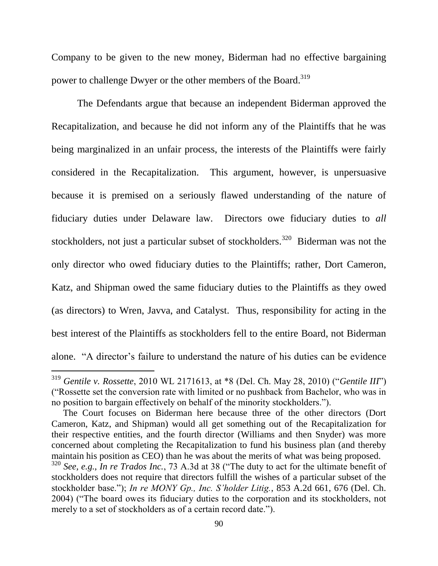Company to be given to the new money, Biderman had no effective bargaining power to challenge Dwyer or the other members of the Board.<sup>319</sup>

The Defendants argue that because an independent Biderman approved the Recapitalization, and because he did not inform any of the Plaintiffs that he was being marginalized in an unfair process, the interests of the Plaintiffs were fairly considered in the Recapitalization. This argument, however, is unpersuasive because it is premised on a seriously flawed understanding of the nature of fiduciary duties under Delaware law. Directors owe fiduciary duties to *all* stockholders, not just a particular subset of stockholders.<sup>320</sup> Biderman was not the only director who owed fiduciary duties to the Plaintiffs; rather, Dort Cameron, Katz, and Shipman owed the same fiduciary duties to the Plaintiffs as they owed (as directors) to Wren, Javva, and Catalyst. Thus, responsibility for acting in the best interest of the Plaintiffs as stockholders fell to the entire Board, not Biderman alone. "A director's failure to understand the nature of his duties can be evidence

<sup>319</sup> *Gentile v. Rossette*, 2010 WL 2171613, at \*8 (Del. Ch. May 28, 2010) ("*Gentile III*") ("Rossette set the conversion rate with limited or no pushback from Bachelor, who was in no position to bargain effectively on behalf of the minority stockholders.").

The Court focuses on Biderman here because three of the other directors (Dort Cameron, Katz, and Shipman) would all get something out of the Recapitalization for their respective entities, and the fourth director (Williams and then Snyder) was more concerned about completing the Recapitalization to fund his business plan (and thereby maintain his position as CEO) than he was about the merits of what was being proposed.

<sup>320</sup> *See, e.g.*, *In re Trados Inc.*, 73 A.3d at 38 ("The duty to act for the ultimate benefit of stockholders does not require that directors fulfill the wishes of a particular subset of the stockholder base."); *In re MONY Gp., Inc. S'holder Litig.*, 853 A.2d 661, 676 (Del. Ch. 2004) ("The board owes its fiduciary duties to the corporation and its stockholders, not merely to a set of stockholders as of a certain record date.").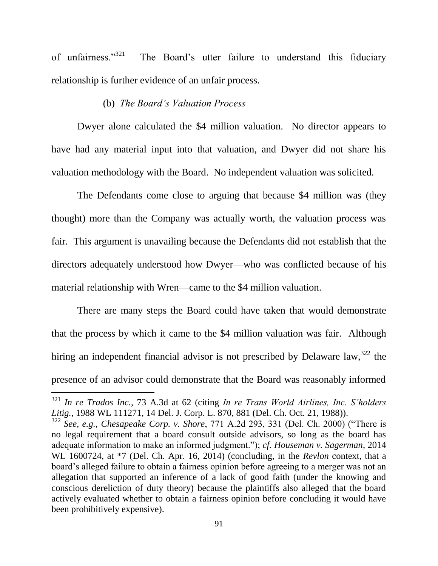of unfairness."<sup>321</sup> The Board's utter failure to understand this fiduciary relationship is further evidence of an unfair process.

### (b) *The Board's Valuation Process*

Dwyer alone calculated the \$4 million valuation. No director appears to have had any material input into that valuation, and Dwyer did not share his valuation methodology with the Board. No independent valuation was solicited.

The Defendants come close to arguing that because \$4 million was (they thought) more than the Company was actually worth, the valuation process was fair. This argument is unavailing because the Defendants did not establish that the directors adequately understood how Dwyer—who was conflicted because of his material relationship with Wren—came to the \$4 million valuation.

There are many steps the Board could have taken that would demonstrate that the process by which it came to the \$4 million valuation was fair. Although hiring an independent financial advisor is not prescribed by Delaware law,  $322$  the presence of an advisor could demonstrate that the Board was reasonably informed

<sup>321</sup> *In re Trados Inc.*, 73 A.3d at 62 (citing *In re Trans World Airlines, Inc. S'holders Litig.*, 1988 WL 111271, 14 Del. J. Corp. L. 870, 881 (Del. Ch. Oct. 21, 1988)).

<sup>322</sup> *See, e.g.*, *Chesapeake Corp. v. Shore*, 771 A.2d 293, 331 (Del. Ch. 2000) ("There is no legal requirement that a board consult outside advisors, so long as the board has adequate information to make an informed judgment."); *cf. Houseman v. Sagerman*, 2014 WL 1600724, at \*7 (Del. Ch. Apr. 16, 2014) (concluding, in the *Revlon* context, that a board's alleged failure to obtain a fairness opinion before agreeing to a merger was not an allegation that supported an inference of a lack of good faith (under the knowing and conscious dereliction of duty theory) because the plaintiffs also alleged that the board actively evaluated whether to obtain a fairness opinion before concluding it would have been prohibitively expensive).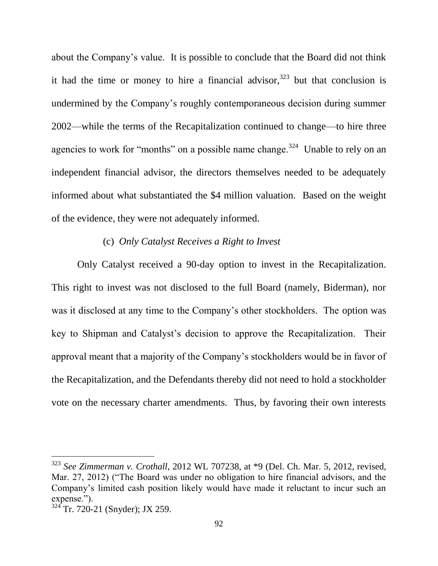about the Company's value. It is possible to conclude that the Board did not think it had the time or money to hire a financial advisor,  $323$  but that conclusion is undermined by the Company's roughly contemporaneous decision during summer 2002—while the terms of the Recapitalization continued to change—to hire three agencies to work for "months" on a possible name change.<sup>324</sup> Unable to rely on an independent financial advisor, the directors themselves needed to be adequately informed about what substantiated the \$4 million valuation. Based on the weight of the evidence, they were not adequately informed.

# (c) *Only Catalyst Receives a Right to Invest*

Only Catalyst received a 90-day option to invest in the Recapitalization. This right to invest was not disclosed to the full Board (namely, Biderman), nor was it disclosed at any time to the Company's other stockholders. The option was key to Shipman and Catalyst's decision to approve the Recapitalization. Their approval meant that a majority of the Company's stockholders would be in favor of the Recapitalization, and the Defendants thereby did not need to hold a stockholder vote on the necessary charter amendments. Thus, by favoring their own interests

<sup>323</sup> *See Zimmerman v. Crothall*, 2012 WL 707238, at \*9 (Del. Ch. Mar. 5, 2012, revised, Mar. 27, 2012) ("The Board was under no obligation to hire financial advisors, and the Company's limited cash position likely would have made it reluctant to incur such an expense.").

 $324$ <sup>2</sup>Tr. 720-21 (Snyder); JX 259.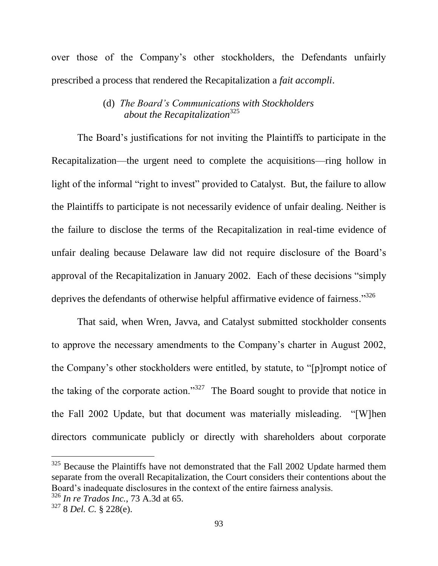over those of the Company's other stockholders, the Defendants unfairly prescribed a process that rendered the Recapitalization a *fait accompli*.

# (d) *The Board's Communications with Stockholders about the Recapitalization*<sup>325</sup>

The Board's justifications for not inviting the Plaintiffs to participate in the Recapitalization—the urgent need to complete the acquisitions—ring hollow in light of the informal "right to invest" provided to Catalyst. But, the failure to allow the Plaintiffs to participate is not necessarily evidence of unfair dealing. Neither is the failure to disclose the terms of the Recapitalization in real-time evidence of unfair dealing because Delaware law did not require disclosure of the Board's approval of the Recapitalization in January 2002. Each of these decisions "simply deprives the defendants of otherwise helpful affirmative evidence of fairness."<sup>326</sup>

That said, when Wren, Javva, and Catalyst submitted stockholder consents to approve the necessary amendments to the Company's charter in August 2002, the Company's other stockholders were entitled, by statute, to "[p]rompt notice of the taking of the corporate action."<sup>327</sup> The Board sought to provide that notice in the Fall 2002 Update, but that document was materially misleading. "[W]hen directors communicate publicly or directly with shareholders about corporate

 $325$  Because the Plaintiffs have not demonstrated that the Fall 2002 Update harmed them separate from the overall Recapitalization, the Court considers their contentions about the Board's inadequate disclosures in the context of the entire fairness analysis.

<sup>326</sup> *In re Trados Inc.*, 73 A.3d at 65.

<sup>327</sup> 8 *Del. C.* § 228(e).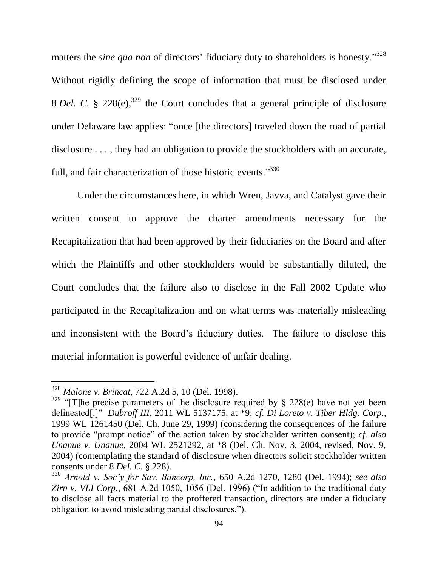matters the *sine qua non* of directors' fiduciary duty to shareholders is honesty."<sup>328</sup> Without rigidly defining the scope of information that must be disclosed under 8 *Del.* C. § 228(e),<sup>329</sup> the Court concludes that a general principle of disclosure under Delaware law applies: "once [the directors] traveled down the road of partial disclosure ..., they had an obligation to provide the stockholders with an accurate, full, and fair characterization of those historic events."<sup>330</sup>

Under the circumstances here, in which Wren, Javva, and Catalyst gave their written consent to approve the charter amendments necessary for the Recapitalization that had been approved by their fiduciaries on the Board and after which the Plaintiffs and other stockholders would be substantially diluted, the Court concludes that the failure also to disclose in the Fall 2002 Update who participated in the Recapitalization and on what terms was materially misleading and inconsistent with the Board's fiduciary duties. The failure to disclose this material information is powerful evidence of unfair dealing.

<sup>328</sup> *Malone v. Brincat*, 722 A.2d 5, 10 (Del. 1998).

 $329$  "[T]he precise parameters of the disclosure required by § 228(e) have not yet been delineated[.]" *Dubroff III*, 2011 WL 5137175, at \*9; *cf. Di Loreto v. Tiber Hldg. Corp.*, 1999 WL 1261450 (Del. Ch. June 29, 1999) (considering the consequences of the failure to provide "prompt notice" of the action taken by stockholder written consent); *cf. also Unanue v. Unanue*, 2004 WL 2521292, at \*8 (Del. Ch. Nov. 3, 2004, revised, Nov. 9, 2004) (contemplating the standard of disclosure when directors solicit stockholder written consents under 8 *Del. C.* § 228).

<sup>330</sup> *Arnold v. Soc'y for Sav. Bancorp, Inc.*, 650 A.2d 1270, 1280 (Del. 1994); *see also Zirn v. VLI Corp.*, 681 A.2d 1050, 1056 (Del. 1996) ("In addition to the traditional duty to disclose all facts material to the proffered transaction, directors are under a fiduciary obligation to avoid misleading partial disclosures.").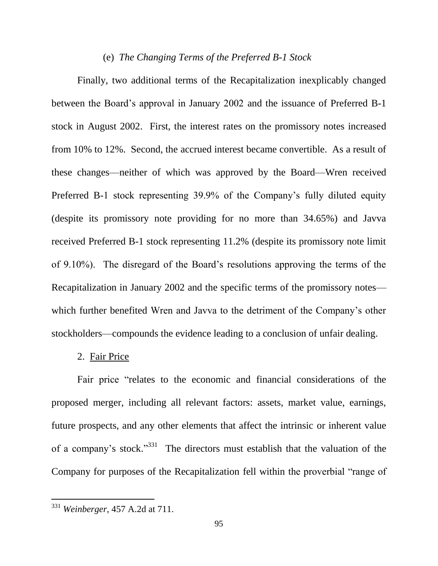#### (e) *The Changing Terms of the Preferred B-1 Stock*

Finally, two additional terms of the Recapitalization inexplicably changed between the Board's approval in January 2002 and the issuance of Preferred B-1 stock in August 2002. First, the interest rates on the promissory notes increased from 10% to 12%. Second, the accrued interest became convertible. As a result of these changes—neither of which was approved by the Board—Wren received Preferred B-1 stock representing 39.9% of the Company's fully diluted equity (despite its promissory note providing for no more than 34.65%) and Javva received Preferred B-1 stock representing 11.2% (despite its promissory note limit of 9.10%). The disregard of the Board's resolutions approving the terms of the Recapitalization in January 2002 and the specific terms of the promissory notes which further benefited Wren and Javva to the detriment of the Company's other stockholders—compounds the evidence leading to a conclusion of unfair dealing.

### 2. Fair Price

Fair price "relates to the economic and financial considerations of the proposed merger, including all relevant factors: assets, market value, earnings, future prospects, and any other elements that affect the intrinsic or inherent value of a company's stock."<sup>331</sup> The directors must establish that the valuation of the Company for purposes of the Recapitalization fell within the proverbial "range of

<sup>331</sup> *Weinberger*, 457 A.2d at 711.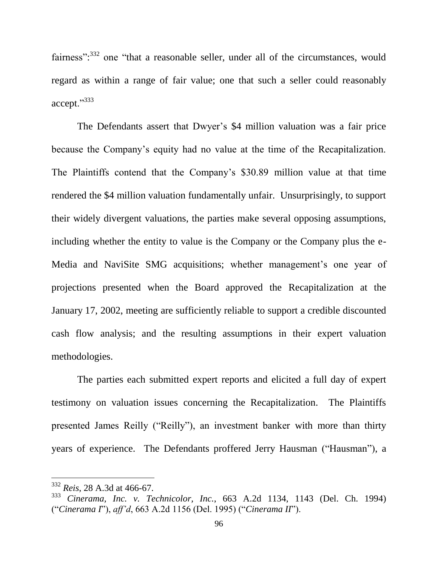fairness":<sup>332</sup> one "that a reasonable seller, under all of the circumstances, would regard as within a range of fair value; one that such a seller could reasonably accept."333

The Defendants assert that Dwyer's \$4 million valuation was a fair price because the Company's equity had no value at the time of the Recapitalization. The Plaintiffs contend that the Company's \$30.89 million value at that time rendered the \$4 million valuation fundamentally unfair. Unsurprisingly, to support their widely divergent valuations, the parties make several opposing assumptions, including whether the entity to value is the Company or the Company plus the e-Media and NaviSite SMG acquisitions; whether management's one year of projections presented when the Board approved the Recapitalization at the January 17, 2002, meeting are sufficiently reliable to support a credible discounted cash flow analysis; and the resulting assumptions in their expert valuation methodologies.

The parties each submitted expert reports and elicited a full day of expert testimony on valuation issues concerning the Recapitalization. The Plaintiffs presented James Reilly ("Reilly"), an investment banker with more than thirty years of experience. The Defendants proffered Jerry Hausman ("Hausman"), a

<sup>332</sup> *Reis*, 28 A.3d at 466-67.

<sup>333</sup> *Cinerama, Inc. v. Technicolor, Inc.*, 663 A.2d 1134, 1143 (Del. Ch. 1994) ("*Cinerama I*"), *aff'd*, 663 A.2d 1156 (Del. 1995) ("*Cinerama II*").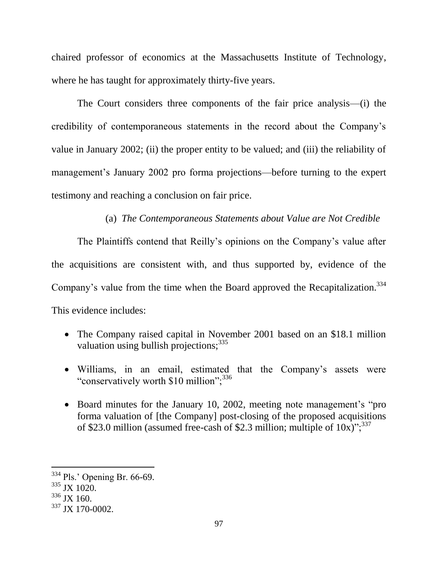chaired professor of economics at the Massachusetts Institute of Technology, where he has taught for approximately thirty-five years.

The Court considers three components of the fair price analysis—(i) the credibility of contemporaneous statements in the record about the Company's value in January 2002; (ii) the proper entity to be valued; and (iii) the reliability of management's January 2002 pro forma projections—before turning to the expert testimony and reaching a conclusion on fair price.

# (a) *The Contemporaneous Statements about Value are Not Credible*

The Plaintiffs contend that Reilly's opinions on the Company's value after the acquisitions are consistent with, and thus supported by, evidence of the Company's value from the time when the Board approved the Recapitalization.<sup>334</sup> This evidence includes:

- The Company raised capital in November 2001 based on an \$18.1 million valuation using bullish projections;<sup>335</sup>
- Williams, in an email, estimated that the Company's assets were "conservatively worth \$10 million";<sup>336</sup>
- Board minutes for the January 10, 2002, meeting note management's "proforma valuation of [the Company] post-closing of the proposed acquisitions of \$23.0 million (assumed free-cash of \$2.3 million; multiple of  $10x$ )";  $337$

<sup>334</sup> Pls.' Opening Br. 66-69.

 $335$  JX 1020.

 $336$  JX 160.

<sup>337</sup> JX 170-0002.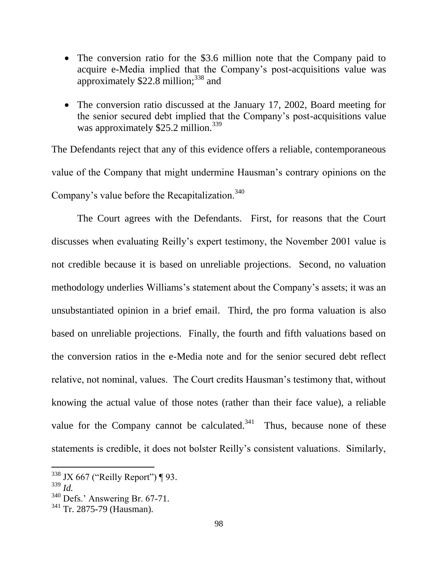- The conversion ratio for the \$3.6 million note that the Company paid to acquire e-Media implied that the Company's post-acquisitions value was approximately  $$22.8$  million:<sup>338</sup> and
- The conversion ratio discussed at the January 17, 2002, Board meeting for the senior secured debt implied that the Company's post-acquisitions value was approximately \$25.2 million.<sup>339</sup>

The Defendants reject that any of this evidence offers a reliable, contemporaneous value of the Company that might undermine Hausman's contrary opinions on the Company's value before the Recapitalization.<sup>340</sup>

The Court agrees with the Defendants. First, for reasons that the Court discusses when evaluating Reilly's expert testimony, the November 2001 value is not credible because it is based on unreliable projections. Second, no valuation methodology underlies Williams's statement about the Company's assets; it was an unsubstantiated opinion in a brief email. Third, the pro forma valuation is also based on unreliable projections. Finally, the fourth and fifth valuations based on the conversion ratios in the e-Media note and for the senior secured debt reflect relative, not nominal, values. The Court credits Hausman's testimony that, without knowing the actual value of those notes (rather than their face value), a reliable value for the Company cannot be calculated.<sup>341</sup> Thus, because none of these statements is credible, it does not bolster Reilly's consistent valuations. Similarly,

 $338$  JX 667 ("Reilly Report") ¶ 93.

<sup>339</sup> *Id.*

<sup>340</sup> Defs.' Answering Br. 67-71.

<sup>341</sup> Tr. 2875-79 (Hausman).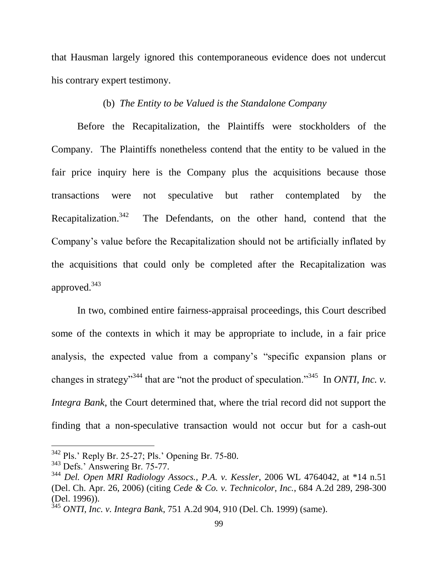that Hausman largely ignored this contemporaneous evidence does not undercut his contrary expert testimony.

### (b) *The Entity to be Valued is the Standalone Company*

Before the Recapitalization, the Plaintiffs were stockholders of the Company. The Plaintiffs nonetheless contend that the entity to be valued in the fair price inquiry here is the Company plus the acquisitions because those transactions were not speculative but rather contemplated by the Recapitalization.<sup>342</sup> The Defendants, on the other hand, contend that the Company's value before the Recapitalization should not be artificially inflated by the acquisitions that could only be completed after the Recapitalization was approved.<sup>343</sup>

In two, combined entire fairness-appraisal proceedings, this Court described some of the contexts in which it may be appropriate to include, in a fair price analysis, the expected value from a company's "specific expansion plans or changes in strategy<sup> $344$ </sup> that are "not the product of speculation."<sup>345</sup> In *ONTI, Inc. v. Integra Bank*, the Court determined that, where the trial record did not support the finding that a non-speculative transaction would not occur but for a cash-out

<sup>342</sup> Pls.' Reply Br. 25-27; Pls.' Opening Br. 75-80.

<sup>&</sup>lt;sup>343</sup> Defs.' Answering Br. 75-77.

<sup>344</sup> *Del. Open MRI Radiology Assocs., P.A. v. Kessler*, 2006 WL 4764042, at \*14 n.51 (Del. Ch. Apr. 26, 2006) (citing *Cede & Co. v. Technicolor, Inc.*, 684 A.2d 289, 298-300 (Del. 1996)).

<sup>345</sup> *ONTI, Inc. v. Integra Bank*, 751 A.2d 904, 910 (Del. Ch. 1999) (same).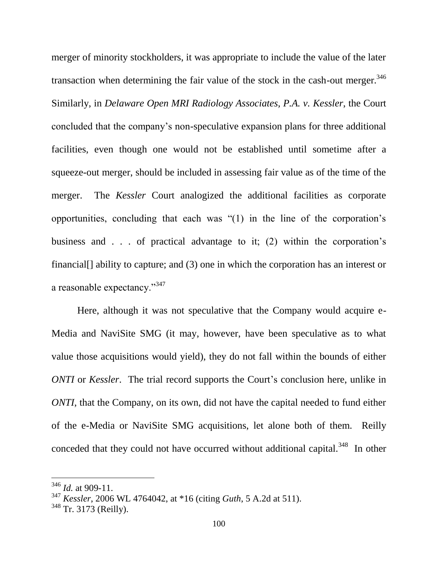merger of minority stockholders, it was appropriate to include the value of the later transaction when determining the fair value of the stock in the cash-out merger.<sup>346</sup> Similarly, in *Delaware Open MRI Radiology Associates, P.A. v. Kessler*, the Court concluded that the company's non-speculative expansion plans for three additional facilities, even though one would not be established until sometime after a squeeze-out merger, should be included in assessing fair value as of the time of the merger. The *Kessler* Court analogized the additional facilities as corporate opportunities, concluding that each was "(1) in the line of the corporation's business and . . . of practical advantage to it; (2) within the corporation's financial<sup>[]</sup> ability to capture; and (3) one in which the corporation has an interest or a reasonable expectancy."<sup>347</sup>

Here, although it was not speculative that the Company would acquire e-Media and NaviSite SMG (it may, however, have been speculative as to what value those acquisitions would yield), they do not fall within the bounds of either *ONTI* or *Kessler*. The trial record supports the Court's conclusion here, unlike in *ONTI*, that the Company, on its own, did not have the capital needed to fund either of the e-Media or NaviSite SMG acquisitions, let alone both of them. Reilly conceded that they could not have occurred without additional capital.<sup>348</sup> In other

<sup>346</sup> *Id.* at 909-11.

<sup>347</sup> *Kessler*, 2006 WL 4764042, at \*16 (citing *Guth*, 5 A.2d at 511).

<sup>348</sup> Tr. 3173 (Reilly).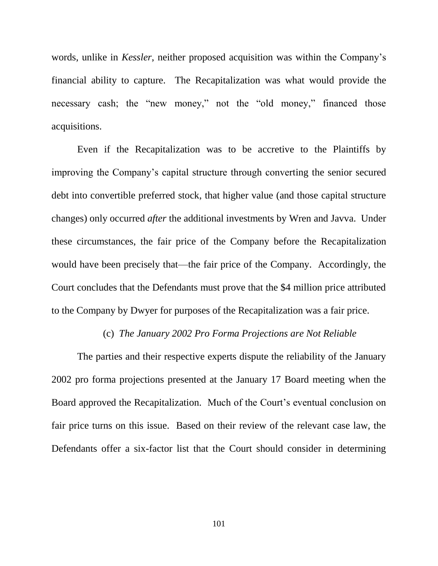words, unlike in *Kessler*, neither proposed acquisition was within the Company's financial ability to capture. The Recapitalization was what would provide the necessary cash; the "new money," not the "old money," financed those acquisitions.

Even if the Recapitalization was to be accretive to the Plaintiffs by improving the Company's capital structure through converting the senior secured debt into convertible preferred stock, that higher value (and those capital structure changes) only occurred *after* the additional investments by Wren and Javva. Under these circumstances, the fair price of the Company before the Recapitalization would have been precisely that—the fair price of the Company. Accordingly, the Court concludes that the Defendants must prove that the \$4 million price attributed to the Company by Dwyer for purposes of the Recapitalization was a fair price.

#### (c) *The January 2002 Pro Forma Projections are Not Reliable*

The parties and their respective experts dispute the reliability of the January 2002 pro forma projections presented at the January 17 Board meeting when the Board approved the Recapitalization. Much of the Court's eventual conclusion on fair price turns on this issue. Based on their review of the relevant case law, the Defendants offer a six-factor list that the Court should consider in determining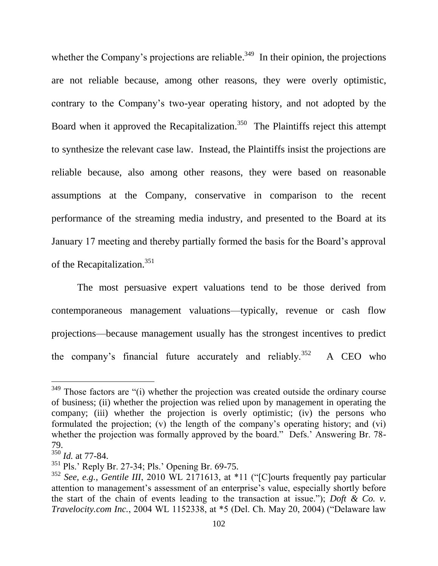whether the Company's projections are reliable.<sup>349</sup> In their opinion, the projections are not reliable because, among other reasons, they were overly optimistic, contrary to the Company's two-year operating history, and not adopted by the Board when it approved the Recapitalization.<sup>350</sup> The Plaintiffs reject this attempt to synthesize the relevant case law. Instead, the Plaintiffs insist the projections are reliable because, also among other reasons, they were based on reasonable assumptions at the Company, conservative in comparison to the recent performance of the streaming media industry, and presented to the Board at its January 17 meeting and thereby partially formed the basis for the Board's approval of the Recapitalization.<sup>351</sup>

The most persuasive expert valuations tend to be those derived from contemporaneous management valuations—typically, revenue or cash flow projections—because management usually has the strongest incentives to predict the company's financial future accurately and reliably.<sup>352</sup> A CEO who

<sup>&</sup>lt;sup>349</sup> Those factors are "(i) whether the projection was created outside the ordinary course of business; (ii) whether the projection was relied upon by management in operating the company; (iii) whether the projection is overly optimistic; (iv) the persons who formulated the projection; (v) the length of the company's operating history; and (vi) whether the projection was formally approved by the board." Defs.' Answering Br. 78-79.

 $\frac{350}{350}$ *Id.* at 77-84.

<sup>351</sup> Pls.' Reply Br. 27-34; Pls.' Opening Br. 69-75.

<sup>352</sup> *See, e.g.*, *Gentile III*, 2010 WL 2171613, at \*11 ("[C]ourts frequently pay particular attention to management's assessment of an enterprise's value, especially shortly before the start of the chain of events leading to the transaction at issue."); *Doft & Co. v. Travelocity.com Inc.*, 2004 WL 1152338, at \*5 (Del. Ch. May 20, 2004) ("Delaware law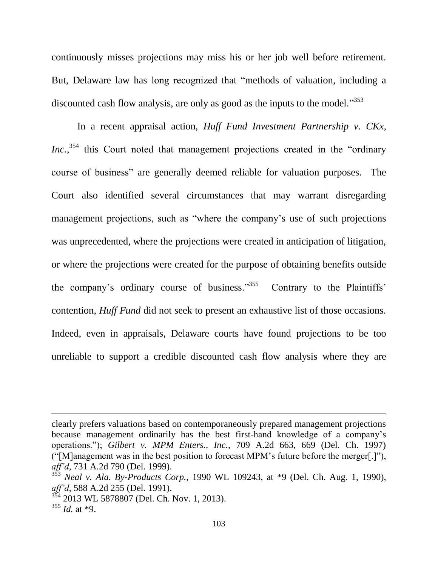continuously misses projections may miss his or her job well before retirement. But, Delaware law has long recognized that "methods of valuation, including a discounted cash flow analysis, are only as good as the inputs to the model."<sup>353</sup>

In a recent appraisal action, *Huff Fund Investment Partnership v. CKx, Inc.*<sup>354</sup>, this Court noted that management projections created in the "ordinary" course of business" are generally deemed reliable for valuation purposes. The Court also identified several circumstances that may warrant disregarding management projections, such as "where the company's use of such projections was unprecedented, where the projections were created in anticipation of litigation, or where the projections were created for the purpose of obtaining benefits outside the company's ordinary course of business."<sup>355</sup> Contrary to the Plaintiffs' contention, *Huff Fund* did not seek to present an exhaustive list of those occasions. Indeed, even in appraisals, Delaware courts have found projections to be too unreliable to support a credible discounted cash flow analysis where they are

clearly prefers valuations based on contemporaneously prepared management projections because management ordinarily has the best first-hand knowledge of a company's operations."); *Gilbert v. MPM Enters., Inc.*, 709 A.2d 663, 669 (Del. Ch. 1997) ("[M]anagement was in the best position to forecast MPM's future before the merger[.]"), *aff'd*, 731 A.2d 790 (Del. 1999).

<sup>353</sup> *Neal v. Ala. By-Products Corp.*, 1990 WL 109243, at \*9 (Del. Ch. Aug. 1, 1990), *aff'd*, 588 A.2d 255 (Del. 1991).

<sup>354</sup> 2013 WL 5878807 (Del. Ch. Nov. 1, 2013).

<sup>355</sup> *Id.* at \*9.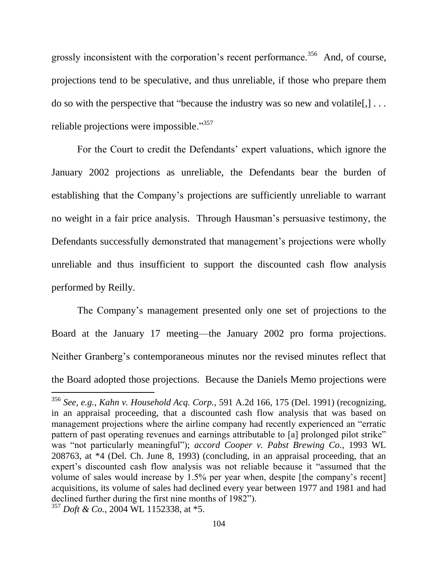grossly inconsistent with the corporation's recent performance.<sup>356</sup> And, of course, projections tend to be speculative, and thus unreliable, if those who prepare them do so with the perspective that "because the industry was so new and volatile $[$ , $]$ ... reliable projections were impossible."<sup>357</sup>

For the Court to credit the Defendants' expert valuations, which ignore the January 2002 projections as unreliable, the Defendants bear the burden of establishing that the Company's projections are sufficiently unreliable to warrant no weight in a fair price analysis. Through Hausman's persuasive testimony, the Defendants successfully demonstrated that management's projections were wholly unreliable and thus insufficient to support the discounted cash flow analysis performed by Reilly.

The Company's management presented only one set of projections to the Board at the January 17 meeting—the January 2002 pro forma projections. Neither Granberg's contemporaneous minutes nor the revised minutes reflect that the Board adopted those projections. Because the Daniels Memo projections were

<sup>356</sup> *See, e.g.*, *Kahn v. Household Acq. Corp.*, 591 A.2d 166, 175 (Del. 1991) (recognizing, in an appraisal proceeding, that a discounted cash flow analysis that was based on management projections where the airline company had recently experienced an "erratic pattern of past operating revenues and earnings attributable to [a] prolonged pilot strike" was "not particularly meaningful"); *accord Cooper v. Pabst Brewing Co.*, 1993 WL 208763, at \*4 (Del. Ch. June 8, 1993) (concluding, in an appraisal proceeding, that an expert's discounted cash flow analysis was not reliable because it "assumed that the volume of sales would increase by 1.5% per year when, despite [the company's recent] acquisitions, its volume of sales had declined every year between 1977 and 1981 and had declined further during the first nine months of 1982").

<sup>357</sup> *Doft & Co.*, 2004 WL 1152338, at \*5.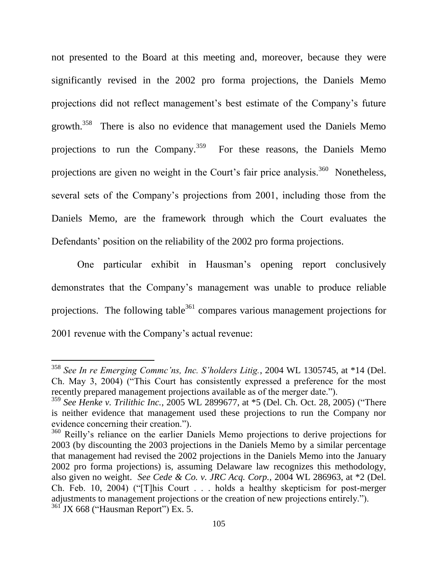not presented to the Board at this meeting and, moreover, because they were significantly revised in the 2002 pro forma projections, the Daniels Memo projections did not reflect management's best estimate of the Company's future growth.<sup>358</sup> There is also no evidence that management used the Daniels Memo projections to run the Company.<sup>359</sup> For these reasons, the Daniels Memo projections are given no weight in the Court's fair price analysis.<sup>360</sup> Nonetheless, several sets of the Company's projections from 2001, including those from the Daniels Memo, are the framework through which the Court evaluates the Defendants' position on the reliability of the 2002 pro forma projections.

One particular exhibit in Hausman's opening report conclusively demonstrates that the Company's management was unable to produce reliable projections. The following table<sup>361</sup> compares various management projections for 2001 revenue with the Company's actual revenue:

<sup>358</sup> *See In re Emerging Commc'ns, Inc. S'holders Litig.*, 2004 WL 1305745, at \*14 (Del. Ch. May 3, 2004) ("This Court has consistently expressed a preference for the most recently prepared management projections available as of the merger date.").

<sup>359</sup> *See Henke v. Trilithic Inc.*, 2005 WL 2899677, at \*5 (Del. Ch. Oct. 28, 2005) ("There is neither evidence that management used these projections to run the Company nor evidence concerning their creation.").

<sup>&</sup>lt;sup>360</sup> Reilly's reliance on the earlier Daniels Memo projections to derive projections for 2003 (by discounting the 2003 projections in the Daniels Memo by a similar percentage that management had revised the 2002 projections in the Daniels Memo into the January 2002 pro forma projections) is, assuming Delaware law recognizes this methodology, also given no weight. *See Cede & Co. v. JRC Acq. Corp.,* 2004 WL 286963, at \*2 (Del. Ch. Feb. 10, 2004) ("[T]his Court . . . holds a healthy skepticism for post-merger adjustments to management projections or the creation of new projections entirely.").  $361$  JX 668 ("Hausman Report") Ex. 5.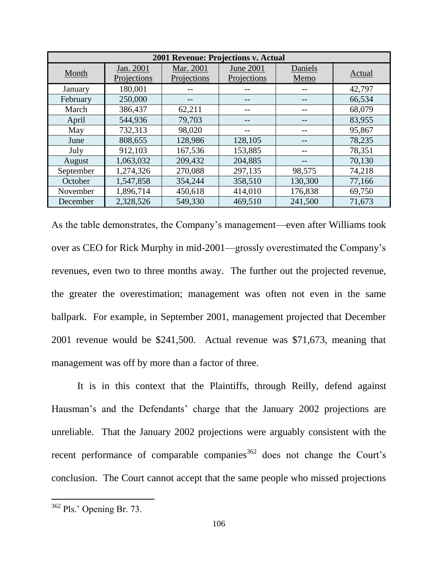| 2001 Revenue: Projections v. Actual |                          |                          |                                 |                 |        |
|-------------------------------------|--------------------------|--------------------------|---------------------------------|-----------------|--------|
| Month                               | Jan. 2001<br>Projections | Mar. 2001<br>Projections | <b>June 2001</b><br>Projections | Daniels<br>Memo | Actual |
| January                             | 180,001                  |                          |                                 |                 | 42,797 |
| February                            | 250,000                  |                          |                                 |                 | 66,534 |
| March                               | 386,437                  | 62,211                   |                                 | --              | 68,079 |
| April                               | 544,936                  | 79,703                   |                                 |                 | 83,955 |
| May                                 | 732,313                  | 98,020                   |                                 | --              | 95,867 |
| June                                | 808,655                  | 128,986                  | 128,105                         |                 | 78,235 |
| July                                | 912,103                  | 167,536                  | 153,885                         | --              | 78,351 |
| August                              | 1,063,032                | 209,432                  | 204,885                         |                 | 70,130 |
| September                           | 1,274,326                | 270,088                  | 297,135                         | 98,575          | 74,218 |
| October                             | 1,547,858                | 354,244                  | 358,510                         | 130,300         | 77,166 |
| November                            | 1,896,714                | 450,618                  | 414,010                         | 176,838         | 69,750 |
| December                            | 2,328,526                | 549,330                  | 469,510                         | 241,500         | 71,673 |

As the table demonstrates, the Company's management—even after Williams took over as CEO for Rick Murphy in mid-2001—grossly overestimated the Company's revenues, even two to three months away. The further out the projected revenue, the greater the overestimation; management was often not even in the same ballpark. For example, in September 2001, management projected that December 2001 revenue would be \$241,500. Actual revenue was \$71,673, meaning that management was off by more than a factor of three.

It is in this context that the Plaintiffs, through Reilly, defend against Hausman's and the Defendants' charge that the January 2002 projections are unreliable. That the January 2002 projections were arguably consistent with the recent performance of comparable companies  $362$  does not change the Court's conclusion. The Court cannot accept that the same people who missed projections

 $362$  Pls.' Opening Br. 73.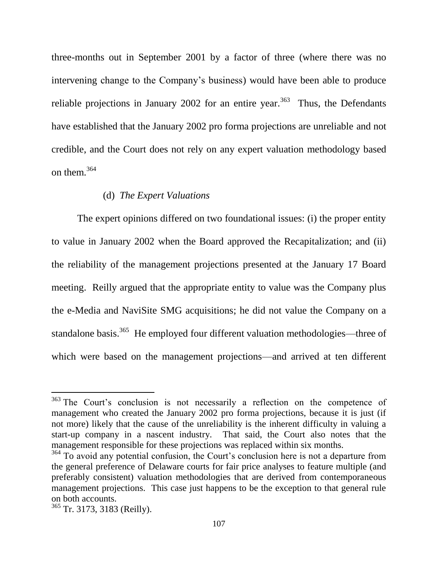three-months out in September 2001 by a factor of three (where there was no intervening change to the Company's business) would have been able to produce reliable projections in January 2002 for an entire year.<sup>363</sup> Thus, the Defendants have established that the January 2002 pro forma projections are unreliable and not credible, and the Court does not rely on any expert valuation methodology based on them.<sup>364</sup>

### (d) *The Expert Valuations*

The expert opinions differed on two foundational issues: (i) the proper entity to value in January 2002 when the Board approved the Recapitalization; and (ii) the reliability of the management projections presented at the January 17 Board meeting. Reilly argued that the appropriate entity to value was the Company plus the e-Media and NaviSite SMG acquisitions; he did not value the Company on a standalone basis.<sup>365</sup> He employed four different valuation methodologies—three of which were based on the management projections—and arrived at ten different

<sup>&</sup>lt;sup>363</sup> The Court's conclusion is not necessarily a reflection on the competence of management who created the January 2002 pro forma projections, because it is just (if not more) likely that the cause of the unreliability is the inherent difficulty in valuing a start-up company in a nascent industry. That said, the Court also notes that the management responsible for these projections was replaced within six months.

<sup>&</sup>lt;sup>364</sup> To avoid any potential confusion, the Court's conclusion here is not a departure from the general preference of Delaware courts for fair price analyses to feature multiple (and preferably consistent) valuation methodologies that are derived from contemporaneous management projections. This case just happens to be the exception to that general rule on both accounts.

<sup>365</sup> Tr. 3173, 3183 (Reilly).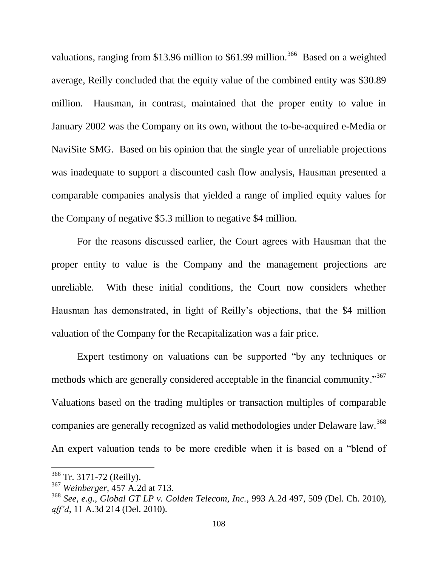valuations, ranging from \$13.96 million to \$61.99 million.<sup>366</sup> Based on a weighted average, Reilly concluded that the equity value of the combined entity was \$30.89 million. Hausman, in contrast, maintained that the proper entity to value in January 2002 was the Company on its own, without the to-be-acquired e-Media or NaviSite SMG. Based on his opinion that the single year of unreliable projections was inadequate to support a discounted cash flow analysis, Hausman presented a comparable companies analysis that yielded a range of implied equity values for the Company of negative \$5.3 million to negative \$4 million.

For the reasons discussed earlier, the Court agrees with Hausman that the proper entity to value is the Company and the management projections are unreliable. With these initial conditions, the Court now considers whether Hausman has demonstrated, in light of Reilly's objections, that the \$4 million valuation of the Company for the Recapitalization was a fair price.

Expert testimony on valuations can be supported "by any techniques or methods which are generally considered acceptable in the financial community."<sup>367</sup> Valuations based on the trading multiples or transaction multiples of comparable companies are generally recognized as valid methodologies under Delaware law.<sup>368</sup> An expert valuation tends to be more credible when it is based on a "blend of

<sup>366</sup> Tr. 3171-72 (Reilly).

<sup>367</sup> *Weinberger*, 457 A.2d at 713.

<sup>368</sup> *See, e.g.*, *Global GT LP v. Golden Telecom, Inc.*, 993 A.2d 497, 509 (Del. Ch. 2010), *aff'd*, 11 A.3d 214 (Del. 2010).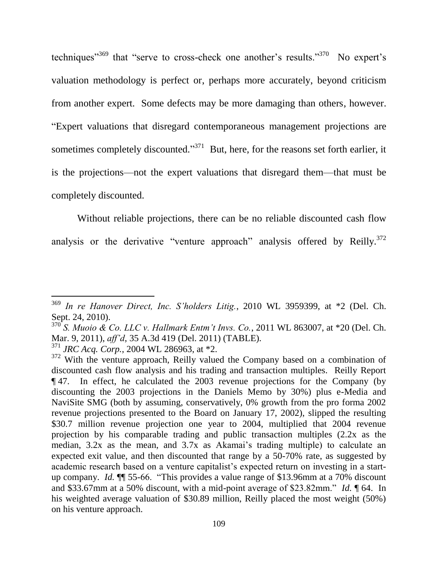techniques<sup> $369$ </sup> that "serve to cross-check one another's results."<sup>370</sup> No expert's valuation methodology is perfect or, perhaps more accurately, beyond criticism from another expert. Some defects may be more damaging than others, however. "Expert valuations that disregard contemporaneous management projections are sometimes completely discounted."<sup>371</sup> But, here, for the reasons set forth earlier, it is the projections—not the expert valuations that disregard them—that must be completely discounted.

Without reliable projections, there can be no reliable discounted cash flow analysis or the derivative "venture approach" analysis offered by Reilly.<sup>372</sup>

<sup>369</sup> *In re Hanover Direct, Inc. S'holders Litig.*, 2010 WL 3959399, at \*2 (Del. Ch. Sept. 24, 2010).

 $370^{\circ}$  *S. Muoio & Co. LLC v. Hallmark Entm't Invs. Co.*, 2011 WL 863007, at \*20 (Del. Ch.) Mar. 9, 2011), *aff'd*, 35 A.3d 419 (Del. 2011) (TABLE).

<sup>371</sup> *JRC Acq. Corp.*, 2004 WL 286963, at \*2.

<sup>&</sup>lt;sup>372</sup> With the venture approach, Reilly valued the Company based on a combination of discounted cash flow analysis and his trading and transaction multiples. Reilly Report ¶ 47. In effect, he calculated the 2003 revenue projections for the Company (by discounting the 2003 projections in the Daniels Memo by 30%) plus e-Media and NaviSite SMG (both by assuming, conservatively, 0% growth from the pro forma 2002 revenue projections presented to the Board on January 17, 2002), slipped the resulting \$30.7 million revenue projection one year to 2004, multiplied that 2004 revenue projection by his comparable trading and public transaction multiples (2.2x as the median, 3.2x as the mean, and 3.7x as Akamai's trading multiple) to calculate an expected exit value, and then discounted that range by a 50-70% rate, as suggested by academic research based on a venture capitalist's expected return on investing in a startup company. *Id.* ¶¶ 55-66. "This provides a value range of \$13.96mm at a 70% discount and \$33.67mm at a 50% discount, with a mid-point average of \$23.82mm." *Id.* ¶ 64. In his weighted average valuation of \$30.89 million, Reilly placed the most weight (50%) on his venture approach.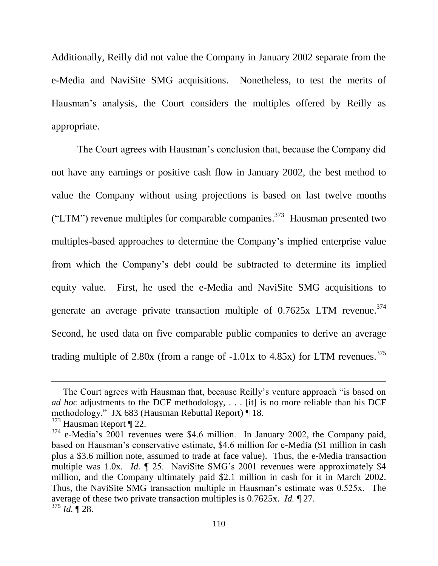Additionally, Reilly did not value the Company in January 2002 separate from the e-Media and NaviSite SMG acquisitions. Nonetheless, to test the merits of Hausman's analysis, the Court considers the multiples offered by Reilly as appropriate.

The Court agrees with Hausman's conclusion that, because the Company did not have any earnings or positive cash flow in January 2002, the best method to value the Company without using projections is based on last twelve months ("LTM") revenue multiples for comparable companies.<sup>373</sup> Hausman presented two multiples-based approaches to determine the Company's implied enterprise value from which the Company's debt could be subtracted to determine its implied equity value. First, he used the e-Media and NaviSite SMG acquisitions to generate an average private transaction multiple of  $0.7625x$  LTM revenue.<sup>374</sup> Second, he used data on five comparable public companies to derive an average trading multiple of 2.80x (from a range of  $-1.01x$  to 4.85x) for LTM revenues.<sup>375</sup>

The Court agrees with Hausman that, because Reilly's venture approach "is based on *ad hoc* adjustments to the DCF methodology, . . . [it] is no more reliable than his DCF methodology." JX 683 (Hausman Rebuttal Report) ¶ 18. <sup>373</sup> Hausman Report ¶ 22.

<sup>&</sup>lt;sup>374</sup> e-Media's 2001 revenues were \$4.6 million. In January 2002, the Company paid, based on Hausman's conservative estimate, \$4.6 million for e-Media (\$1 million in cash plus a \$3.6 million note, assumed to trade at face value). Thus, the e-Media transaction multiple was 1.0x. *Id.*  $\sim$  25. NaviSite SMG's 2001 revenues were approximately \$4 million, and the Company ultimately paid \$2.1 million in cash for it in March 2002. Thus, the NaviSite SMG transaction multiple in Hausman's estimate was 0.525x. The average of these two private transaction multiples is 0.7625x. *Id.* ¶ 27. <sup>375</sup> *Id.* ¶ 28.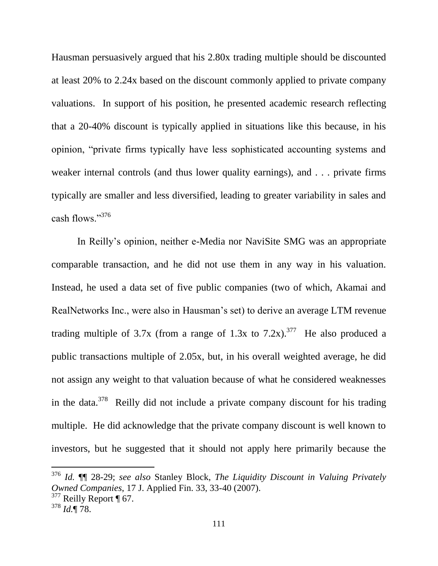Hausman persuasively argued that his 2.80x trading multiple should be discounted at least 20% to 2.24x based on the discount commonly applied to private company valuations. In support of his position, he presented academic research reflecting that a 20-40% discount is typically applied in situations like this because, in his opinion, "private firms typically have less sophisticated accounting systems and weaker internal controls (and thus lower quality earnings), and . . . private firms typically are smaller and less diversified, leading to greater variability in sales and cash flows."<sup>376</sup>

In Reilly's opinion, neither e-Media nor NaviSite SMG was an appropriate comparable transaction, and he did not use them in any way in his valuation. Instead, he used a data set of five public companies (two of which, Akamai and RealNetworks Inc., were also in Hausman's set) to derive an average LTM revenue trading multiple of 3.7x (from a range of 1.3x to 7.2x).<sup>377</sup> He also produced a public transactions multiple of 2.05x, but, in his overall weighted average, he did not assign any weight to that valuation because of what he considered weaknesses in the data.<sup>378</sup> Reilly did not include a private company discount for his trading multiple. He did acknowledge that the private company discount is well known to investors, but he suggested that it should not apply here primarily because the

<sup>376</sup> *Id.* ¶¶ 28-29; *see also* Stanley Block, *The Liquidity Discount in Valuing Privately Owned Companies*, 17 J. Applied Fin. 33, 33-40 (2007).  $377$  Reilly Report ¶ 67.

<sup>378</sup> *Id.*¶ 78.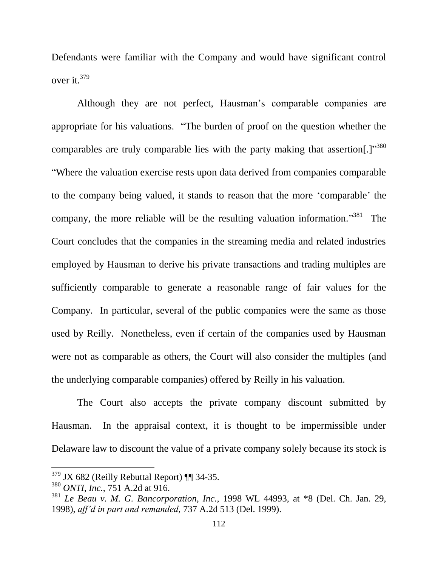Defendants were familiar with the Company and would have significant control over it.<sup>379</sup>

Although they are not perfect, Hausman's comparable companies are appropriate for his valuations. "The burden of proof on the question whether the comparables are truly comparable lies with the party making that assertion[.] $^{380}$ "Where the valuation exercise rests upon data derived from companies comparable to the company being valued, it stands to reason that the more 'comparable' the company, the more reliable will be the resulting valuation information.<sup> $381$ </sup> The Court concludes that the companies in the streaming media and related industries employed by Hausman to derive his private transactions and trading multiples are sufficiently comparable to generate a reasonable range of fair values for the Company. In particular, several of the public companies were the same as those used by Reilly. Nonetheless, even if certain of the companies used by Hausman were not as comparable as others, the Court will also consider the multiples (and the underlying comparable companies) offered by Reilly in his valuation.

The Court also accepts the private company discount submitted by Hausman. In the appraisal context, it is thought to be impermissible under Delaware law to discount the value of a private company solely because its stock is

 $379$  JX 682 (Reilly Rebuttal Report) ¶ 34-35.

<sup>380</sup> *ONTI, Inc.*, 751 A.2d at 916.

<sup>381</sup> *Le Beau v. M. G. Bancorporation, Inc.*, 1998 WL 44993, at \*8 (Del. Ch. Jan. 29, 1998), *aff'd in part and remanded*, 737 A.2d 513 (Del. 1999).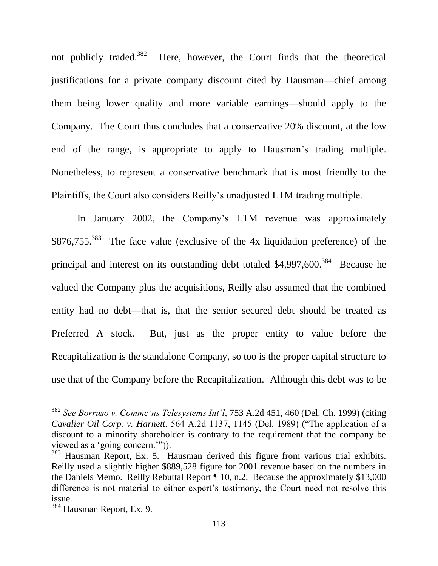not publicly traded.<sup>382</sup> Here, however, the Court finds that the theoretical justifications for a private company discount cited by Hausman—chief among them being lower quality and more variable earnings—should apply to the Company. The Court thus concludes that a conservative 20% discount, at the low end of the range, is appropriate to apply to Hausman's trading multiple. Nonetheless, to represent a conservative benchmark that is most friendly to the Plaintiffs, the Court also considers Reilly's unadjusted LTM trading multiple.

In January 2002, the Company's LTM revenue was approximately \$876,755.<sup>383</sup> The face value (exclusive of the 4x liquidation preference) of the principal and interest on its outstanding debt totaled  $$4,997,600$ .<sup>384</sup> Because he valued the Company plus the acquisitions, Reilly also assumed that the combined entity had no debt—that is, that the senior secured debt should be treated as Preferred A stock. But, just as the proper entity to value before the Recapitalization is the standalone Company, so too is the proper capital structure to use that of the Company before the Recapitalization. Although this debt was to be

<sup>382</sup> *See Borruso v. Commc'ns Telesystems Int'l*, 753 A.2d 451, 460 (Del. Ch. 1999) (citing *Cavalier Oil Corp. v. Harnett*, 564 A.2d 1137, 1145 (Del. 1989) ("The application of a discount to a minority shareholder is contrary to the requirement that the company be viewed as a 'going concern.'")).

<sup>&</sup>lt;sup>383</sup> Hausman Report, Ex. 5. Hausman derived this figure from various trial exhibits. Reilly used a slightly higher \$889,528 figure for 2001 revenue based on the numbers in the Daniels Memo. Reilly Rebuttal Report ¶ 10, n.2. Because the approximately \$13,000 difference is not material to either expert's testimony, the Court need not resolve this issue.

<sup>384</sup> Hausman Report, Ex. 9.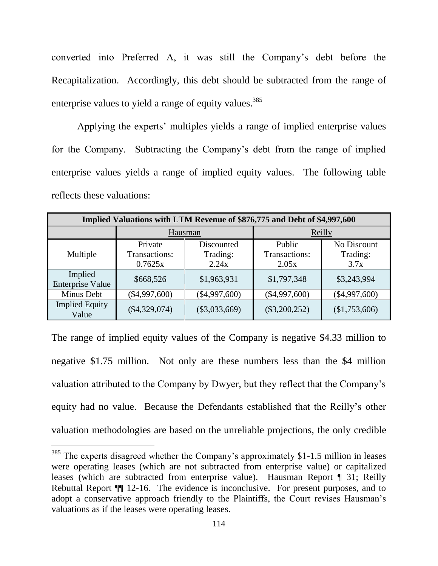converted into Preferred A, it was still the Company's debt before the Recapitalization. Accordingly, this debt should be subtracted from the range of enterprise values to yield a range of equity values.<sup>385</sup>

Applying the experts' multiples yields a range of implied enterprise values for the Company. Subtracting the Company's debt from the range of implied enterprise values yields a range of implied equity values. The following table reflects these valuations:

| Implied Valuations with LTM Revenue of \$876,775 and Debt of \$4,997,600 |                                     |                                 |                                  |                                 |
|--------------------------------------------------------------------------|-------------------------------------|---------------------------------|----------------------------------|---------------------------------|
|                                                                          | Hausman                             |                                 | Reilly                           |                                 |
| Multiple                                                                 | Private<br>Transactions:<br>0.7625x | Discounted<br>Trading:<br>2.24x | Public<br>Transactions:<br>2.05x | No Discount<br>Trading:<br>3.7x |
| Implied<br><b>Enterprise Value</b>                                       | \$668,526                           | \$1,963,931                     | \$1,797,348                      | \$3,243,994                     |
| Minus Debt                                                               | $(\$4,997,600)$                     | $(\$4,997,600)$                 | $(\$4,997,600)$                  | $(\$4,997,600)$                 |
| <b>Implied Equity</b><br>Value                                           | $(\$4,329,074)$                     | $(\$3,033,669)$                 | $(\$3,200,252)$                  | (\$1,753,606)                   |

The range of implied equity values of the Company is negative \$4.33 million to negative \$1.75 million. Not only are these numbers less than the \$4 million valuation attributed to the Company by Dwyer, but they reflect that the Company's equity had no value. Because the Defendants established that the Reilly's other valuation methodologies are based on the unreliable projections, the only credible

 $385$  The experts disagreed whether the Company's approximately \$1-1.5 million in leases were operating leases (which are not subtracted from enterprise value) or capitalized leases (which are subtracted from enterprise value). Hausman Report ¶ 31; Reilly Rebuttal Report ¶¶ 12-16. The evidence is inconclusive. For present purposes, and to adopt a conservative approach friendly to the Plaintiffs, the Court revises Hausman's valuations as if the leases were operating leases.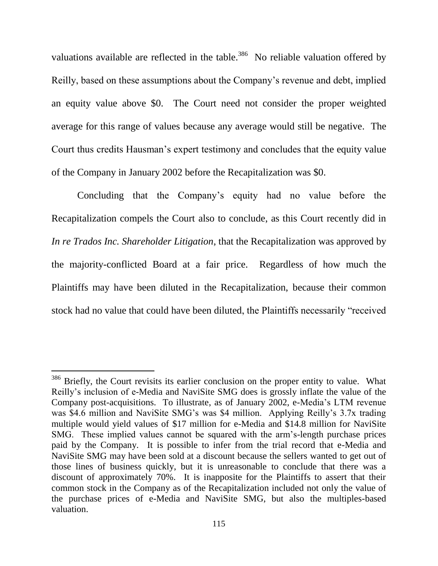valuations available are reflected in the table.<sup>386</sup> No reliable valuation offered by Reilly, based on these assumptions about the Company's revenue and debt, implied an equity value above \$0. The Court need not consider the proper weighted average for this range of values because any average would still be negative. The Court thus credits Hausman's expert testimony and concludes that the equity value of the Company in January 2002 before the Recapitalization was \$0.

Concluding that the Company's equity had no value before the Recapitalization compels the Court also to conclude, as this Court recently did in *In re Trados Inc. Shareholder Litigation*, that the Recapitalization was approved by the majority-conflicted Board at a fair price. Regardless of how much the Plaintiffs may have been diluted in the Recapitalization, because their common stock had no value that could have been diluted, the Plaintiffs necessarily "received

<sup>&</sup>lt;sup>386</sup> Briefly, the Court revisits its earlier conclusion on the proper entity to value. What Reilly's inclusion of e-Media and NaviSite SMG does is grossly inflate the value of the Company post-acquisitions. To illustrate, as of January 2002, e-Media's LTM revenue was \$4.6 million and NaviSite SMG's was \$4 million. Applying Reilly's 3.7x trading multiple would yield values of \$17 million for e-Media and \$14.8 million for NaviSite SMG. These implied values cannot be squared with the arm's-length purchase prices paid by the Company. It is possible to infer from the trial record that e-Media and NaviSite SMG may have been sold at a discount because the sellers wanted to get out of those lines of business quickly, but it is unreasonable to conclude that there was a discount of approximately 70%. It is inapposite for the Plaintiffs to assert that their common stock in the Company as of the Recapitalization included not only the value of the purchase prices of e-Media and NaviSite SMG, but also the multiples-based valuation.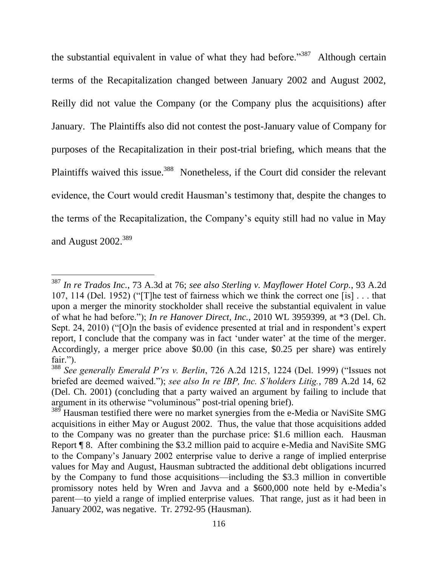the substantial equivalent in value of what they had before."<sup>387</sup> Although certain terms of the Recapitalization changed between January 2002 and August 2002, Reilly did not value the Company (or the Company plus the acquisitions) after January. The Plaintiffs also did not contest the post-January value of Company for purposes of the Recapitalization in their post-trial briefing, which means that the Plaintiffs waived this issue.<sup>388</sup> Nonetheless, if the Court did consider the relevant evidence, the Court would credit Hausman's testimony that, despite the changes to the terms of the Recapitalization, the Company's equity still had no value in May and August 2002.<sup>389</sup>

<sup>387</sup> *In re Trados Inc.*, 73 A.3d at 76; *see also Sterling v. Mayflower Hotel Corp.*, 93 A.2d 107, 114 (Del. 1952) ("[T]he test of fairness which we think the correct one [is] . . . that upon a merger the minority stockholder shall receive the substantial equivalent in value of what he had before."); *In re Hanover Direct, Inc.*, 2010 WL 3959399, at \*3 (Del. Ch. Sept. 24, 2010) ("[O]n the basis of evidence presented at trial and in respondent's expert report, I conclude that the company was in fact 'under water' at the time of the merger. Accordingly, a merger price above \$0.00 (in this case, \$0.25 per share) was entirely fair.").

<sup>388</sup> *See generally Emerald P'rs v. Berlin*, 726 A.2d 1215, 1224 (Del. 1999) ("Issues not briefed are deemed waived."); *see also In re IBP, Inc. S'holders Litig.*, 789 A.2d 14, 62 (Del. Ch. 2001) (concluding that a party waived an argument by failing to include that argument in its otherwise "voluminous" post-trial opening brief).

<sup>&</sup>lt;sup>389</sup> Hausman testified there were no market synergies from the e-Media or NaviSite SMG acquisitions in either May or August 2002. Thus, the value that those acquisitions added to the Company was no greater than the purchase price: \$1.6 million each. Hausman Report ¶ 8. After combining the \$3.2 million paid to acquire e-Media and NaviSite SMG to the Company's January 2002 enterprise value to derive a range of implied enterprise values for May and August, Hausman subtracted the additional debt obligations incurred by the Company to fund those acquisitions—including the \$3.3 million in convertible promissory notes held by Wren and Javva and a \$600,000 note held by e-Media's parent—to yield a range of implied enterprise values. That range, just as it had been in January 2002, was negative. Tr. 2792-95 (Hausman).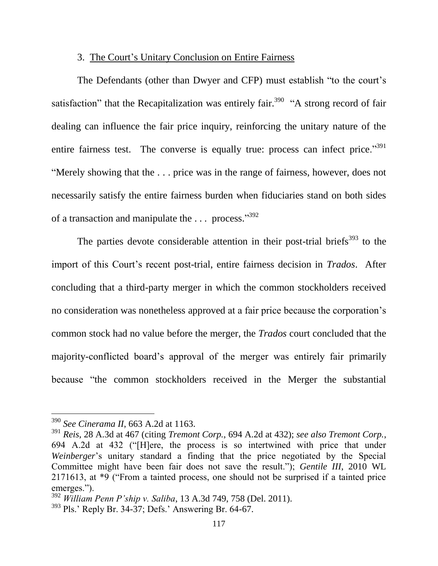## 3. The Court's Unitary Conclusion on Entire Fairness

The Defendants (other than Dwyer and CFP) must establish "to the court's satisfaction" that the Recapitalization was entirely fair.<sup>390</sup> "A strong record of fair dealing can influence the fair price inquiry, reinforcing the unitary nature of the entire fairness test. The converse is equally true: process can infect price."<sup>391</sup> "Merely showing that the . . . price was in the range of fairness, however, does not necessarily satisfy the entire fairness burden when fiduciaries stand on both sides of a transaction and manipulate the ... process."<sup>392</sup>

The parties devote considerable attention in their post-trial briefs<sup>393</sup> to the import of this Court's recent post-trial, entire fairness decision in *Trados*. After concluding that a third-party merger in which the common stockholders received no consideration was nonetheless approved at a fair price because the corporation's common stock had no value before the merger, the *Trados* court concluded that the majority-conflicted board's approval of the merger was entirely fair primarily because "the common stockholders received in the Merger the substantial

<sup>390</sup> *See Cinerama II*, 663 A.2d at 1163.

<sup>391</sup> *Reis*, 28 A.3d at 467 (citing *Tremont Corp.*, 694 A.2d at 432); *see also Tremont Corp.*, 694 A.2d at 432 ("[H]ere, the process is so intertwined with price that under *Weinberger*'s unitary standard a finding that the price negotiated by the Special Committee might have been fair does not save the result."); *Gentile III*, 2010 WL 2171613, at \*9 ("From a tainted process, one should not be surprised if a tainted price emerges.").

<sup>392</sup> *William Penn P'ship v. Saliba*, 13 A.3d 749, 758 (Del. 2011).

<sup>393</sup> Pls.' Reply Br. 34-37; Defs.' Answering Br. 64-67.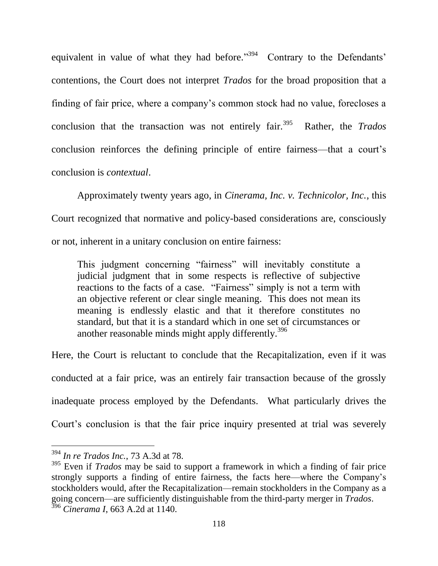equivalent in value of what they had before."<sup>394</sup> Contrary to the Defendants' contentions, the Court does not interpret *Trados* for the broad proposition that a finding of fair price, where a company's common stock had no value, forecloses a conclusion that the transaction was not entirely fair. $395$  Rather, the *Trados* conclusion reinforces the defining principle of entire fairness—that a court's conclusion is *contextual*.

Approximately twenty years ago, in *Cinerama, Inc. v. Technicolor, Inc.*, this Court recognized that normative and policy-based considerations are, consciously or not, inherent in a unitary conclusion on entire fairness:

This judgment concerning "fairness" will inevitably constitute a judicial judgment that in some respects is reflective of subjective reactions to the facts of a case. "Fairness" simply is not a term with an objective referent or clear single meaning. This does not mean its meaning is endlessly elastic and that it therefore constitutes no standard, but that it is a standard which in one set of circumstances or another reasonable minds might apply differently.<sup>396</sup>

Here, the Court is reluctant to conclude that the Recapitalization, even if it was conducted at a fair price, was an entirely fair transaction because of the grossly inadequate process employed by the Defendants. What particularly drives the Court's conclusion is that the fair price inquiry presented at trial was severely

<sup>394</sup> *In re Trados Inc.*, 73 A.3d at 78.

<sup>&</sup>lt;sup>395</sup> Even if *Trados* may be said to support a framework in which a finding of fair price strongly supports a finding of entire fairness, the facts here—where the Company's stockholders would, after the Recapitalization—remain stockholders in the Company as a going concern—are sufficiently distinguishable from the third-party merger in *Trados*. <sup>396</sup> *Cinerama I*, 663 A.2d at 1140.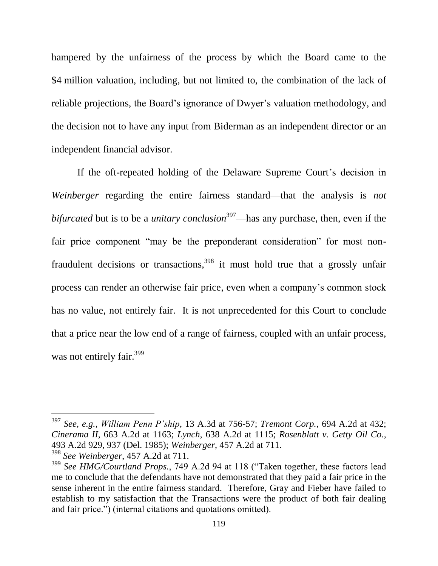hampered by the unfairness of the process by which the Board came to the \$4 million valuation, including, but not limited to, the combination of the lack of reliable projections, the Board's ignorance of Dwyer's valuation methodology, and the decision not to have any input from Biderman as an independent director or an independent financial advisor.

If the oft-repeated holding of the Delaware Supreme Court's decision in *Weinberger* regarding the entire fairness standard—that the analysis is *not bifurcated* but is to be a *unitary conclusion*<sup>397</sup>—has any purchase, then, even if the fair price component "may be the preponderant consideration" for most nonfraudulent decisions or transactions,<sup>398</sup> it must hold true that a grossly unfair process can render an otherwise fair price, even when a company's common stock has no value, not entirely fair. It is not unprecedented for this Court to conclude that a price near the low end of a range of fairness, coupled with an unfair process, was not entirely fair.<sup>399</sup>

<sup>397</sup> *See, e.g.*, *William Penn P'ship*, 13 A.3d at 756-57; *Tremont Corp.*, 694 A.2d at 432; *Cinerama II*, 663 A.2d at 1163; *Lynch*, 638 A.2d at 1115; *Rosenblatt v. Getty Oil Co.*, 493 A.2d 929, 937 (Del. 1985); *Weinberger*, 457 A.2d at 711. <sup>398</sup> *See Weinberger*, 457 A.2d at 711.

<sup>&</sup>lt;sup>399</sup> See HMG/Courtland Props., 749 A.2d 94 at 118 ("Taken together, these factors lead me to conclude that the defendants have not demonstrated that they paid a fair price in the sense inherent in the entire fairness standard. Therefore, Gray and Fieber have failed to establish to my satisfaction that the Transactions were the product of both fair dealing and fair price.") (internal citations and quotations omitted).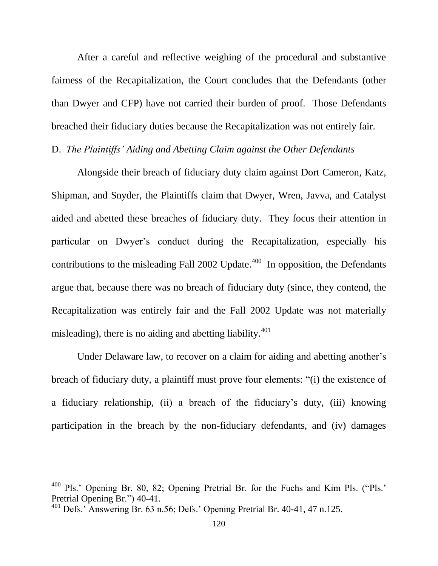After a careful and reflective weighing of the procedural and substantive fairness of the Recapitalization, the Court concludes that the Defendants (other than Dwyer and CFP) have not carried their burden of proof. Those Defendants breached their fiduciary duties because the Recapitalization was not entirely fair.

D. *The Plaintiffs' Aiding and Abetting Claim against the Other Defendants*

Alongside their breach of fiduciary duty claim against Dort Cameron, Katz, Shipman, and Snyder, the Plaintiffs claim that Dwyer, Wren, Javva, and Catalyst aided and abetted these breaches of fiduciary duty. They focus their attention in particular on Dwyer's conduct during the Recapitalization, especially his contributions to the misleading Fall 2002 Update. $400$  In opposition, the Defendants argue that, because there was no breach of fiduciary duty (since, they contend, the Recapitalization was entirely fair and the Fall 2002 Update was not materially misleading), there is no aiding and abetting liability.<sup>401</sup>

Under Delaware law, to recover on a claim for aiding and abetting another's breach of fiduciary duty, a plaintiff must prove four elements: "(i) the existence of a fiduciary relationship, (ii) a breach of the fiduciary's duty, (iii) knowing participation in the breach by the non-fiduciary defendants, and (iv) damages

<sup>400</sup> Pls.' Opening Br. 80, 82; Opening Pretrial Br. for the Fuchs and Kim Pls. ("Pls.' Pretrial Opening Br.") 40-41.

<sup>401</sup> Defs.' Answering Br. 63 n.56; Defs.' Opening Pretrial Br. 40-41, 47 n.125.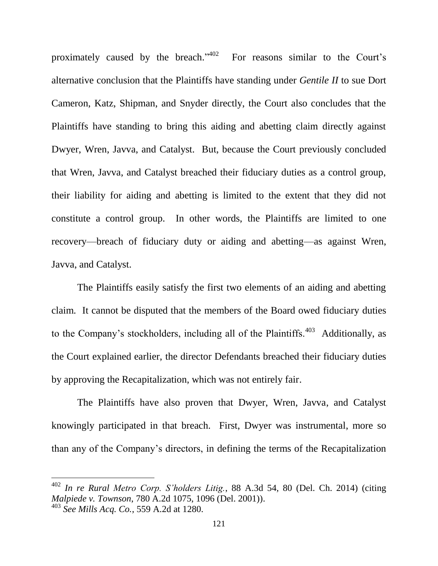proximately caused by the breach." For reasons similar to the Court's alternative conclusion that the Plaintiffs have standing under *Gentile II* to sue Dort Cameron, Katz, Shipman, and Snyder directly, the Court also concludes that the Plaintiffs have standing to bring this aiding and abetting claim directly against Dwyer, Wren, Javva, and Catalyst. But, because the Court previously concluded that Wren, Javva, and Catalyst breached their fiduciary duties as a control group, their liability for aiding and abetting is limited to the extent that they did not constitute a control group. In other words, the Plaintiffs are limited to one recovery—breach of fiduciary duty or aiding and abetting—as against Wren, Javva, and Catalyst.

The Plaintiffs easily satisfy the first two elements of an aiding and abetting claim. It cannot be disputed that the members of the Board owed fiduciary duties to the Company's stockholders, including all of the Plaintiffs.<sup>403</sup> Additionally, as the Court explained earlier, the director Defendants breached their fiduciary duties by approving the Recapitalization, which was not entirely fair.

The Plaintiffs have also proven that Dwyer, Wren, Javva, and Catalyst knowingly participated in that breach. First, Dwyer was instrumental, more so than any of the Company's directors, in defining the terms of the Recapitalization

<sup>402</sup> *In re Rural Metro Corp. S'holders Litig.*, 88 A.3d 54, 80 (Del. Ch. 2014) (citing *Malpiede v. Townson*, 780 A.2d 1075, 1096 (Del. 2001)). <sup>403</sup> *See Mills Acq. Co.*, 559 A.2d at 1280.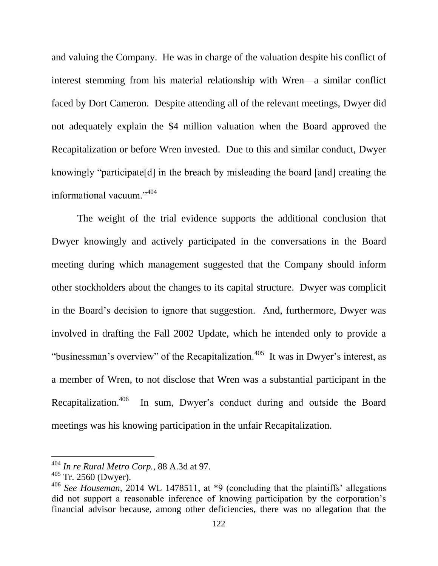and valuing the Company. He was in charge of the valuation despite his conflict of interest stemming from his material relationship with Wren—a similar conflict faced by Dort Cameron. Despite attending all of the relevant meetings, Dwyer did not adequately explain the \$4 million valuation when the Board approved the Recapitalization or before Wren invested. Due to this and similar conduct, Dwyer knowingly "participate[d] in the breach by misleading the board [and] creating the informational vacuum."<sup>404</sup>

The weight of the trial evidence supports the additional conclusion that Dwyer knowingly and actively participated in the conversations in the Board meeting during which management suggested that the Company should inform other stockholders about the changes to its capital structure. Dwyer was complicit in the Board's decision to ignore that suggestion. And, furthermore, Dwyer was involved in drafting the Fall 2002 Update, which he intended only to provide a "businessman's overview" of the Recapitalization.<sup>405</sup> It was in Dwyer's interest, as a member of Wren, to not disclose that Wren was a substantial participant in the Recapitalization.<sup>406</sup> In sum, Dwyer's conduct during and outside the Board meetings was his knowing participation in the unfair Recapitalization.

<sup>404</sup> *In re Rural Metro Corp.*, 88 A.3d at 97.

<sup>405</sup> Tr. 2560 (Dwyer).

<sup>406</sup> *See Houseman*, 2014 WL 1478511, at \*9 (concluding that the plaintiffs' allegations did not support a reasonable inference of knowing participation by the corporation's financial advisor because, among other deficiencies, there was no allegation that the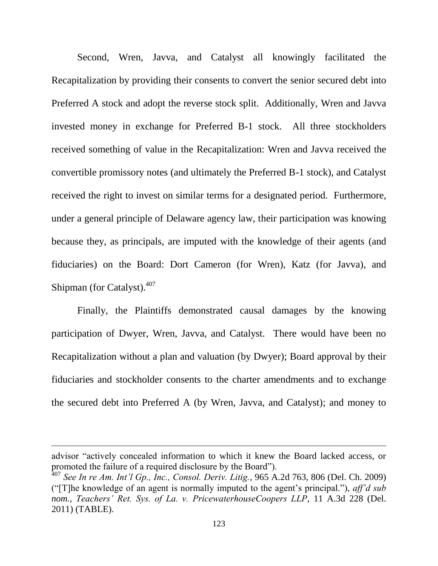Second, Wren, Javva, and Catalyst all knowingly facilitated the Recapitalization by providing their consents to convert the senior secured debt into Preferred A stock and adopt the reverse stock split. Additionally, Wren and Javva invested money in exchange for Preferred B-1 stock. All three stockholders received something of value in the Recapitalization: Wren and Javva received the convertible promissory notes (and ultimately the Preferred B-1 stock), and Catalyst received the right to invest on similar terms for a designated period. Furthermore, under a general principle of Delaware agency law, their participation was knowing because they, as principals, are imputed with the knowledge of their agents (and fiduciaries) on the Board: Dort Cameron (for Wren), Katz (for Javva), and Shipman (for Catalyst).<sup>407</sup>

Finally, the Plaintiffs demonstrated causal damages by the knowing participation of Dwyer, Wren, Javva, and Catalyst. There would have been no Recapitalization without a plan and valuation (by Dwyer); Board approval by their fiduciaries and stockholder consents to the charter amendments and to exchange the secured debt into Preferred A (by Wren, Javva, and Catalyst); and money to

advisor "actively concealed information to which it knew the Board lacked access, or promoted the failure of a required disclosure by the Board").

<sup>407</sup> *See In re Am. Int'l Gp., Inc., Consol. Deriv. Litig.*, 965 A.2d 763, 806 (Del. Ch. 2009) ("[T]he knowledge of an agent is normally imputed to the agent's principal."), *aff'd sub nom.*, *Teachers' Ret. Sys. of La. v. PricewaterhouseCoopers LLP*, 11 A.3d 228 (Del. 2011) (TABLE).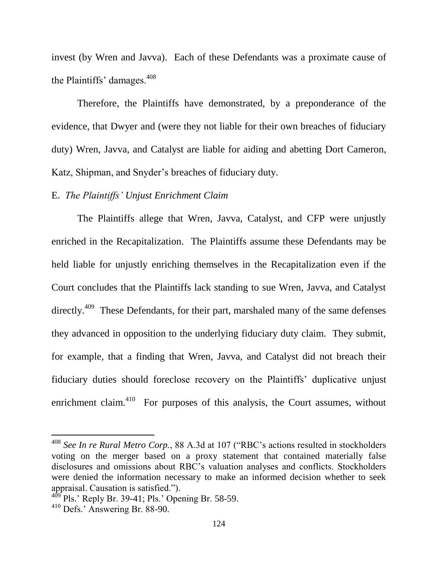invest (by Wren and Javva). Each of these Defendants was a proximate cause of the Plaintiffs' damages. $408$ 

Therefore, the Plaintiffs have demonstrated, by a preponderance of the evidence, that Dwyer and (were they not liable for their own breaches of fiduciary duty) Wren, Javva, and Catalyst are liable for aiding and abetting Dort Cameron, Katz, Shipman, and Snyder's breaches of fiduciary duty.

## E. *The Plaintiffs' Unjust Enrichment Claim*

The Plaintiffs allege that Wren, Javva, Catalyst, and CFP were unjustly enriched in the Recapitalization. The Plaintiffs assume these Defendants may be held liable for unjustly enriching themselves in the Recapitalization even if the Court concludes that the Plaintiffs lack standing to sue Wren, Javva, and Catalyst directly.<sup>409</sup> These Defendants, for their part, marshaled many of the same defenses they advanced in opposition to the underlying fiduciary duty claim. They submit, for example, that a finding that Wren, Javva, and Catalyst did not breach their fiduciary duties should foreclose recovery on the Plaintiffs' duplicative unjust enrichment claim. $410$  For purposes of this analysis, the Court assumes, without

<sup>408</sup> *See In re Rural Metro Corp.*, 88 A.3d at 107 ("RBC's actions resulted in stockholders voting on the merger based on a proxy statement that contained materially false disclosures and omissions about RBC's valuation analyses and conflicts. Stockholders were denied the information necessary to make an informed decision whether to seek appraisal. Causation is satisfied.").

 $^{9}$  Pls.' Reply Br. 39-41; Pls.' Opening Br. 58-59.

<sup>410</sup> Defs.' Answering Br. 88-90.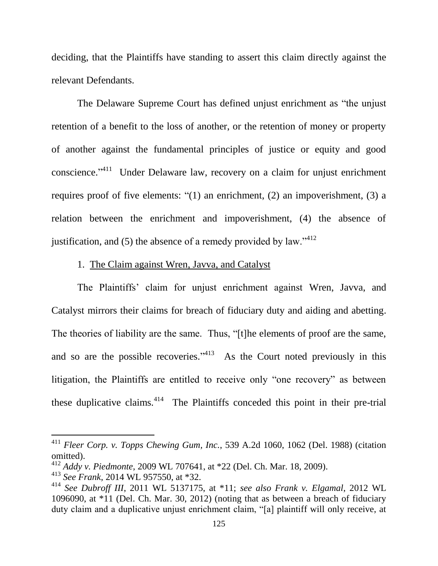deciding, that the Plaintiffs have standing to assert this claim directly against the relevant Defendants.

The Delaware Supreme Court has defined unjust enrichment as "the unjust retention of a benefit to the loss of another, or the retention of money or property of another against the fundamental principles of justice or equity and good conscience."<sup>411</sup> Under Delaware law, recovery on a claim for unjust enrichment requires proof of five elements: "(1) an enrichment, (2) an impoverishment, (3) a relation between the enrichment and impoverishment, (4) the absence of justification, and  $(5)$  the absence of a remedy provided by law."<sup>412</sup>

### 1. The Claim against Wren, Javva, and Catalyst

The Plaintiffs' claim for unjust enrichment against Wren, Javva, and Catalyst mirrors their claims for breach of fiduciary duty and aiding and abetting. The theories of liability are the same. Thus, "[t]he elements of proof are the same, and so are the possible recoveries."<sup> $413$ </sup> As the Court noted previously in this litigation, the Plaintiffs are entitled to receive only "one recovery" as between these duplicative claims. $414$  The Plaintiffs conceded this point in their pre-trial

<sup>411</sup> *Fleer Corp. v. Topps Chewing Gum, Inc.*, 539 A.2d 1060, 1062 (Del. 1988) (citation omitted).

<sup>412</sup> *Addy v. Piedmonte*, 2009 WL 707641, at \*22 (Del. Ch. Mar. 18, 2009).

<sup>413</sup> *See Frank*, 2014 WL 957550, at \*32.

<sup>414</sup> *See Dubroff III*, 2011 WL 5137175, at \*11; *see also Frank v. Elgamal*, 2012 WL 1096090, at \*11 (Del. Ch. Mar. 30, 2012) (noting that as between a breach of fiduciary duty claim and a duplicative unjust enrichment claim, "[a] plaintiff will only receive, at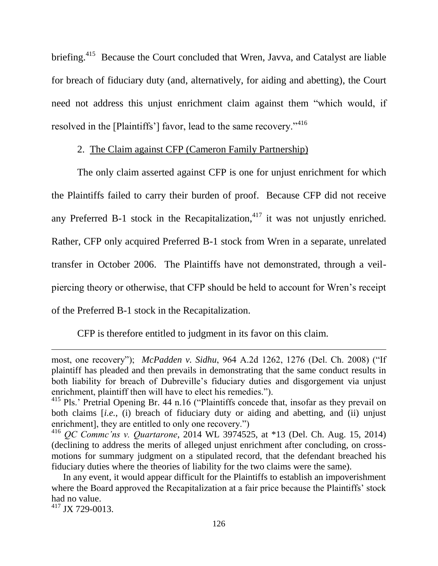briefing.<sup>415</sup> Because the Court concluded that Wren, Javva, and Catalyst are liable for breach of fiduciary duty (and, alternatively, for aiding and abetting), the Court need not address this unjust enrichment claim against them "which would, if resolved in the [Plaintiffs'] favor, lead to the same recovery."<sup>416</sup>

# 2. The Claim against CFP (Cameron Family Partnership)

The only claim asserted against CFP is one for unjust enrichment for which the Plaintiffs failed to carry their burden of proof. Because CFP did not receive any Preferred B-1 stock in the Recapitalization, $417$  it was not unjustly enriched. Rather, CFP only acquired Preferred B-1 stock from Wren in a separate, unrelated transfer in October 2006. The Plaintiffs have not demonstrated, through a veilpiercing theory or otherwise, that CFP should be held to account for Wren's receipt of the Preferred B-1 stock in the Recapitalization.

CFP is therefore entitled to judgment in its favor on this claim.

<sup>417</sup> JX 729-0013.

most, one recovery"); *McPadden v. Sidhu*, 964 A.2d 1262, 1276 (Del. Ch. 2008) ("If plaintiff has pleaded and then prevails in demonstrating that the same conduct results in both liability for breach of Dubreville's fiduciary duties and disgorgement via unjust enrichment, plaintiff then will have to elect his remedies.").

<sup>&</sup>lt;sup>415</sup> Pls.' Pretrial Opening Br. 44 n.16 ("Plaintiffs concede that, insofar as they prevail on both claims [*i.e.*, (i) breach of fiduciary duty or aiding and abetting, and (ii) unjust enrichment], they are entitled to only one recovery.")

<sup>416</sup> *QC Commc'ns v. Quartarone*, 2014 WL 3974525, at \*13 (Del. Ch. Aug. 15, 2014) (declining to address the merits of alleged unjust enrichment after concluding, on crossmotions for summary judgment on a stipulated record, that the defendant breached his fiduciary duties where the theories of liability for the two claims were the same).

In any event, it would appear difficult for the Plaintiffs to establish an impoverishment where the Board approved the Recapitalization at a fair price because the Plaintiffs' stock had no value.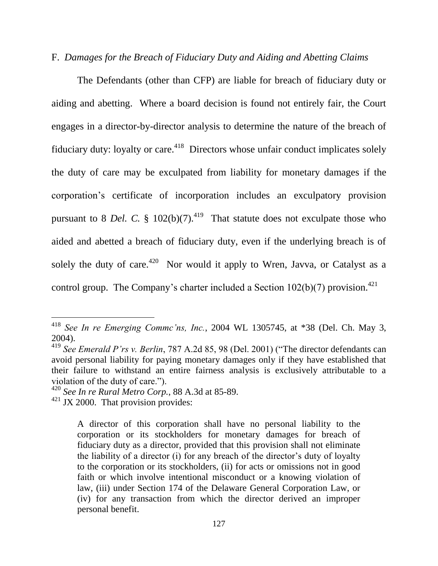## F. *Damages for the Breach of Fiduciary Duty and Aiding and Abetting Claims*

The Defendants (other than CFP) are liable for breach of fiduciary duty or aiding and abetting. Where a board decision is found not entirely fair, the Court engages in a director-by-director analysis to determine the nature of the breach of fiduciary duty: loyalty or care.<sup>418</sup> Directors whose unfair conduct implicates solely the duty of care may be exculpated from liability for monetary damages if the corporation's certificate of incorporation includes an exculpatory provision pursuant to 8 *Del.* C.  $\frac{102(b)}{7}$ .<sup>419</sup> That statute does not exculpate those who aided and abetted a breach of fiduciary duty, even if the underlying breach is of solely the duty of care.<sup>420</sup> Nor would it apply to Wren, Javva, or Catalyst as a control group. The Company's charter included a Section  $102(b)(7)$  provision.<sup>421</sup>

<sup>418</sup> *See In re Emerging Commc'ns, Inc.*, 2004 WL 1305745, at \*38 (Del. Ch. May 3, 2004).

<sup>419</sup> *See Emerald P'rs v. Berlin*, 787 A.2d 85, 98 (Del. 2001) ("The director defendants can avoid personal liability for paying monetary damages only if they have established that their failure to withstand an entire fairness analysis is exclusively attributable to a violation of the duty of care.").

<sup>420</sup> *See In re Rural Metro Corp.*, 88 A.3d at 85-89.

 $421$  JX 2000. That provision provides:

A director of this corporation shall have no personal liability to the corporation or its stockholders for monetary damages for breach of fiduciary duty as a director, provided that this provision shall not eliminate the liability of a director (i) for any breach of the director's duty of loyalty to the corporation or its stockholders, (ii) for acts or omissions not in good faith or which involve intentional misconduct or a knowing violation of law, (iii) under Section 174 of the Delaware General Corporation Law, or (iv) for any transaction from which the director derived an improper personal benefit.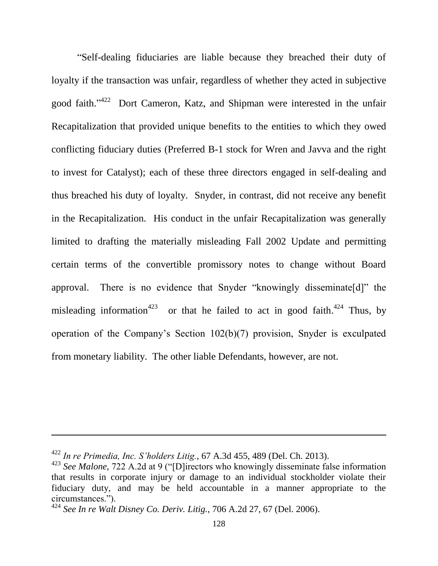"Self-dealing fiduciaries are liable because they breached their duty of loyalty if the transaction was unfair, regardless of whether they acted in subjective good faith."<sup>422</sup> Dort Cameron, Katz, and Shipman were interested in the unfair Recapitalization that provided unique benefits to the entities to which they owed conflicting fiduciary duties (Preferred B-1 stock for Wren and Javva and the right to invest for Catalyst); each of these three directors engaged in self-dealing and thus breached his duty of loyalty. Snyder, in contrast, did not receive any benefit in the Recapitalization. His conduct in the unfair Recapitalization was generally limited to drafting the materially misleading Fall 2002 Update and permitting certain terms of the convertible promissory notes to change without Board approval. There is no evidence that Snyder "knowingly disseminate[d]" the misleading information<sup>423</sup> or that he failed to act in good faith.<sup>424</sup> Thus, by operation of the Company's Section 102(b)(7) provision, Snyder is exculpated from monetary liability. The other liable Defendants, however, are not.

<sup>422</sup> *In re Primedia, Inc. S'holders Litig.*, 67 A.3d 455, 489 (Del. Ch. 2013).

<sup>423</sup> *See Malone*, 722 A.2d at 9 ("[D]irectors who knowingly disseminate false information that results in corporate injury or damage to an individual stockholder violate their fiduciary duty, and may be held accountable in a manner appropriate to the circumstances.").

<sup>424</sup> *See In re Walt Disney Co. Deriv. Litig.*, 706 A.2d 27, 67 (Del. 2006).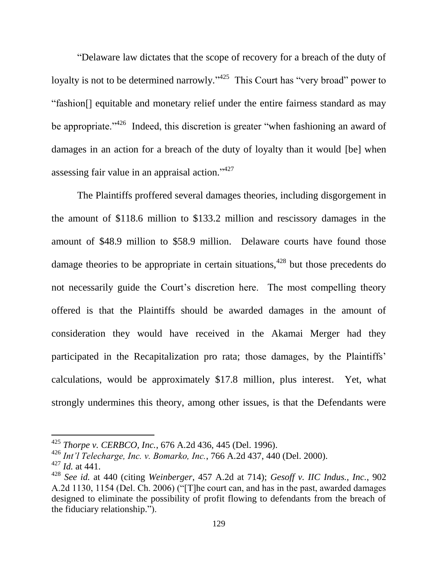"Delaware law dictates that the scope of recovery for a breach of the duty of loyalty is not to be determined narrowly."<sup>425</sup> This Court has "very broad" power to "fashion[] equitable and monetary relief under the entire fairness standard as may be appropriate."<sup>426</sup> Indeed, this discretion is greater "when fashioning an award of damages in an action for a breach of the duty of loyalty than it would [be] when assessing fair value in an appraisal action."<sup>427</sup>

The Plaintiffs proffered several damages theories, including disgorgement in the amount of \$118.6 million to \$133.2 million and rescissory damages in the amount of \$48.9 million to \$58.9 million. Delaware courts have found those damage theories to be appropriate in certain situations,  $428$  but those precedents do not necessarily guide the Court's discretion here. The most compelling theory offered is that the Plaintiffs should be awarded damages in the amount of consideration they would have received in the Akamai Merger had they participated in the Recapitalization pro rata; those damages, by the Plaintiffs' calculations, would be approximately \$17.8 million, plus interest. Yet, what strongly undermines this theory, among other issues, is that the Defendants were

<sup>425</sup> *Thorpe v. CERBCO, Inc.*, 676 A.2d 436, 445 (Del. 1996).

<sup>426</sup> *Int'l Telecharge, Inc. v. Bomarko, Inc.*, 766 A.2d 437, 440 (Del. 2000).

<sup>427</sup> *Id.* at 441.

<sup>428</sup> *See id.* at 440 (citing *Weinberger*, 457 A.2d at 714); *Gesoff v. IIC Indus., Inc.*, 902 A.2d 1130, 1154 (Del. Ch. 2006) ("[T]he court can, and has in the past, awarded damages designed to eliminate the possibility of profit flowing to defendants from the breach of the fiduciary relationship.").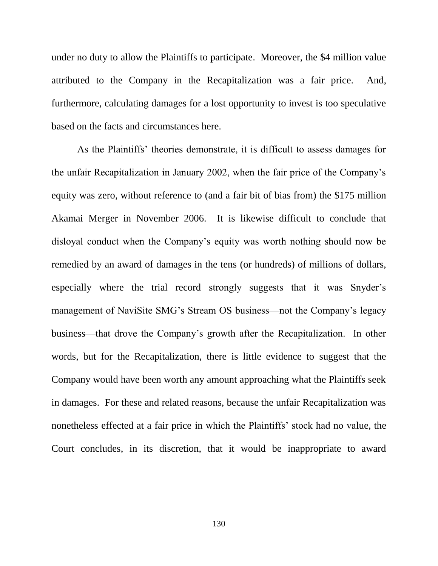under no duty to allow the Plaintiffs to participate. Moreover, the \$4 million value attributed to the Company in the Recapitalization was a fair price. And, furthermore, calculating damages for a lost opportunity to invest is too speculative based on the facts and circumstances here.

As the Plaintiffs' theories demonstrate, it is difficult to assess damages for the unfair Recapitalization in January 2002, when the fair price of the Company's equity was zero, without reference to (and a fair bit of bias from) the \$175 million Akamai Merger in November 2006. It is likewise difficult to conclude that disloyal conduct when the Company's equity was worth nothing should now be remedied by an award of damages in the tens (or hundreds) of millions of dollars, especially where the trial record strongly suggests that it was Snyder's management of NaviSite SMG's Stream OS business—not the Company's legacy business—that drove the Company's growth after the Recapitalization. In other words, but for the Recapitalization, there is little evidence to suggest that the Company would have been worth any amount approaching what the Plaintiffs seek in damages. For these and related reasons, because the unfair Recapitalization was nonetheless effected at a fair price in which the Plaintiffs' stock had no value, the Court concludes, in its discretion, that it would be inappropriate to award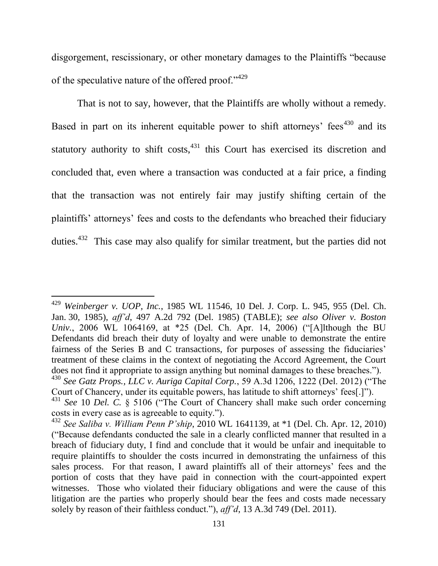disgorgement, rescissionary, or other monetary damages to the Plaintiffs "because of the speculative nature of the offered proof."<sup>429</sup>

That is not to say, however, that the Plaintiffs are wholly without a remedy. Based in part on its inherent equitable power to shift attorneys' fees<sup> $430$ </sup> and its statutory authority to shift costs,  $431$  this Court has exercised its discretion and concluded that, even where a transaction was conducted at a fair price, a finding that the transaction was not entirely fair may justify shifting certain of the plaintiffs' attorneys' fees and costs to the defendants who breached their fiduciary duties.<sup>432</sup> This case may also qualify for similar treatment, but the parties did not

<sup>429</sup> *Weinberger v. UOP, Inc.*, 1985 WL 11546, 10 Del. J. Corp. L. 945, 955 (Del. Ch. Jan. 30, 1985), *aff'd*, 497 A.2d 792 (Del. 1985) (TABLE); *see also Oliver v. Boston Univ.*, 2006 WL 1064169, at \*25 (Del. Ch. Apr. 14, 2006) ("[A]lthough the BU Defendants did breach their duty of loyalty and were unable to demonstrate the entire fairness of the Series B and C transactions, for purposes of assessing the fiduciaries' treatment of these claims in the context of negotiating the Accord Agreement, the Court does not find it appropriate to assign anything but nominal damages to these breaches.").

<sup>430</sup> *See Gatz Props., LLC v. Auriga Capital Corp.*, 59 A.3d 1206, 1222 (Del. 2012) ("The Court of Chancery, under its equitable powers, has latitude to shift attorneys' fees[.]").

<sup>431</sup> *See* 10 *Del. C.* § 5106 ("The Court of Chancery shall make such order concerning costs in every case as is agreeable to equity.").

<sup>432</sup> *See Saliba v. William Penn P'ship*, 2010 WL 1641139, at \*1 (Del. Ch. Apr. 12, 2010) ("Because defendants conducted the sale in a clearly conflicted manner that resulted in a breach of fiduciary duty, I find and conclude that it would be unfair and inequitable to require plaintiffs to shoulder the costs incurred in demonstrating the unfairness of this sales process. For that reason, I award plaintiffs all of their attorneys' fees and the portion of costs that they have paid in connection with the court-appointed expert witnesses. Those who violated their fiduciary obligations and were the cause of this litigation are the parties who properly should bear the fees and costs made necessary solely by reason of their faithless conduct."), *aff'd*, 13 A.3d 749 (Del. 2011).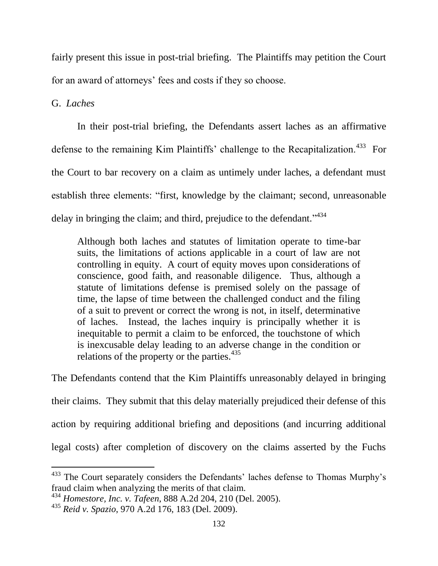fairly present this issue in post-trial briefing. The Plaintiffs may petition the Court for an award of attorneys' fees and costs if they so choose.

G. *Laches*

l

In their post-trial briefing, the Defendants assert laches as an affirmative defense to the remaining Kim Plaintiffs' challenge to the Recapitalization.<sup>433</sup> For the Court to bar recovery on a claim as untimely under laches, a defendant must establish three elements: "first, knowledge by the claimant; second, unreasonable delay in bringing the claim; and third, prejudice to the defendant."<sup>434</sup>

Although both laches and statutes of limitation operate to time-bar suits, the limitations of actions applicable in a court of law are not controlling in equity. A court of equity moves upon considerations of conscience, good faith, and reasonable diligence. Thus, although a statute of limitations defense is premised solely on the passage of time, the lapse of time between the challenged conduct and the filing of a suit to prevent or correct the wrong is not, in itself, determinative of laches. Instead, the laches inquiry is principally whether it is inequitable to permit a claim to be enforced, the touchstone of which is inexcusable delay leading to an adverse change in the condition or relations of the property or the parties. $435$ 

The Defendants contend that the Kim Plaintiffs unreasonably delayed in bringing their claims. They submit that this delay materially prejudiced their defense of this action by requiring additional briefing and depositions (and incurring additional legal costs) after completion of discovery on the claims asserted by the Fuchs

<sup>&</sup>lt;sup>433</sup> The Court separately considers the Defendants' laches defense to Thomas Murphy's fraud claim when analyzing the merits of that claim.

<sup>434</sup> *Homestore, Inc. v. Tafeen*, 888 A.2d 204, 210 (Del. 2005).

<sup>435</sup> *Reid v. Spazio*, 970 A.2d 176, 183 (Del. 2009).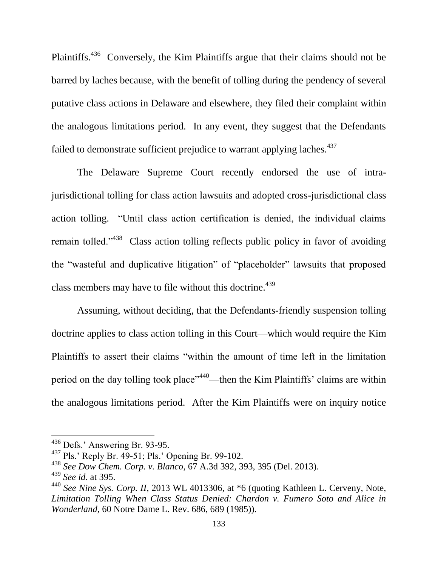Plaintiffs.<sup>436</sup> Conversely, the Kim Plaintiffs argue that their claims should not be barred by laches because, with the benefit of tolling during the pendency of several putative class actions in Delaware and elsewhere, they filed their complaint within the analogous limitations period. In any event, they suggest that the Defendants failed to demonstrate sufficient prejudice to warrant applying laches.<sup>437</sup>

The Delaware Supreme Court recently endorsed the use of intrajurisdictional tolling for class action lawsuits and adopted cross-jurisdictional class action tolling. "Until class action certification is denied, the individual claims remain tolled."<sup>438</sup> Class action tolling reflects public policy in favor of avoiding the "wasteful and duplicative litigation" of "placeholder" lawsuits that proposed class members may have to file without this doctrine.<sup>439</sup>

Assuming, without deciding, that the Defendants-friendly suspension tolling doctrine applies to class action tolling in this Court—which would require the Kim Plaintiffs to assert their claims "within the amount of time left in the limitation period on the day tolling took place"<sup>440</sup>—then the Kim Plaintiffs' claims are within the analogous limitations period. After the Kim Plaintiffs were on inquiry notice

<sup>436</sup> Defs.' Answering Br. 93-95.

<sup>437</sup> Pls.' Reply Br. 49-51; Pls.' Opening Br. 99-102.

<sup>438</sup> *See Dow Chem. Corp. v. Blanco*, 67 A.3d 392, 393, 395 (Del. 2013).

<sup>439</sup> *See id.* at 395.

<sup>440</sup> *See Nine Sys. Corp. II*, 2013 WL 4013306, at \*6 (quoting Kathleen L. Cerveny, Note, *Limitation Tolling When Class Status Denied: Chardon v. Fumero Soto and Alice in Wonderland*, 60 Notre Dame L. Rev. 686, 689 (1985)).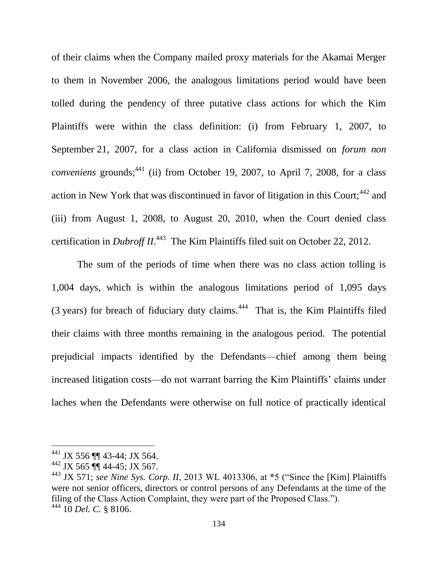of their claims when the Company mailed proxy materials for the Akamai Merger to them in November 2006, the analogous limitations period would have been tolled during the pendency of three putative class actions for which the Kim Plaintiffs were within the class definition: (i) from February 1, 2007, to September 21, 2007, for a class action in California dismissed on *forum non conveniens* grounds;<sup>441</sup> (ii) from October 19, 2007, to April 7, 2008, for a class action in New York that was discontinued in favor of litigation in this Court;<sup>442</sup> and (iii) from August 1, 2008, to August 20, 2010, when the Court denied class certification in *Dubroff II*. 443 The Kim Plaintiffs filed suit on October 22, 2012.

The sum of the periods of time when there was no class action tolling is 1,004 days, which is within the analogous limitations period of 1,095 days  $(3 \text{ years})$  for breach of fiduciary duty claims.<sup>444</sup> That is, the Kim Plaintiffs filed their claims with three months remaining in the analogous period. The potential prejudicial impacts identified by the Defendants—chief among them being increased litigation costs—do not warrant barring the Kim Plaintiffs' claims under laches when the Defendants were otherwise on full notice of practically identical

<sup>441</sup> JX 556 ¶¶ 43-44; JX 564.

 $442$  JX 565  $\P\P$  44-45; JX 567.

<sup>&</sup>lt;sup>443</sup> JX 571; *see Nine Sys. Corp. II*, 2013 WL 4013306, at \*5 ("Since the [Kim] Plaintiffs were not senior officers, directors or control persons of any Defendants at the time of the filing of the Class Action Complaint, they were part of the Proposed Class."). <sup>444</sup> 10 *Del. C.* § 8106.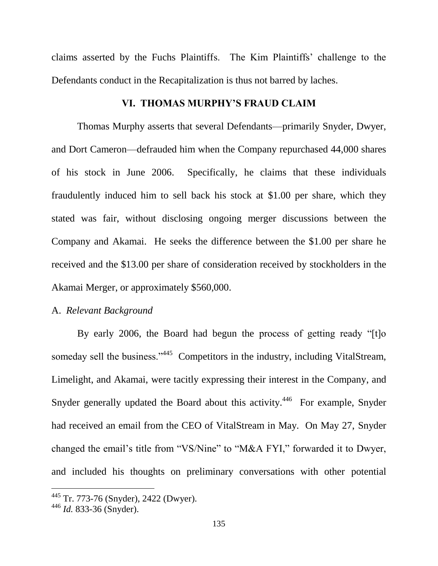claims asserted by the Fuchs Plaintiffs. The Kim Plaintiffs' challenge to the Defendants conduct in the Recapitalization is thus not barred by laches.

#### **VI. THOMAS MURPHY'S FRAUD CLAIM**

Thomas Murphy asserts that several Defendants—primarily Snyder, Dwyer, and Dort Cameron—defrauded him when the Company repurchased 44,000 shares of his stock in June 2006. Specifically, he claims that these individuals fraudulently induced him to sell back his stock at \$1.00 per share, which they stated was fair, without disclosing ongoing merger discussions between the Company and Akamai. He seeks the difference between the \$1.00 per share he received and the \$13.00 per share of consideration received by stockholders in the Akamai Merger, or approximately \$560,000.

#### A. *Relevant Background*

By early 2006, the Board had begun the process of getting ready "[t]o someday sell the business."<sup>445</sup> Competitors in the industry, including VitalStream, Limelight, and Akamai, were tacitly expressing their interest in the Company, and Snyder generally updated the Board about this activity.<sup>446</sup> For example, Snyder had received an email from the CEO of VitalStream in May. On May 27, Snyder changed the email's title from "VS/Nine" to "M&A FYI," forwarded it to Dwyer, and included his thoughts on preliminary conversations with other potential

<sup>445</sup> Tr. 773-76 (Snyder), 2422 (Dwyer).

<sup>446</sup> *Id.* 833-36 (Snyder).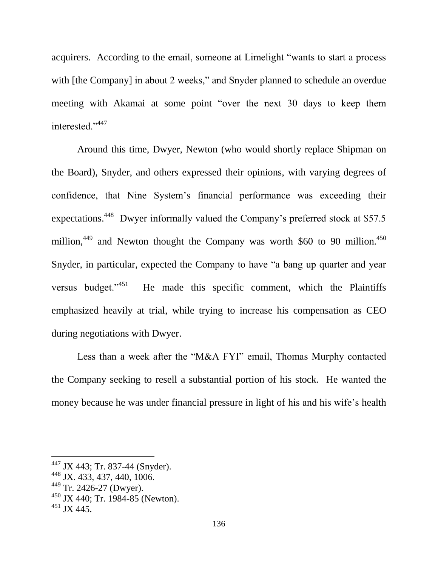acquirers. According to the email, someone at Limelight "wants to start a process with [the Company] in about 2 weeks," and Snyder planned to schedule an overdue meeting with Akamai at some point "over the next 30 days to keep them interested."<sup>447</sup>

Around this time, Dwyer, Newton (who would shortly replace Shipman on the Board), Snyder, and others expressed their opinions, with varying degrees of confidence, that Nine System's financial performance was exceeding their expectations.<sup>448</sup> Dwyer informally valued the Company's preferred stock at \$57.5 million,<sup>449</sup> and Newton thought the Company was worth \$60 to 90 million.<sup>450</sup> Snyder, in particular, expected the Company to have "a bang up quarter and year versus budget."<sup>451</sup> He made this specific comment, which the Plaintiffs emphasized heavily at trial, while trying to increase his compensation as CEO during negotiations with Dwyer.

Less than a week after the "M&A FYI" email, Thomas Murphy contacted the Company seeking to resell a substantial portion of his stock. He wanted the money because he was under financial pressure in light of his and his wife's health

<sup>&</sup>lt;sup>447</sup> JX 443; Tr. 837-44 (Snyder).

<sup>448</sup> JX. 433, 437, 440, 1006.

<sup>449</sup> Tr. 2426-27 (Dwyer).

<sup>450</sup> JX 440; Tr. 1984-85 (Newton).

 $451$  JX 445.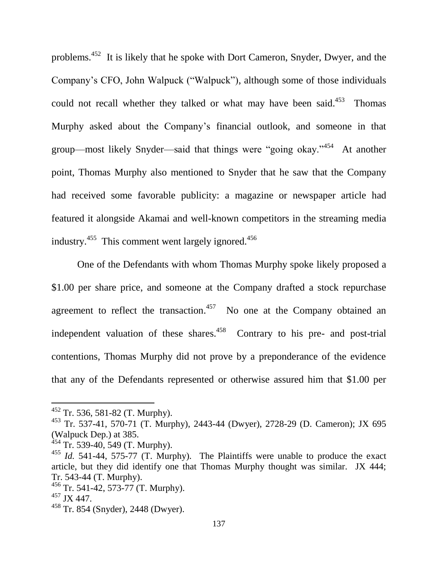problems.<sup>452</sup> It is likely that he spoke with Dort Cameron, Snyder, Dwyer, and the Company's CFO, John Walpuck ("Walpuck"), although some of those individuals could not recall whether they talked or what may have been said. $453$  Thomas Murphy asked about the Company's financial outlook, and someone in that group—most likely Snyder—said that things were "going okay."<sup>454</sup> At another point, Thomas Murphy also mentioned to Snyder that he saw that the Company had received some favorable publicity: a magazine or newspaper article had featured it alongside Akamai and well-known competitors in the streaming media industry.<sup>455</sup> This comment went largely ignored.<sup>456</sup>

One of the Defendants with whom Thomas Murphy spoke likely proposed a \$1.00 per share price, and someone at the Company drafted a stock repurchase agreement to reflect the transaction.<sup>457</sup> No one at the Company obtained an independent valuation of these shares.  $458$  Contrary to his pre- and post-trial contentions, Thomas Murphy did not prove by a preponderance of the evidence that any of the Defendants represented or otherwise assured him that \$1.00 per

 $452$  Tr. 536, 581-82 (T. Murphy).

<sup>453</sup> Tr. 537-41, 570-71 (T. Murphy), 2443-44 (Dwyer), 2728-29 (D. Cameron); JX 695 (Walpuck Dep.) at 385.

 $454$  Tr. 539-40, 549 (T. Murphy).

<sup>455</sup> *Id.* 541-44, 575-77 (T. Murphy). The Plaintiffs were unable to produce the exact article, but they did identify one that Thomas Murphy thought was similar. JX 444; Tr. 543-44 (T. Murphy).

 $456$  Tr. 541-42, 573-77 (T. Murphy).

<sup>457</sup> JX 447.

<sup>458</sup> Tr. 854 (Snyder), 2448 (Dwyer).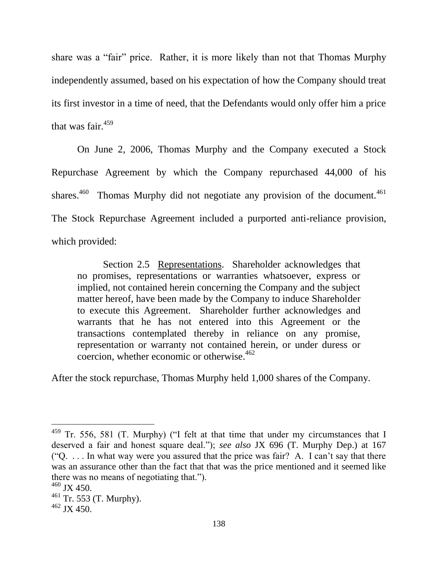share was a "fair" price. Rather, it is more likely than not that Thomas Murphy independently assumed, based on his expectation of how the Company should treat its first investor in a time of need, that the Defendants would only offer him a price that was fair. $459$ 

On June 2, 2006, Thomas Murphy and the Company executed a Stock Repurchase Agreement by which the Company repurchased 44,000 of his shares. $460$  Thomas Murphy did not negotiate any provision of the document. $461$ The Stock Repurchase Agreement included a purported anti-reliance provision, which provided:

Section 2.5 Representations. Shareholder acknowledges that no promises, representations or warranties whatsoever, express or implied, not contained herein concerning the Company and the subject matter hereof, have been made by the Company to induce Shareholder to execute this Agreement. Shareholder further acknowledges and warrants that he has not entered into this Agreement or the transactions contemplated thereby in reliance on any promise, representation or warranty not contained herein, or under duress or coercion, whether economic or otherwise. $462$ 

After the stock repurchase, Thomas Murphy held 1,000 shares of the Company.

<sup>&</sup>lt;sup>459</sup> Tr. 556, 581 (T. Murphy) ("I felt at that time that under my circumstances that I deserved a fair and honest square deal."); *see also* JX 696 (T. Murphy Dep.) at 167 ("Q. . . . In what way were you assured that the price was fair? A. I can't say that there was an assurance other than the fact that that was the price mentioned and it seemed like there was no means of negotiating that.").

 $460$  JX 450.

<sup>461</sup> Tr. 553 (T. Murphy).

<sup>462</sup> JX 450.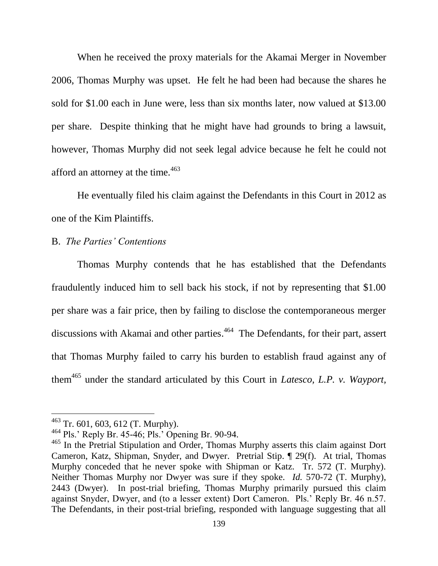When he received the proxy materials for the Akamai Merger in November 2006, Thomas Murphy was upset. He felt he had been had because the shares he sold for \$1.00 each in June were, less than six months later, now valued at \$13.00 per share. Despite thinking that he might have had grounds to bring a lawsuit, however, Thomas Murphy did not seek legal advice because he felt he could not afford an attorney at the time.<sup>463</sup>

He eventually filed his claim against the Defendants in this Court in 2012 as one of the Kim Plaintiffs.

### B. *The Parties' Contentions*

Thomas Murphy contends that he has established that the Defendants fraudulently induced him to sell back his stock, if not by representing that \$1.00 per share was a fair price, then by failing to disclose the contemporaneous merger discussions with Akamai and other parties. 464 The Defendants, for their part, assert that Thomas Murphy failed to carry his burden to establish fraud against any of them<sup>465</sup> under the standard articulated by this Court in *Latesco, L.P. v. Wayport,* 

 $463$  Tr. 601, 603, 612 (T. Murphy).

<sup>464</sup> Pls.' Reply Br. 45-46; Pls.' Opening Br. 90-94.

<sup>&</sup>lt;sup>465</sup> In the Pretrial Stipulation and Order, Thomas Murphy asserts this claim against Dort Cameron, Katz, Shipman, Snyder, and Dwyer. Pretrial Stip. ¶ 29(f). At trial, Thomas Murphy conceded that he never spoke with Shipman or Katz. Tr. 572 (T. Murphy). Neither Thomas Murphy nor Dwyer was sure if they spoke. *Id.* 570-72 (T. Murphy), 2443 (Dwyer). In post-trial briefing, Thomas Murphy primarily pursued this claim against Snyder, Dwyer, and (to a lesser extent) Dort Cameron. Pls.' Reply Br. 46 n.57. The Defendants, in their post-trial briefing, responded with language suggesting that all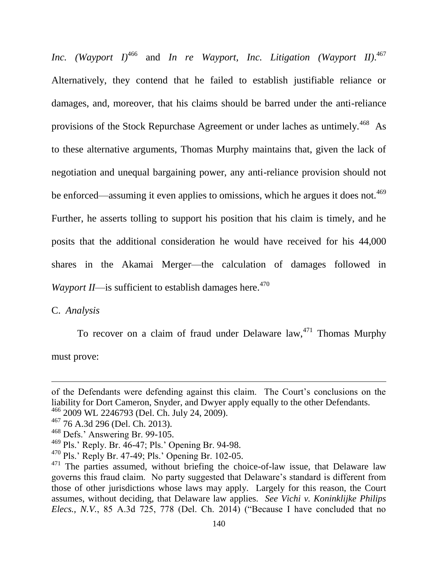*Inc. (Wayport I)*<sup>466</sup> and *In re Wayport, Inc. Litigation (Wayport II)*. 467 Alternatively, they contend that he failed to establish justifiable reliance or damages, and, moreover, that his claims should be barred under the anti-reliance provisions of the Stock Repurchase Agreement or under laches as untimely.<sup>468</sup> As to these alternative arguments, Thomas Murphy maintains that, given the lack of negotiation and unequal bargaining power, any anti-reliance provision should not be enforced—assuming it even applies to omissions, which he argues it does not.<sup>469</sup> Further, he asserts tolling to support his position that his claim is timely, and he posits that the additional consideration he would have received for his 44,000 shares in the Akamai Merger—the calculation of damages followed in *Wayport II*—is sufficient to establish damages here.<sup>470</sup>

C. *Analysis*

l

To recover on a claim of fraud under Delaware  $law<sub>1</sub><sup>471</sup>$  Thomas Murphy must prove:

of the Defendants were defending against this claim. The Court's conclusions on the liability for Dort Cameron, Snyder, and Dwyer apply equally to the other Defendants.

<sup>466</sup> 2009 WL 2246793 (Del. Ch. July 24, 2009).

<sup>467</sup> 76 A.3d 296 (Del. Ch. 2013).

<sup>468</sup> Defs.' Answering Br. 99-105.

<sup>469</sup> Pls.' Reply. Br. 46-47; Pls.' Opening Br. 94-98.

<sup>470</sup> Pls.' Reply Br. 47-49; Pls.' Opening Br. 102-05.

 $471$  The parties assumed, without briefing the choice-of-law issue, that Delaware law governs this fraud claim. No party suggested that Delaware's standard is different from those of other jurisdictions whose laws may apply. Largely for this reason, the Court assumes, without deciding, that Delaware law applies. *See Vichi v. Koninklijke Philips Elecs., N.V.*, 85 A.3d 725, 778 (Del. Ch. 2014) ("Because I have concluded that no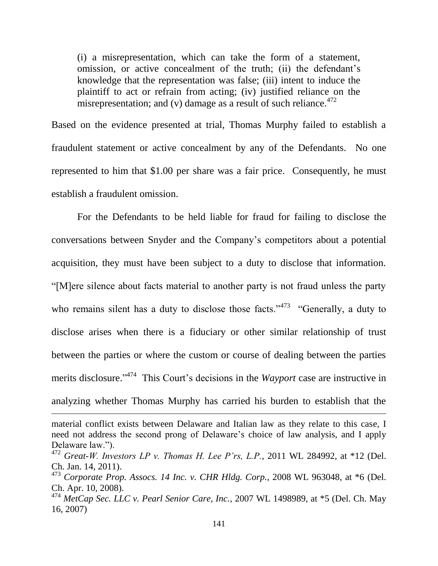(i) a misrepresentation, which can take the form of a statement, omission, or active concealment of the truth; (ii) the defendant's knowledge that the representation was false; (iii) intent to induce the plaintiff to act or refrain from acting; (iv) justified reliance on the misrepresentation; and (v) damage as a result of such reliance. $472$ 

Based on the evidence presented at trial, Thomas Murphy failed to establish a fraudulent statement or active concealment by any of the Defendants. No one represented to him that \$1.00 per share was a fair price. Consequently, he must establish a fraudulent omission.

For the Defendants to be held liable for fraud for failing to disclose the conversations between Snyder and the Company's competitors about a potential acquisition, they must have been subject to a duty to disclose that information. "[M]ere silence about facts material to another party is not fraud unless the party who remains silent has a duty to disclose those facts."<sup>473</sup> "Generally, a duty to disclose arises when there is a fiduciary or other similar relationship of trust between the parties or where the custom or course of dealing between the parties merits disclosure." 474 This Court's decisions in the *Wayport* case are instructive in analyzing whether Thomas Murphy has carried his burden to establish that the

material conflict exists between Delaware and Italian law as they relate to this case, I need not address the second prong of Delaware's choice of law analysis, and I apply Delaware law.").

<sup>472</sup> *Great-W. Investors LP v. Thomas H. Lee P'rs, L.P.*, 2011 WL 284992, at \*12 (Del. Ch. Jan. 14, 2011).

<sup>473</sup> *Corporate Prop. Assocs. 14 Inc. v. CHR Hldg. Corp.*, 2008 WL 963048, at \*6 (Del. Ch. Apr. 10, 2008).

<sup>474</sup> *MetCap Sec. LLC v. Pearl Senior Care, Inc.*, 2007 WL 1498989, at \*5 (Del. Ch. May 16, 2007)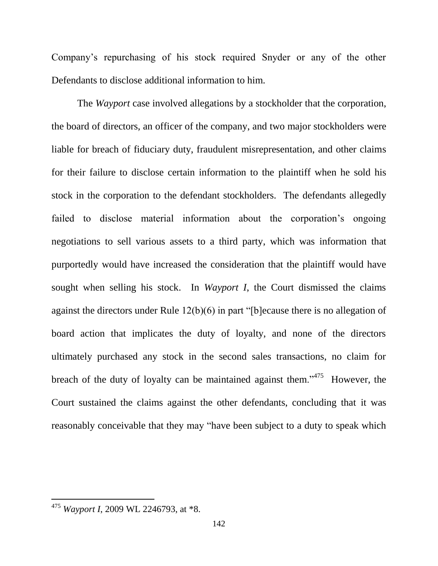Company's repurchasing of his stock required Snyder or any of the other Defendants to disclose additional information to him.

The *Wayport* case involved allegations by a stockholder that the corporation, the board of directors, an officer of the company, and two major stockholders were liable for breach of fiduciary duty, fraudulent misrepresentation, and other claims for their failure to disclose certain information to the plaintiff when he sold his stock in the corporation to the defendant stockholders. The defendants allegedly failed to disclose material information about the corporation's ongoing negotiations to sell various assets to a third party, which was information that purportedly would have increased the consideration that the plaintiff would have sought when selling his stock. In *Wayport I*, the Court dismissed the claims against the directors under Rule 12(b)(6) in part "[b]ecause there is no allegation of board action that implicates the duty of loyalty, and none of the directors ultimately purchased any stock in the second sales transactions, no claim for breach of the duty of loyalty can be maintained against them.<sup> $1475$ </sup> However, the Court sustained the claims against the other defendants, concluding that it was reasonably conceivable that they may "have been subject to a duty to speak which

<sup>475</sup> *Wayport I*, 2009 WL 2246793, at \*8.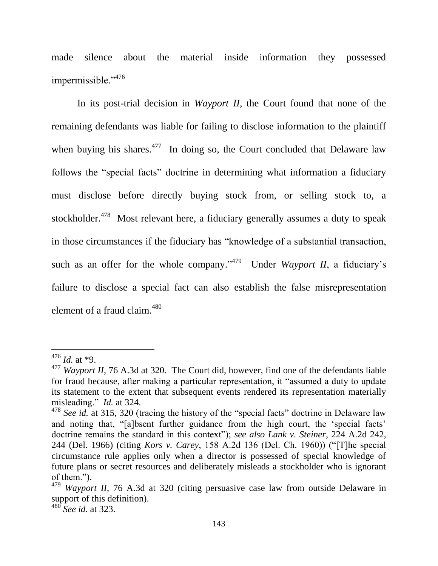made silence about the material inside information they possessed impermissible."<sup>476</sup>

In its post-trial decision in *Wayport II*, the Court found that none of the remaining defendants was liable for failing to disclose information to the plaintiff when buying his shares. $477$  In doing so, the Court concluded that Delaware law follows the "special facts" doctrine in determining what information a fiduciary must disclose before directly buying stock from, or selling stock to, a stockholder.<sup>478</sup> Most relevant here, a fiduciary generally assumes a duty to speak in those circumstances if the fiduciary has "knowledge of a substantial transaction, such as an offer for the whole company."<sup>479</sup> Under *Wayport II*, a fiduciary's failure to disclose a special fact can also establish the false misrepresentation element of a fraud claim.<sup>480</sup>

<sup>476</sup> *Id.* at \*9.

<sup>477</sup> *Wayport II*, 76 A.3d at 320. The Court did, however, find one of the defendants liable for fraud because, after making a particular representation, it "assumed a duty to update its statement to the extent that subsequent events rendered its representation materially misleading." *Id.* at 324.

<sup>&</sup>lt;sup>478</sup> *See id.* at 315, 320 (tracing the history of the "special facts" doctrine in Delaware law and noting that, "[a]bsent further guidance from the high court, the 'special facts' doctrine remains the standard in this context"); *see also Lank v. Steiner*, 224 A.2d 242, 244 (Del. 1966) (citing *Kors v. Carey*, 158 A.2d 136 (Del. Ch. 1960)) ("[T]he special circumstance rule applies only when a director is possessed of special knowledge of future plans or secret resources and deliberately misleads a stockholder who is ignorant of them.").

<sup>479</sup> *Wayport II*, 76 A.3d at 320 (citing persuasive case law from outside Delaware in support of this definition).

<sup>480</sup> *See id.* at 323.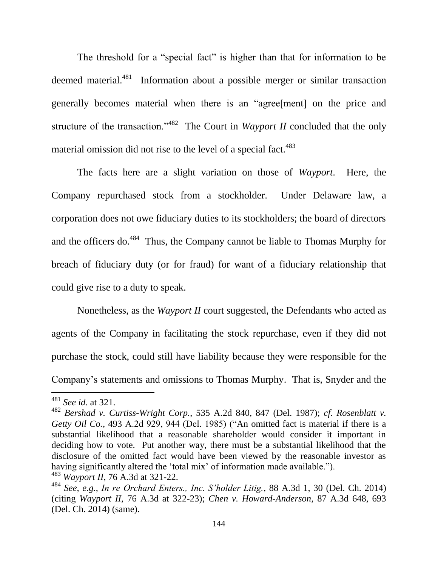The threshold for a "special fact" is higher than that for information to be deemed material.<sup>481</sup> Information about a possible merger or similar transaction generally becomes material when there is an "agree[ment] on the price and structure of the transaction."<sup>482</sup> The Court in *Wayport II* concluded that the only material omission did not rise to the level of a special fact.<sup>483</sup>

The facts here are a slight variation on those of *Wayport*. Here, the Company repurchased stock from a stockholder. Under Delaware law, a corporation does not owe fiduciary duties to its stockholders; the board of directors and the officers do. $484$  Thus, the Company cannot be liable to Thomas Murphy for breach of fiduciary duty (or for fraud) for want of a fiduciary relationship that could give rise to a duty to speak.

Nonetheless, as the *Wayport II* court suggested, the Defendants who acted as agents of the Company in facilitating the stock repurchase, even if they did not purchase the stock, could still have liability because they were responsible for the Company's statements and omissions to Thomas Murphy. That is, Snyder and the

l

<sup>481</sup> *See id.* at 321.

<sup>482</sup> *Bershad v. Curtiss-Wright Corp.*, 535 A.2d 840, 847 (Del. 1987); *cf. Rosenblatt v. Getty Oil Co.*, 493 A.2d 929, 944 (Del. 1985) ("An omitted fact is material if there is a substantial likelihood that a reasonable shareholder would consider it important in deciding how to vote. Put another way, there must be a substantial likelihood that the disclosure of the omitted fact would have been viewed by the reasonable investor as having significantly altered the 'total mix' of information made available."). <sup>483</sup> *Wayport II*, 76 A.3d at 321-22.

<sup>484</sup> *See, e.g.*, *In re Orchard Enters., Inc. S'holder Litig.*, 88 A.3d 1, 30 (Del. Ch. 2014) (citing *Wayport II*, 76 A.3d at 322-23); *Chen v. Howard-Anderson*, 87 A.3d 648, 693 (Del. Ch. 2014) (same).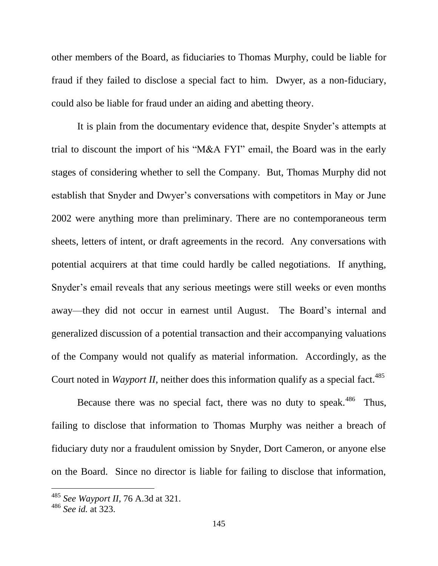other members of the Board, as fiduciaries to Thomas Murphy, could be liable for fraud if they failed to disclose a special fact to him. Dwyer, as a non-fiduciary, could also be liable for fraud under an aiding and abetting theory.

It is plain from the documentary evidence that, despite Snyder's attempts at trial to discount the import of his "M&A FYI" email, the Board was in the early stages of considering whether to sell the Company. But, Thomas Murphy did not establish that Snyder and Dwyer's conversations with competitors in May or June 2002 were anything more than preliminary. There are no contemporaneous term sheets, letters of intent, or draft agreements in the record. Any conversations with potential acquirers at that time could hardly be called negotiations. If anything, Snyder's email reveals that any serious meetings were still weeks or even months away—they did not occur in earnest until August. The Board's internal and generalized discussion of a potential transaction and their accompanying valuations of the Company would not qualify as material information. Accordingly, as the Court noted in *Wayport II*, neither does this information qualify as a special fact.<sup>485</sup>

Because there was no special fact, there was no duty to speak.<sup>486</sup> Thus, failing to disclose that information to Thomas Murphy was neither a breach of fiduciary duty nor a fraudulent omission by Snyder, Dort Cameron, or anyone else on the Board. Since no director is liable for failing to disclose that information,

 $\overline{a}$ 

<sup>485</sup> *See Wayport II*, 76 A.3d at 321.

<sup>486</sup> *See id.* at 323.